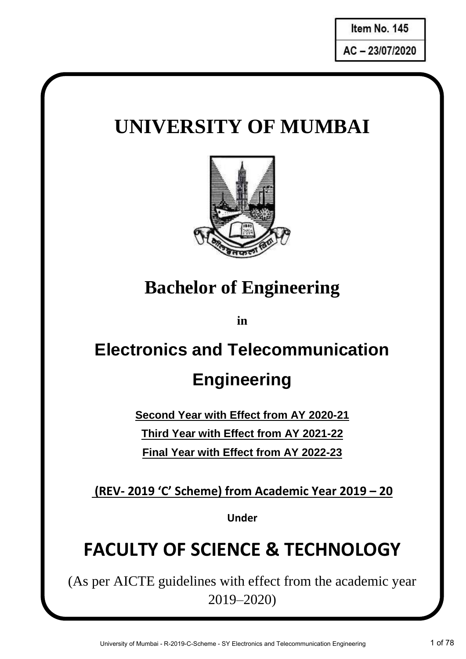$\overline{\phantom{a}}$ **I**AC - 23/07/2020

## **UNIVERSITY OF MUMBAI**



## **Bachelor of Engineering**

**in**

# **Electronics and Telecommunication Engineering**

**Second Year with Effect from AY 2020-21 Third Year with Effect from AY 2021-22 Final Year with Effect from AY 2022-23**

**(REV- 2019 'C' Scheme) from Academic Year 2019 – 20**

**Under**

## **FACULTY OF SCIENCE & TECHNOLOGY**

(As per AICTE guidelines with effect from the academic year 2019–2020)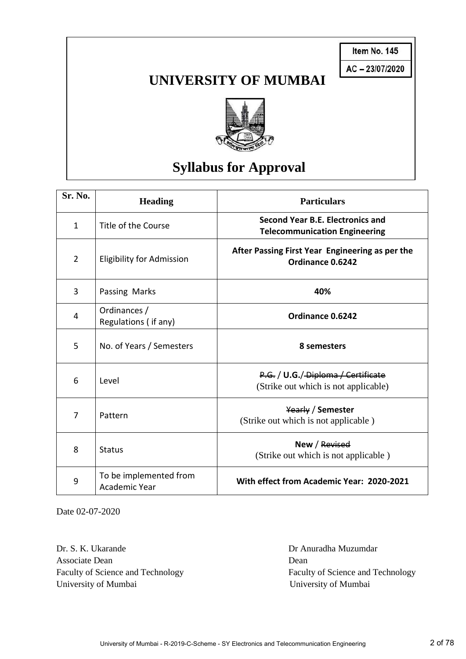**Item No. 145 Item No. \_\_\_\_\_\_**

### **UNIVERSITY OF MUMBAI**



## **Syllabus for Approval**

| Sr. No.        | <b>Heading</b>                          | <b>Particulars</b>                                                          |
|----------------|-----------------------------------------|-----------------------------------------------------------------------------|
| 1              | Title of the Course                     | Second Year B.E. Electronics and<br><b>Telecommunication Engineering</b>    |
| $\overline{2}$ | <b>Eligibility for Admission</b>        | After Passing First Year Engineering as per the<br>Ordinance 0.6242         |
| 3              | Passing Marks                           | 40%                                                                         |
| 4              | Ordinances /<br>Regulations (if any)    | Ordinance 0.6242                                                            |
| 5              | No. of Years / Semesters                | 8 semesters                                                                 |
| 6              | Level                                   | P.G. / U.G. / Diploma / Certificate<br>(Strike out which is not applicable) |
| 7              | Pattern                                 | Yearly / Semester<br>(Strike out which is not applicable)                   |
| 8              | <b>Status</b>                           | New / Revised<br>(Strike out which is not applicable)                       |
| 9              | To be implemented from<br>Academic Year | With effect from Academic Year: 2020-2021                                   |

Date 02-07-2020

Dr. S. K. Ukarande Dr. Anuradha Muzumdar Associate Dean Dean Dean University of Mumbai University of Mumbai

Faculty of Science and Technology Faculty of Science and Technology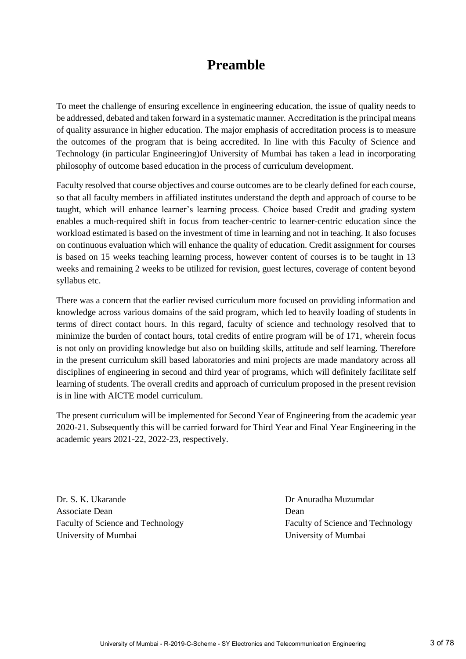### **Preamble**

To meet the challenge of ensuring excellence in engineering education, the issue of quality needs to be addressed, debated and taken forward in a systematic manner. Accreditation is the principal means of quality assurance in higher education. The major emphasis of accreditation process is to measure the outcomes of the program that is being accredited. In line with this Faculty of Science and Technology (in particular Engineering)of University of Mumbai has taken a lead in incorporating philosophy of outcome based education in the process of curriculum development.

Faculty resolved that course objectives and course outcomes are to be clearly defined for each course, so that all faculty members in affiliated institutes understand the depth and approach of course to be taught, which will enhance learner's learning process. Choice based Credit and grading system enables a much-required shift in focus from teacher-centric to learner-centric education since the workload estimated is based on the investment of time in learning and not in teaching. It also focuses on continuous evaluation which will enhance the quality of education. Credit assignment for courses is based on 15 weeks teaching learning process, however content of courses is to be taught in 13 weeks and remaining 2 weeks to be utilized for revision, guest lectures, coverage of content beyond syllabus etc.

There was a concern that the earlier revised curriculum more focused on providing information and knowledge across various domains of the said program, which led to heavily loading of students in terms of direct contact hours. In this regard, faculty of science and technology resolved that to minimize the burden of contact hours, total credits of entire program will be of 171, wherein focus is not only on providing knowledge but also on building skills, attitude and self learning. Therefore in the present curriculum skill based laboratories and mini projects are made mandatory across all disciplines of engineering in second and third year of programs, which will definitely facilitate self learning of students. The overall credits and approach of curriculum proposed in the present revision is in line with AICTE model curriculum.

The present curriculum will be implemented for Second Year of Engineering from the academic year 2020-21. Subsequently this will be carried forward for Third Year and Final Year Engineering in the academic years 2021-22, 2022-23, respectively.

Dr. S. K. Ukarande Dr Anuradha Muzumdar Associate Dean Dean Dean University of Mumbai University of Mumbai

Faculty of Science and Technology Faculty of Science and Technology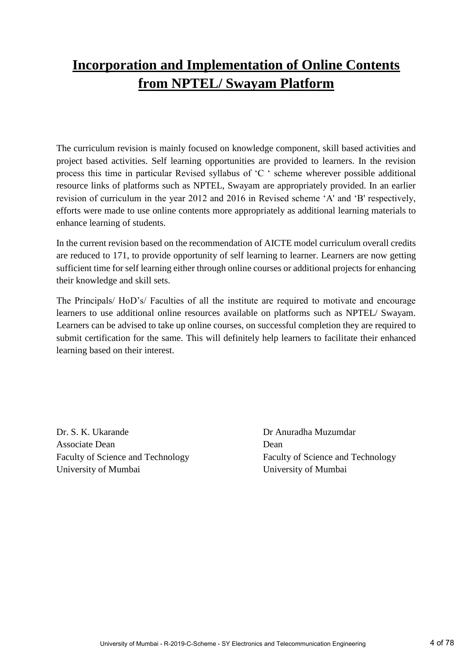## **Incorporation and Implementation of Online Contents from NPTEL/ Swayam Platform**

The curriculum revision is mainly focused on knowledge component, skill based activities and project based activities. Self learning opportunities are provided to learners. In the revision process this time in particular Revised syllabus of 'C ' scheme wherever possible additional resource links of platforms such as NPTEL, Swayam are appropriately provided. In an earlier revision of curriculum in the year 2012 and 2016 in Revised scheme 'A' and 'B' respectively, efforts were made to use online contents more appropriately as additional learning materials to enhance learning of students.

In the current revision based on the recommendation of AICTE model curriculum overall credits are reduced to 171, to provide opportunity of self learning to learner. Learners are now getting sufficient time for self learning either through online courses or additional projects for enhancing their knowledge and skill sets.

The Principals/ HoD's/ Faculties of all the institute are required to motivate and encourage learners to use additional online resources available on platforms such as NPTEL/ Swayam. Learners can be advised to take up online courses, on successful completion they are required to submit certification for the same. This will definitely help learners to facilitate their enhanced learning based on their interest.

Dr. S. K. Ukarande Dr Anuradha Muzumdar Associate Dean Dean Dean University of Mumbai University of Mumbai

Faculty of Science and Technology Faculty of Science and Technology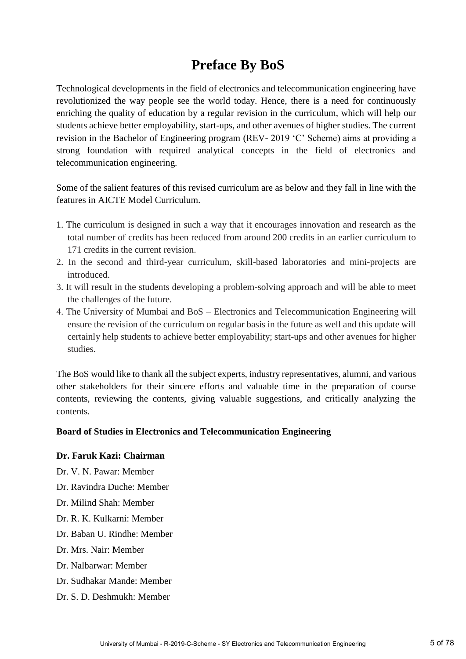### **Preface By BoS**

Technological developments in the field of electronics and telecommunication engineering have revolutionized the way people see the world today. Hence, there is a need for continuously enriching the quality of education by a regular revision in the curriculum, which will help our students achieve better employability, start-ups, and other avenues of higher studies. The current revision in the Bachelor of Engineering program (REV- 2019 'C' Scheme) aims at providing a strong foundation with required analytical concepts in the field of electronics and telecommunication engineering.

Some of the salient features of this revised curriculum are as below and they fall in line with the features in AICTE Model Curriculum.

- 1. The curriculum is designed in such a way that it encourages innovation and research as the total number of credits has been reduced from around 200 credits in an earlier curriculum to 171 credits in the current revision.
- 2. In the second and third-year curriculum, skill-based laboratories and mini-projects are introduced.
- 3. It will result in the students developing a problem-solving approach and will be able to meet the challenges of the future.
- 4. The University of Mumbai and BoS Electronics and Telecommunication Engineering will ensure the revision of the curriculum on regular basis in the future as well and this update will certainly help students to achieve better employability; start-ups and other avenues for higher studies.

The BoS would like to thank all the subject experts, industry representatives, alumni, and various other stakeholders for their sincere efforts and valuable time in the preparation of course contents, reviewing the contents, giving valuable suggestions, and critically analyzing the contents.

#### **Board of Studies in Electronics and Telecommunication Engineering**

#### **Dr. Faruk Kazi: Chairman**

- Dr. V. N. Pawar: Member
- Dr. Ravindra Duche: Member
- Dr. Milind Shah: Member
- Dr. R. K. Kulkarni: Member
- Dr. Baban U. Rindhe: Member
- Dr. Mrs. Nair: Member
- Dr. Nalbarwar: Member
- Dr. Sudhakar Mande: Member
- Dr. S. D. Deshmukh: Member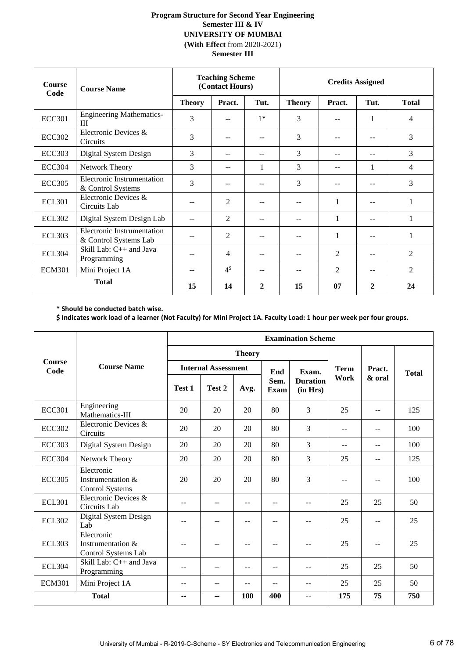#### **Program Structure for Second Year Engineering Semester III & IV UNIVERSITY OF MUMBAI (With Effect** from 2020-2021) **Semester III**

| <b>Course</b><br>Code | <b>Course Name</b>                                         |               | <b>Teaching Scheme</b><br>(Contact Hours) |              | <b>Credits Assigned</b> |                    |       |              |
|-----------------------|------------------------------------------------------------|---------------|-------------------------------------------|--------------|-------------------------|--------------------|-------|--------------|
|                       |                                                            | <b>Theory</b> | Pract.                                    | Tut.         | <b>Theory</b>           | Pract.             | Tut.  | <b>Total</b> |
| <b>ECC301</b>         | <b>Engineering Mathematics-</b><br>Ш                       | 3             | --                                        | $1*$         | 3                       | --                 | 1     | 4            |
| <b>ECC302</b>         | Electronic Devices &<br>Circuits                           | 3             |                                           | --           | 3                       |                    | $- -$ | 3            |
| <b>ECC303</b>         | Digital System Design                                      | 3             | --                                        | $-$          | 3                       | $-$                | $- -$ | 3            |
| <b>ECC304</b>         | Network Theory                                             | 3             | $- -$                                     | 1            | 3                       |                    | 1     | 4            |
| <b>ECC305</b>         | Electronic Instrumentation<br>& Control Systems            | 3             | --                                        | $- -$        | 3                       | --                 | --    | 3            |
| <b>ECL301</b>         | Electronic Devices &<br>Circuits Lab                       |               | 2                                         | --           | --                      | 1                  | $- -$ | 1            |
| <b>ECL302</b>         | Digital System Design Lab                                  |               | 2                                         | $-$          | $- -$                   | 1                  | $- -$ | 1            |
| <b>ECL303</b>         | <b>Electronic Instrumentation</b><br>& Control Systems Lab |               | 2                                         | $-$          | --                      | 1                  | $- -$ | 1            |
| <b>ECL304</b>         | Skill Lab: $C_{++}$ and Java<br>Programming                |               | 4                                         | $-$          |                         | 2                  | --    | 2            |
| <b>ECM301</b>         | Mini Project 1A                                            | $-$           | 4 <sup>§</sup>                            | --           | 2<br>2<br>--<br>$-$     |                    |       |              |
|                       | <b>Total</b>                                               | 15            | 14                                        | $\mathbf{2}$ | 15                      | 07<br>$\mathbf{2}$ |       | 24           |

**\* Should be conducted batch wise.** 

**\$ Indicates work load of a learner (Not Faculty) for Mini Project 1A. Faculty Load: 1 hour per week per four groups.**

|                       |                                                           |        | <b>Examination Scheme</b>  |               |              |                             |             |        |              |  |  |  |
|-----------------------|-----------------------------------------------------------|--------|----------------------------|---------------|--------------|-----------------------------|-------------|--------|--------------|--|--|--|
|                       |                                                           |        |                            | <b>Theory</b> |              |                             |             |        |              |  |  |  |
| <b>Course</b><br>Code | <b>Course Name</b>                                        |        | <b>Internal Assessment</b> |               | End          | Exam.                       | <b>Term</b> | Pract. | <b>Total</b> |  |  |  |
|                       |                                                           | Test 1 | Test 2                     | Avg.          | Sem.<br>Exam | <b>Duration</b><br>(in Hrs) | Work        | & oral |              |  |  |  |
| <b>ECC301</b>         | Engineering<br>Mathematics-III                            | 20     | 20                         | 20            | 80           | 3                           | 25          | $-$    | 125          |  |  |  |
| <b>ECC302</b>         | Electronic Devices &<br>Circuits                          | 20     | 20                         | 20            | 80           | 3                           | --          | --     |              |  |  |  |
| <b>ECC303</b>         | Digital System Design                                     | 20     | 20                         | 20            | 80           | $\overline{3}$              | $-$         | --     | 100          |  |  |  |
| <b>ECC304</b>         | Network Theory                                            | 20     | 20                         | 20            | 80           | 3                           | 25          | --     | 125          |  |  |  |
| <b>ECC305</b>         | Electronic<br>Instrumentation &<br><b>Control Systems</b> | 20     | 20                         | 20            | 80           | 3                           | --          | --     | 100          |  |  |  |
| <b>ECL301</b>         | Electronic Devices &<br>Circuits Lab                      | --     | --                         | $-$           | $-$          | --                          | 25          | 25     | 50           |  |  |  |
| <b>ECL302</b>         | Digital System Design<br>Lab                              | --     | --                         |               |              | --                          | 25          | --     |              |  |  |  |
| <b>ECL303</b>         | Electronic<br>Instrumentation &<br>Control Systems Lab    |        | --                         |               |              | --                          | 25          | --     | 25           |  |  |  |
| <b>ECL304</b>         | Skill Lab: $C_{++}$ and Java<br>Programming               | --     | --                         | $-$           | $-$          | $-$                         | 25          | 25     | 50           |  |  |  |
| <b>ECM301</b>         | Mini Project 1A                                           | $-$    | --                         | --            | $-$          | $-$                         | 25          | 25     | 50           |  |  |  |
|                       | <b>Total</b>                                              | --     | ۰.                         | 100           | 400          | --                          | 175         | 75     | 750          |  |  |  |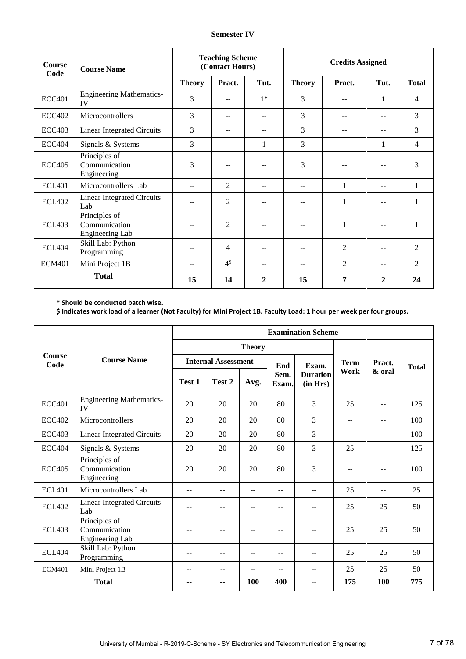| Course<br>Code | <b>Course Name</b>                                |               | <b>Teaching Scheme</b><br>(Contact Hours) |              | <b>Credits Assigned</b> |                   |       |                |
|----------------|---------------------------------------------------|---------------|-------------------------------------------|--------------|-------------------------|-------------------|-------|----------------|
|                |                                                   | <b>Theory</b> | Pract.                                    | Tut.         | <b>Theory</b>           | Pract.            | Tut.  | <b>Total</b>   |
| <b>ECC401</b>  | <b>Engineering Mathematics-</b><br>IV             | 3             | --                                        | $1*$         | 3                       |                   | 1     | 4              |
| <b>ECC402</b>  | Microcontrollers                                  | 3             | --                                        | $-$          | 3                       |                   | $-$   | 3              |
| <b>ECC403</b>  | <b>Linear Integrated Circuits</b>                 | 3             | $-$                                       | $-$          | 3                       | --                | $- -$ | 3              |
| ECC404         | Signals & Systems                                 | 3             | $- -$                                     | 1            | 3                       | --                | 1     |                |
| <b>ECC405</b>  | Principles of<br>Communication<br>Engineering     | 3             |                                           |              | 3                       |                   | --    | 3              |
| <b>ECL401</b>  | Microcontrollers Lab                              | $-1$          | $\overline{2}$                            | $-$          | --                      | 1                 | $- -$ | 1              |
| <b>ECL402</b>  | <b>Linear Integrated Circuits</b><br>Lab          | --            | 2                                         |              |                         | 1                 | $-$   | $\mathbf{1}$   |
| <b>ECL403</b>  | Principles of<br>Communication<br>Engineering Lab | $-$           | $\overline{2}$                            |              |                         |                   | $- -$ | 1              |
| <b>ECL404</b>  | Skill Lab: Python<br>Programming                  | --            | 4                                         |              |                         | $\overline{2}$    |       | $\overline{2}$ |
| <b>ECM401</b>  | Mini Project 1B                                   | --            | 4 <sup>§</sup>                            | $-$          | --                      | $\overline{2}$    | --    | $\overline{2}$ |
|                | <b>Total</b>                                      | 15            | 14                                        | $\mathbf{2}$ | 15                      | 7<br>$\mathbf{2}$ |       | 24             |

**\* Should be conducted batch wise.** 

**\$ Indicates work load of a learner (Not Faculty) for Mini Project 1B. Faculty Load: 1 hour per week per four groups.**

|                       |                                                   |        |                            |               |               | <b>Examination Scheme</b>   |             |        |              |
|-----------------------|---------------------------------------------------|--------|----------------------------|---------------|---------------|-----------------------------|-------------|--------|--------------|
|                       |                                                   |        |                            | <b>Theory</b> |               |                             |             |        |              |
| <b>Course</b><br>Code | <b>Course Name</b>                                |        | <b>Internal Assessment</b> |               | End           | Exam.                       | <b>Term</b> | Pract. | <b>Total</b> |
|                       |                                                   | Test 1 | Test 2                     | Avg.          | Sem.<br>Exam. | <b>Duration</b><br>(in Hrs) | Work        | & oral |              |
| <b>ECC401</b>         | <b>Engineering Mathematics-</b><br>IV             | 20     | 20                         | 20            | 80            | 3                           | 25          | $-$    | 125          |
| <b>ECC402</b>         | Microcontrollers                                  | 20     | 20                         | 20            | 80            | 3                           | $-$         | $-$    | 100          |
| <b>ECC403</b>         | <b>Linear Integrated Circuits</b>                 | 20     | 20                         | 20            | 80            | 3                           | $-$         | --     | 100          |
| <b>ECC404</b>         | Signals & Systems                                 | 20     | 20                         | 20            | 80            | 3                           | 25          | $-$    | 125          |
| <b>ECC405</b>         | Principles of<br>Communication<br>Engineering     | 20     | 20                         | 20            | 80            | 3                           | $-$         | $-$    |              |
| <b>ECL401</b>         | Microcontrollers Lab                              | --     | --                         |               | --            | --                          | 25          | $-$    | 25           |
| <b>ECL402</b>         | <b>Linear Integrated Circuits</b><br>Lab          |        | --                         |               | --            | --                          | 25          | 25     | 50           |
| <b>ECL403</b>         | Principles of<br>Communication<br>Engineering Lab | --     | --                         | $-$           | $-$           | $-$                         | 25          | 25     | 50           |
| ECL404                | Skill Lab: Python<br>Programming                  | $-$    | $-$                        | $\sim$        | $-$           | $-$                         | 25          | 25     | 50           |
| <b>ECM401</b>         | Mini Project 1B                                   | $-$    | $- -$                      | $-$           | $-$           | $-\,-$                      | 25          | 25     | 50           |
|                       | <b>Total</b>                                      | --     | --                         | 100           | 400           | --                          | 175         | 100    | 775          |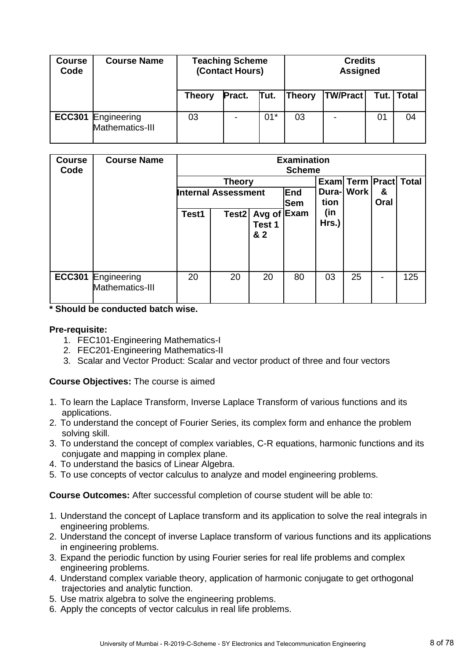| <b>Course</b><br>Code | <b>Course Name</b>             |               | <b>Teaching Scheme</b><br>(Contact Hours) |       |               | <b>Credits</b><br><b>Assigned</b> |      |       |
|-----------------------|--------------------------------|---------------|-------------------------------------------|-------|---------------|-----------------------------------|------|-------|
|                       |                                | <b>Theory</b> | Pract.                                    | Tut.  | <b>Theory</b> | <b>TW/Pract</b>                   | Tut. | Total |
| <b>ECC301</b>         | Engineering<br>Mathematics-III | 03            |                                           | $01*$ | 03            |                                   | 01   | 04    |

| <b>Course</b><br>Code | <b>Course Name</b>             | <b>Examination</b><br><b>Scheme</b> |                                             |                         |            |              |                                            |   |     |  |
|-----------------------|--------------------------------|-------------------------------------|---------------------------------------------|-------------------------|------------|--------------|--------------------------------------------|---|-----|--|
|                       |                                |                                     | <b>Theory</b><br><b>Internal Assessment</b> |                         | End        |              | Exam Term Pract Total<br><b>Dura-</b> Work | & |     |  |
|                       |                                |                                     |                                             |                         | <b>Sem</b> | tion<br>Oral |                                            |   |     |  |
|                       |                                | Test1                               | Test <sub>2</sub>                           | Avg of<br>Test 1<br>& 2 | Exam       | (in<br>Hrs.) |                                            |   |     |  |
| <b>ECC301</b>         | Engineering<br>Mathematics-III | 20                                  | 20                                          | 20                      | 80         | 03           | 25                                         |   | 125 |  |

**\* Should be conducted batch wise.**

#### **Pre-requisite:**

- 1. FEC101-Engineering Mathematics-I
- 2. FEC201-Engineering Mathematics-II
- 3. Scalar and Vector Product: Scalar and vector product of three and four vectors

#### **Course Objectives:** The course is aimed

- 1. To learn the Laplace Transform, Inverse Laplace Transform of various functions and its applications.
- 2. To understand the concept of Fourier Series, its complex form and enhance the problem solving skill.
- 3. To understand the concept of complex variables, C-R equations, harmonic functions and its conjugate and mapping in complex plane.
- 4. To understand the basics of Linear Algebra.
- 5. To use concepts of vector calculus to analyze and model engineering problems.

**Course Outcomes:** After successful completion of course student will be able to:

- 1. Understand the concept of Laplace transform and its application to solve the real integrals in engineering problems.
- 2. Understand the concept of inverse Laplace transform of various functions and its applications in engineering problems.
- 3. Expand the periodic function by using Fourier series for real life problems and complex engineering problems.
- 4. Understand complex variable theory, application of harmonic conjugate to get orthogonal trajectories and analytic function.
- 5. Use matrix algebra to solve the engineering problems.
- 6. Apply the concepts of vector calculus in real life problems.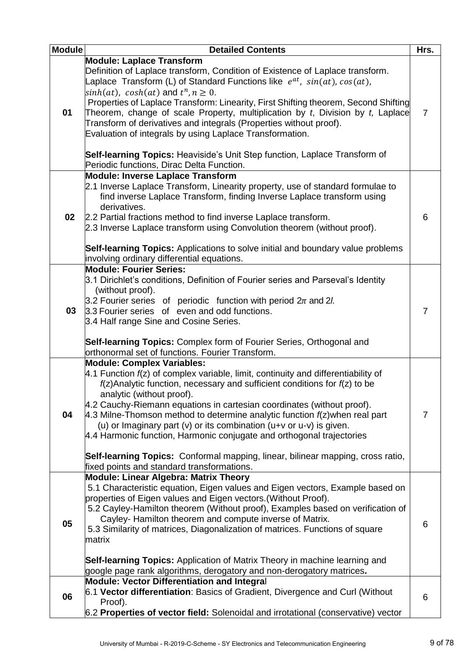| <b>Module</b> | <b>Detailed Contents</b>                                                               | Hrs.           |
|---------------|----------------------------------------------------------------------------------------|----------------|
|               | <b>Module: Laplace Transform</b>                                                       |                |
|               | Definition of Laplace transform, Condition of Existence of Laplace transform.          |                |
|               | Laplace Transform (L) of Standard Functions like $e^{at}$ , $sin(at)$ , $cos(at)$ ,    |                |
|               | $\sinh(at)$ , $\cosh(at)$ and $t^n, n \geq 0$ .                                        |                |
|               | Properties of Laplace Transform: Linearity, First Shifting theorem, Second Shifting    |                |
| 01            | Theorem, change of scale Property, multiplication by t, Division by t, Laplace         | $\overline{7}$ |
|               | Transform of derivatives and integrals (Properties without proof).                     |                |
|               | Evaluation of integrals by using Laplace Transformation.                               |                |
|               |                                                                                        |                |
|               | Self-learning Topics: Heaviside's Unit Step function, Laplace Transform of             |                |
|               | Periodic functions, Dirac Delta Function.                                              |                |
|               | <b>Module: Inverse Laplace Transform</b>                                               |                |
|               | 2.1 Inverse Laplace Transform, Linearity property, use of standard formulae to         |                |
|               | find inverse Laplace Transform, finding Inverse Laplace transform using                |                |
|               | derivatives.                                                                           |                |
| 02            | 2.2 Partial fractions method to find inverse Laplace transform.                        | 6              |
|               | 2.3 Inverse Laplace transform using Convolution theorem (without proof).               |                |
|               |                                                                                        |                |
|               | <b>Self-learning Topics:</b> Applications to solve initial and boundary value problems |                |
|               | involving ordinary differential equations.                                             |                |
|               | <b>Module: Fourier Series:</b>                                                         |                |
|               | $3.1$ Dirichlet's conditions, Definition of Fourier series and Parseval's Identity     |                |
|               | (without proof).                                                                       |                |
| 03            | 3.2 Fourier series of periodic function with period $2\pi$ and 2 <i>l.</i>             |                |
|               | 3.3 Fourier series of even and odd functions.                                          | $\overline{7}$ |
|               | 3.4 Half range Sine and Cosine Series.                                                 |                |
|               |                                                                                        |                |
|               | Self-learning Topics: Complex form of Fourier Series, Orthogonal and                   |                |
|               | orthonormal set of functions. Fourier Transform.                                       |                |
|               | <b>Module: Complex Variables:</b>                                                      |                |
|               | 4.1 Function $f(z)$ of complex variable, limit, continuity and differentiability of    |                |
|               | $f(z)$ Analytic function, necessary and sufficient conditions for $f(z)$ to be         |                |
|               | analytic (without proof).                                                              |                |
|               | 4.2 Cauchy-Riemann equations in cartesian coordinates (without proof).                 |                |
| 04            | 4.3 Milne-Thomson method to determine analytic function $f(z)$ when real part          | $\overline{7}$ |
|               | (u) or Imaginary part $(v)$ or its combination $(u+v)$ or $u-v$ ) is given.            |                |
|               | 4.4 Harmonic function, Harmonic conjugate and orthogonal trajectories                  |                |
|               |                                                                                        |                |
|               | <b>Self-learning Topics:</b> Conformal mapping, linear, bilinear mapping, cross ratio, |                |
|               | fixed points and standard transformations.                                             |                |
|               | <b>Module: Linear Algebra: Matrix Theory</b>                                           |                |
|               | 5.1 Characteristic equation, Eigen values and Eigen vectors, Example based on          |                |
|               | properties of Eigen values and Eigen vectors. (Without Proof).                         |                |
|               | 5.2 Cayley-Hamilton theorem (Without proof), Examples based on verification of         |                |
| 05            | Cayley-Hamilton theorem and compute inverse of Matrix.                                 |                |
|               | 5.3 Similarity of matrices, Diagonalization of matrices. Functions of square           | 6              |
|               | matrix                                                                                 |                |
|               |                                                                                        |                |
|               | <b>Self-learning Topics:</b> Application of Matrix Theory in machine learning and      |                |
|               | google page rank algorithms, derogatory and non-derogatory matrices.                   |                |
|               | <b>Module: Vector Differentiation and Integral</b>                                     |                |
|               | 6.1 Vector differentiation: Basics of Gradient, Divergence and Curl (Without           |                |
| 06            | Proof).                                                                                | 6              |
|               | 6.2 Properties of vector field: Solenoidal and irrotational (conservative) vector      |                |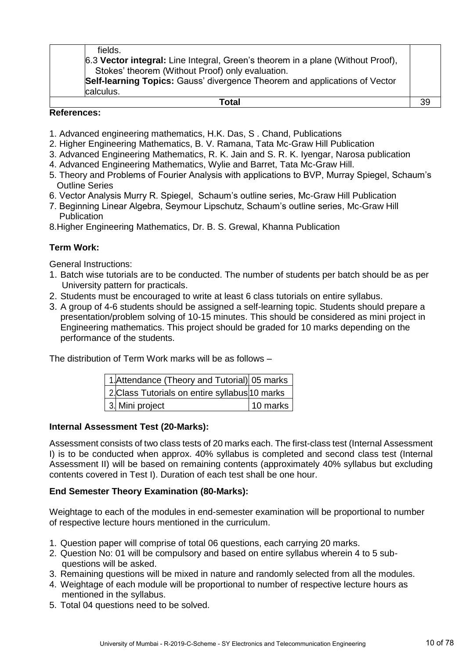| fields. |
|---------|
|---------|

6.3 **Vector integral:** Line Integral, Green's theorem in a plane (Without Proof), Stokes' theorem (Without Proof) only evaluation.

**Self-learning Topics:** Gauss' divergence Theorem and applications of Vector calculus.

#### **Total** 39

#### **References:**

- 1. Advanced engineering mathematics, H.K. Das, S . Chand, Publications
- 2. Higher Engineering Mathematics, B. V. Ramana, Tata Mc-Graw Hill Publication
- 3. Advanced Engineering Mathematics, R. K. Jain and S. R. K. Iyengar, Narosa publication
- 4. Advanced Engineering Mathematics, Wylie and Barret, Tata Mc-Graw Hill.
- 5. Theory and Problems of Fourier Analysis with applications to BVP, Murray Spiegel, Schaum's Outline Series
- 6. Vector Analysis Murry R. Spiegel, Schaum's outline series, Mc-Graw Hill Publication
- 7. Beginning Linear Algebra, Seymour Lipschutz, Schaum's outline series, Mc-Graw Hill **Publication**
- 8.Higher Engineering Mathematics, Dr. B. S. Grewal, Khanna Publication

#### **Term Work:**

General Instructions:

- 1. Batch wise tutorials are to be conducted. The number of students per batch should be as per University pattern for practicals.
- 2. Students must be encouraged to write at least 6 class tutorials on entire syllabus.
- 3. A group of 4-6 students should be assigned a self-learning topic. Students should prepare a presentation/problem solving of 10-15 minutes. This should be considered as mini project in Engineering mathematics. This project should be graded for 10 marks depending on the performance of the students.

The distribution of Term Work marks will be as follows –

| 1. Attendance (Theory and Tutorial) 05 marks   |          |
|------------------------------------------------|----------|
| 2. Class Tutorials on entire syllabus 10 marks |          |
| 3. Mini project                                | 10 marks |

#### **Internal Assessment Test (20-Marks):**

Assessment consists of two class tests of 20 marks each. The first-class test (Internal Assessment I) is to be conducted when approx. 40% syllabus is completed and second class test (Internal Assessment II) will be based on remaining contents (approximately 40% syllabus but excluding contents covered in Test I). Duration of each test shall be one hour.

#### **End Semester Theory Examination (80-Marks):**

Weightage to each of the modules in end-semester examination will be proportional to number of respective lecture hours mentioned in the curriculum.

- 1. Question paper will comprise of total 06 questions, each carrying 20 marks.
- 2. Question No: 01 will be compulsory and based on entire syllabus wherein 4 to 5 sub questions will be asked.
- 3. Remaining questions will be mixed in nature and randomly selected from all the modules.
- 4. Weightage of each module will be proportional to number of respective lecture hours as mentioned in the syllabus.
- 5. Total 04 questions need to be solved.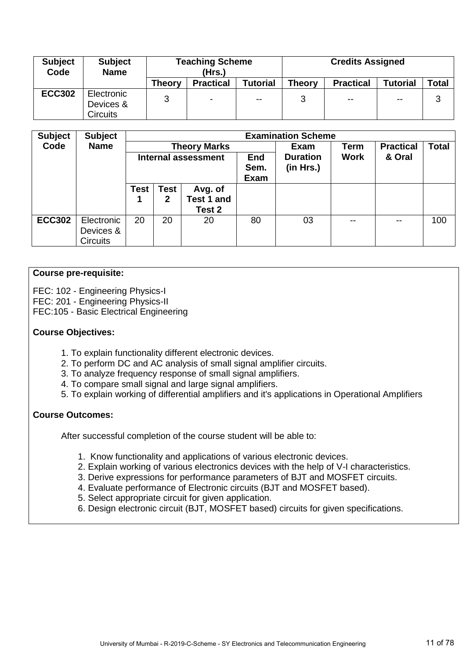| <b>Subject</b><br>Code | <b>Subject</b><br><b>Name</b>              |               | <b>Teaching Scheme</b><br>(Hrs.) |                 |               | <b>Credits Assigned</b> |                 |       |
|------------------------|--------------------------------------------|---------------|----------------------------------|-----------------|---------------|-------------------------|-----------------|-------|
|                        |                                            | <b>Theory</b> | <b>Practical</b>                 | <b>Tutorial</b> | <b>Theory</b> | <b>Practical</b>        | <b>Tutorial</b> | Total |
| <b>ECC302</b>          | Electronic<br>Devices &<br><b>Circuits</b> | 3             | $\sim$                           | --              | 3             | $\sim$ $\sim$           | $-$             | 3     |

| <b>Subject</b> | <b>Subject</b>  |             |              |                     |                            | <b>Examination Scheme</b>    |               |                  |              |
|----------------|-----------------|-------------|--------------|---------------------|----------------------------|------------------------------|---------------|------------------|--------------|
| Code           | <b>Name</b>     |             |              | <b>Theory Marks</b> |                            | Exam                         | <b>Term</b>   | <b>Practical</b> | <b>Total</b> |
|                |                 |             |              | Internal assessment | <b>End</b><br>Sem.<br>Exam | <b>Duration</b><br>(in Hrs.) | <b>Work</b>   | & Oral           |              |
|                |                 | <b>Test</b> | <b>Test</b>  | Avg. of             |                            |                              |               |                  |              |
|                |                 |             | $\mathbf{2}$ | <b>Test 1 and</b>   |                            |                              |               |                  |              |
|                |                 |             |              | Test 2              |                            |                              |               |                  |              |
| <b>ECC302</b>  | Electronic      | 20          | 20           | 20                  | 80                         | 03                           | $\sim$ $\sim$ |                  | 100          |
|                | Devices &       |             |              |                     |                            |                              |               |                  |              |
|                | <b>Circuits</b> |             |              |                     |                            |                              |               |                  |              |

#### **Course pre-requisite:**

FEC: 102 - Engineering Physics-I FEC: 201 - Engineering Physics-II FEC:105 - Basic Electrical Engineering

#### **Course Objectives:**

- 1. To explain functionality different electronic devices.
- 2. To perform DC and AC analysis of small signal amplifier circuits.
- 3. To analyze frequency response of small signal amplifiers.
- 4. To compare small signal and large signal amplifiers.
- 5. To explain working of differential amplifiers and it's applications in Operational Amplifiers

#### **Course Outcomes:**

- 1. Know functionality and applications of various electronic devices.
- 2. Explain working of various electronics devices with the help of V-I characteristics.
- 3. Derive expressions for performance parameters of BJT and MOSFET circuits.
- 4. Evaluate performance of Electronic circuits (BJT and MOSFET based).
- 5. Select appropriate circuit for given application.
- 6. Design electronic circuit (BJT, MOSFET based) circuits for given specifications.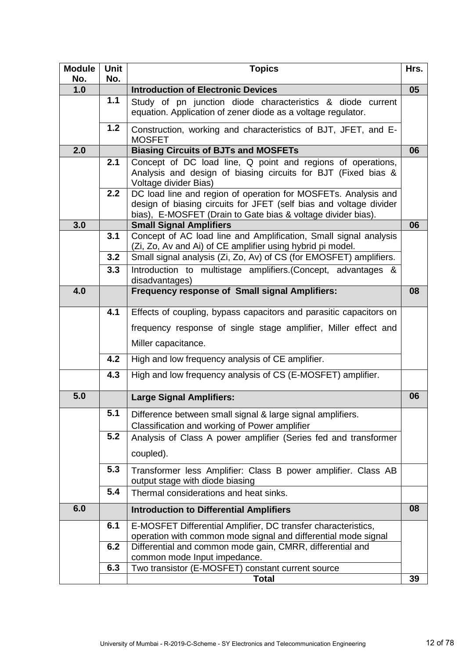| <b>Module</b><br>No. | Unit<br>No. | <b>Topics</b>                                                                                                                                                                                                           | Hrs. |
|----------------------|-------------|-------------------------------------------------------------------------------------------------------------------------------------------------------------------------------------------------------------------------|------|
| 1.0                  |             | <b>Introduction of Electronic Devices</b>                                                                                                                                                                               | 05   |
|                      | 1.1         | Study of pn junction diode characteristics & diode current<br>equation. Application of zener diode as a voltage regulator.                                                                                              |      |
|                      | 1.2         | Construction, working and characteristics of BJT, JFET, and E-<br><b>MOSFET</b>                                                                                                                                         |      |
| 2.0                  |             | <b>Biasing Circuits of BJTs and MOSFETs</b>                                                                                                                                                                             | 06   |
|                      | 2.1<br>2.2  | Concept of DC load line, Q point and regions of operations,<br>Analysis and design of biasing circuits for BJT (Fixed bias &<br>Voltage divider Bias)<br>DC load line and region of operation for MOSFETs. Analysis and |      |
|                      |             | design of biasing circuits for JFET (self bias and voltage divider<br>bias), E-MOSFET (Drain to Gate bias & voltage divider bias).                                                                                      |      |
| 3.0                  |             | <b>Small Signal Amplifiers</b>                                                                                                                                                                                          | 06   |
|                      | 3.1         | Concept of AC load line and Amplification, Small signal analysis<br>(Zi, Zo, Av and Ai) of CE amplifier using hybrid pi model.                                                                                          |      |
|                      | 3.2         | Small signal analysis (Zi, Zo, Av) of CS (for EMOSFET) amplifiers.                                                                                                                                                      |      |
|                      | 3.3         | Introduction to multistage amplifiers. (Concept, advantages &<br>disadvantages)                                                                                                                                         |      |
| 4.0                  |             | <b>Frequency response of Small signal Amplifiers:</b>                                                                                                                                                                   | 08   |
|                      | 4.1         | Effects of coupling, bypass capacitors and parasitic capacitors on                                                                                                                                                      |      |
|                      |             | frequency response of single stage amplifier, Miller effect and                                                                                                                                                         |      |
|                      |             | Miller capacitance.                                                                                                                                                                                                     |      |
|                      | 4.2         | High and low frequency analysis of CE amplifier.                                                                                                                                                                        |      |
|                      | 4.3         | High and low frequency analysis of CS (E-MOSFET) amplifier.                                                                                                                                                             |      |
| 5.0                  |             | <b>Large Signal Amplifiers:</b>                                                                                                                                                                                         | 06   |
|                      | 5.1         | Difference between small signal & large signal amplifiers.<br>Classification and working of Power amplifier                                                                                                             |      |
|                      | 5.2         | Analysis of Class A power amplifier (Series fed and transformer                                                                                                                                                         |      |
|                      |             | coupled).                                                                                                                                                                                                               |      |
|                      | 5.3         | Transformer less Amplifier: Class B power amplifier. Class AB<br>output stage with diode biasing                                                                                                                        |      |
|                      | 5.4         | Thermal considerations and heat sinks.                                                                                                                                                                                  |      |
| 6.0                  |             | <b>Introduction to Differential Amplifiers</b>                                                                                                                                                                          | 08   |
|                      | 6.1         | E-MOSFET Differential Amplifier, DC transfer characteristics,                                                                                                                                                           |      |
|                      |             | operation with common mode signal and differential mode signal                                                                                                                                                          |      |
|                      | 6.2         | Differential and common mode gain, CMRR, differential and<br>common mode Input impedance.                                                                                                                               |      |
|                      | 6.3         | Two transistor (E-MOSFET) constant current source                                                                                                                                                                       |      |
|                      |             | Total                                                                                                                                                                                                                   | 39   |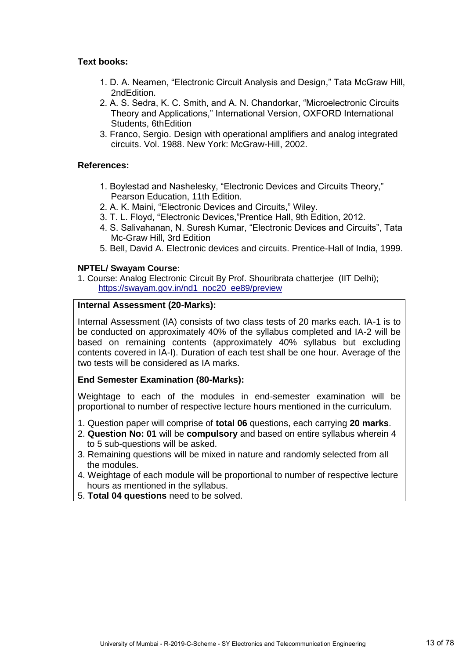#### **Text books:**

- 1. D. A. Neamen, "Electronic Circuit Analysis and Design," Tata McGraw Hill, 2ndEdition.
- 2. A. S. Sedra, K. C. Smith, and A. N. Chandorkar, "Microelectronic Circuits Theory and Applications," International Version, OXFORD International Students, 6thEdition
- 3. Franco, Sergio. Design with operational amplifiers and analog integrated circuits. Vol. 1988. New York: McGraw-Hill, 2002.

#### **References:**

- 1. Boylestad and Nashelesky, "Electronic Devices and Circuits Theory," Pearson Education, 11th Edition.
- 2. A. K. Maini, "Electronic Devices and Circuits," Wiley.
- 3. T. L. Floyd, "Electronic Devices,"Prentice Hall, 9th Edition, 2012.
- 4. S. Salivahanan, N. Suresh Kumar, "Electronic Devices and Circuits", Tata Mc-Graw Hill, 3rd Edition
- 5. Bell, David A. Electronic devices and circuits. Prentice-Hall of India, 1999.

#### **NPTEL/ Swayam Course:**

1. Course: Analog Electronic Circuit By Prof. Shouribrata chatterjee (IIT Delhi); https://swayam.gov.in/nd1\_noc20\_ee89/preview

#### **Internal Assessment (20-Marks):**

Internal Assessment (IA) consists of two class tests of 20 marks each. IA-1 is to be conducted on approximately 40% of the syllabus completed and IA-2 will be based on remaining contents (approximately 40% syllabus but excluding contents covered in IA-I). Duration of each test shall be one hour. Average of the two tests will be considered as IA marks.

#### **End Semester Examination (80-Marks):**

Weightage to each of the modules in end-semester examination will be proportional to number of respective lecture hours mentioned in the curriculum.

- 1. Question paper will comprise of **total 06** questions, each carrying **20 marks**.
- 2. **Question No: 01** will be **compulsory** and based on entire syllabus wherein 4 to 5 sub-questions will be asked.
- 3. Remaining questions will be mixed in nature and randomly selected from all the modules.
- 4. Weightage of each module will be proportional to number of respective lecture hours as mentioned in the syllabus.
- 5. **Total 04 questions** need to be solved.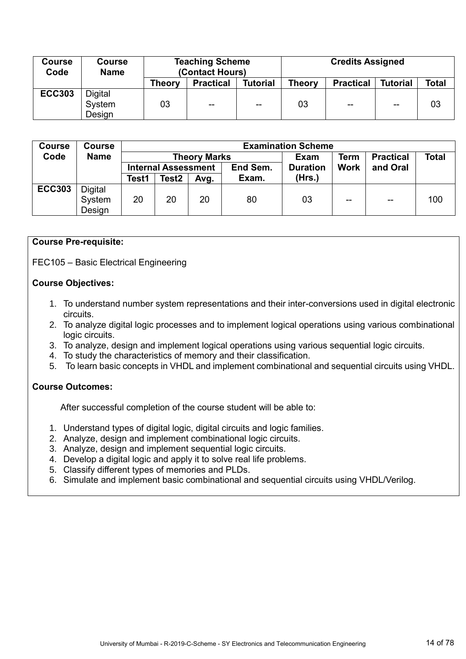| <b>Course</b><br>Code | <b>Course</b><br><b>Name</b>       | <b>Teaching Scheme</b><br>(Contact Hours) |                  |                 | <b>Credits Assigned</b> |                  |                 |       |  |
|-----------------------|------------------------------------|-------------------------------------------|------------------|-----------------|-------------------------|------------------|-----------------|-------|--|
|                       |                                    | <b>Theory</b>                             | <b>Practical</b> | <b>Tutorial</b> | Theory                  | <b>Practical</b> | <b>Tutorial</b> | Total |  |
| <b>ECC303</b>         | <b>Digital</b><br>System<br>Design | 03                                        | $- -$            | $- -$           | 03                      | $- -$            | $-$             | 03    |  |

| <b>Course</b> | <b>Course</b>  |       | <b>Examination Scheme</b>  |                     |          |                 |             |                  |       |  |  |
|---------------|----------------|-------|----------------------------|---------------------|----------|-----------------|-------------|------------------|-------|--|--|
| Code          | <b>Name</b>    |       |                            | <b>Theory Marks</b> |          | Exam            | Term        | <b>Practical</b> | Total |  |  |
|               |                |       | <b>Internal Assessment</b> |                     | End Sem. | <b>Duration</b> | <b>Work</b> | and Oral         |       |  |  |
|               |                | Test1 | Test <sub>2</sub>          | Avg.                | Exam.    | (Hrs.)          |             |                  |       |  |  |
| <b>ECC303</b> | <b>Digital</b> |       |                            |                     |          |                 |             |                  |       |  |  |
|               | System         | 20    | 20                         | 20                  | 80       | 03              | $- -$       | $- -$            | 100   |  |  |
|               | Design         |       |                            |                     |          |                 |             |                  |       |  |  |

#### **Course Pre-requisite:**

FEC105 – Basic Electrical Engineering

#### **Course Objectives:**

- 1. To understand number system representations and their inter-conversions used in digital electronic circuits.
- 2. To analyze digital logic processes and to implement logical operations using various combinational logic circuits.
- 3. To analyze, design and implement logical operations using various sequential logic circuits.
- 4. To study the characteristics of memory and their classification.
- 5. To learn basic concepts in VHDL and implement combinational and sequential circuits using VHDL.

#### **Course Outcomes:**

- 1. Understand types of digital logic, digital circuits and logic families.
- 2. Analyze, design and implement combinational logic circuits.
- 3. Analyze, design and implement sequential logic circuits.
- 4. Develop a digital logic and apply it to solve real life problems.
- 5. Classify different types of memories and PLDs.
- 6. Simulate and implement basic combinational and sequential circuits using VHDL/Verilog.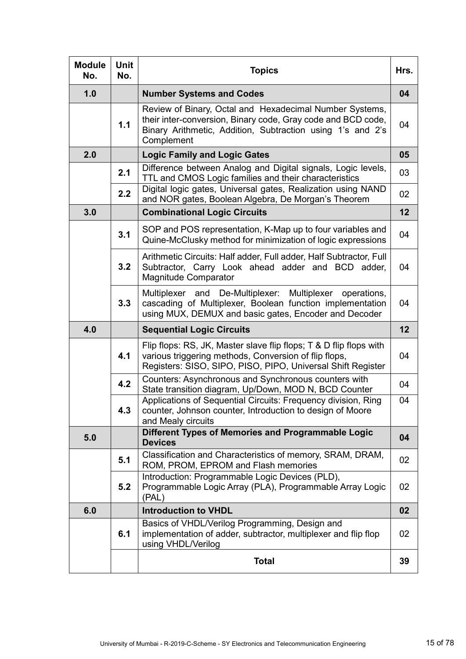| <b>Module</b><br>No. | <b>Unit</b><br>No. | <b>Topics</b>                                                                                                                                                                                       | Hrs. |
|----------------------|--------------------|-----------------------------------------------------------------------------------------------------------------------------------------------------------------------------------------------------|------|
| 1.0                  |                    | <b>Number Systems and Codes</b>                                                                                                                                                                     | 04   |
|                      | 1.1                | Review of Binary, Octal and Hexadecimal Number Systems,<br>their inter-conversion, Binary code, Gray code and BCD code,<br>Binary Arithmetic, Addition, Subtraction using 1's and 2's<br>Complement | 04   |
| 2.0                  |                    | <b>Logic Family and Logic Gates</b>                                                                                                                                                                 | 05   |
|                      | 2.1                | Difference between Analog and Digital signals, Logic levels,<br>TTL and CMOS Logic families and their characteristics                                                                               | 03   |
|                      | 2.2                | Digital logic gates, Universal gates, Realization using NAND<br>and NOR gates, Boolean Algebra, De Morgan's Theorem                                                                                 | 02   |
| 3.0                  |                    | <b>Combinational Logic Circuits</b>                                                                                                                                                                 | 12   |
|                      | 3.1                | SOP and POS representation, K-Map up to four variables and<br>Quine-McClusky method for minimization of logic expressions                                                                           | 04   |
|                      | 3.2                | Arithmetic Circuits: Half adder, Full adder, Half Subtractor, Full<br>Subtractor, Carry Look ahead adder and BCD adder,<br>Magnitude Comparator                                                     | 04   |
|                      | 3.3                | Multiplexer and De-Multiplexer: Multiplexer operations,<br>cascading of Multiplexer, Boolean function implementation<br>using MUX, DEMUX and basic gates, Encoder and Decoder                       | 04   |
| 4.0                  |                    | <b>Sequential Logic Circuits</b>                                                                                                                                                                    | 12   |
|                      | 4.1                | Flip flops: RS, JK, Master slave flip flops; T & D flip flops with<br>various triggering methods, Conversion of flip flops,<br>Registers: SISO, SIPO, PISO, PIPO, Universal Shift Register          | 04   |
|                      | 4.2                | Counters: Asynchronous and Synchronous counters with<br>State transition diagram, Up/Down, MOD N, BCD Counter                                                                                       | 04   |
|                      | 4.3                | Applications of Sequential Circuits: Frequency division, Ring<br>counter, Johnson counter, Introduction to design of Moore<br>and Mealy circuits                                                    | 04   |
| 5.0                  |                    | Different Types of Memories and Programmable Logic<br><b>Devices</b>                                                                                                                                | 04   |
|                      | 5.1                | Classification and Characteristics of memory, SRAM, DRAM,<br>ROM, PROM, EPROM and Flash memories                                                                                                    | 02   |
|                      | 5.2                | Introduction: Programmable Logic Devices (PLD),<br>Programmable Logic Array (PLA), Programmable Array Logic<br>(PAL)                                                                                | 02   |
| 6.0                  |                    | <b>Introduction to VHDL</b>                                                                                                                                                                         | 02   |
|                      | 6.1                | Basics of VHDL/Verilog Programming, Design and<br>implementation of adder, subtractor, multiplexer and flip flop<br>using VHDL/Verilog                                                              | 02   |
|                      |                    | <b>Total</b>                                                                                                                                                                                        | 39   |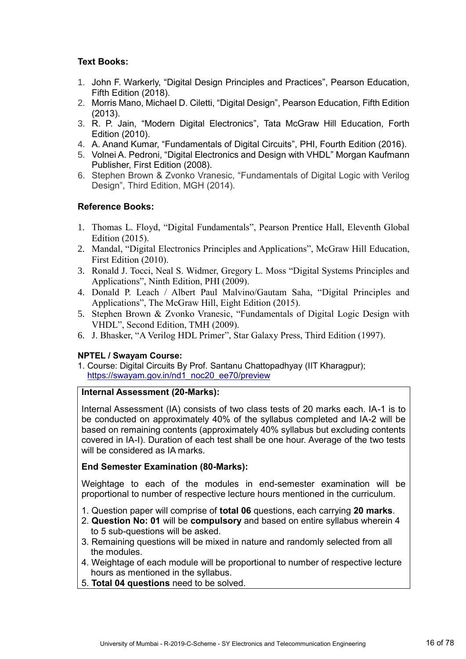#### **Text Books:**

- 1. John F. Warkerly, "Digital Design Principles and Practices", Pearson Education, Fifth Edition (2018).
- 2. Morris Mano, Michael D. Ciletti, "Digital Design", Pearson Education, Fifth Edition (2013).
- 3. R. P. Jain, "Modern Digital Electronics", Tata McGraw Hill Education, Forth Edition (2010).
- 4. A. Anand Kumar, "Fundamentals of Digital Circuits", PHI, Fourth Edition (2016).
- 5. Volnei A. Pedroni, "Digital Electronics and Design with VHDL" Morgan Kaufmann Publisher, First Edition (2008).
- 6. Stephen Brown & Zvonko Vranesic, "Fundamentals of Digital Logic with Verilog Design", Third Edition, MGH (2014).

#### **Reference Books:**

- 1. Thomas L. Floyd, "Digital Fundamentals", Pearson Prentice Hall, Eleventh Global Edition (2015).
- 2. Mandal, "Digital Electronics Principles and Applications", McGraw Hill Education, First Edition (2010).
- 3. Ronald J. Tocci, Neal S. Widmer, Gregory L. Moss "Digital Systems Principles and Applications", Ninth Edition, PHI (2009).
- 4. Donald P. Leach / Albert Paul Malvino/Gautam Saha, "Digital Principles and Applications", The McGraw Hill, Eight Edition (2015).
- 5. Stephen Brown & Zvonko Vranesic, "Fundamentals of Digital Logic Design with VHDL", Second Edition, TMH (2009).
- 6. J. Bhasker, "A Verilog HDL Primer", Star Galaxy Press, Third Edition (1997).

#### **NPTEL / Swayam Course:**

1. Course: Digital Circuits By Prof. Santanu Chattopadhyay (IIT Kharagpur); [https://swayam.gov.in/nd1\\_noc20\\_ee70/preview](https://swayam.gov.in/nd1_noc20_ee70/preview) 

#### **Internal Assessment (20-Marks):**

Internal Assessment (IA) consists of two class tests of 20 marks each. IA-1 is to be conducted on approximately 40% of the syllabus completed and IA-2 will be based on remaining contents (approximately 40% syllabus but excluding contents covered in IA-I). Duration of each test shall be one hour. Average of the two tests will be considered as IA marks.

#### **End Semester Examination (80-Marks):**

Weightage to each of the modules in end-semester examination will be proportional to number of respective lecture hours mentioned in the curriculum.

- 1. Question paper will comprise of **total 06** questions, each carrying **20 marks**.
- 2. **Question No: 01** will be **compulsory** and based on entire syllabus wherein 4 to 5 sub-questions will be asked.
- 3. Remaining questions will be mixed in nature and randomly selected from all the modules.
- 4. Weightage of each module will be proportional to number of respective lecture hours as mentioned in the syllabus.
- 5. **Total 04 questions** need to be solved.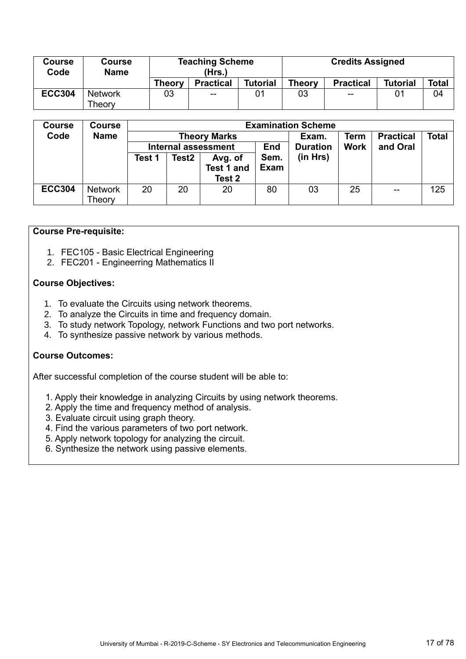| <b>Course</b><br>Code | <b>Course</b><br><b>Name</b> | <b>Teaching Scheme</b><br>(Hrs.) |                          |                 | <b>Credits Assigned</b> |                                       |                 |              |
|-----------------------|------------------------------|----------------------------------|--------------------------|-----------------|-------------------------|---------------------------------------|-----------------|--------------|
|                       |                              | <b>Theory</b>                    | <b>Practical</b>         | <b>Tutorial</b> | <b>Theory</b>           | <b>Practical</b>                      | <b>Tutorial</b> | <b>Total</b> |
| <b>ECC304</b>         | <b>Network</b>               | 03                               | $\overline{\phantom{a}}$ | 01              | 03                      | $\hspace{0.05cm}$ – $\hspace{0.05cm}$ |                 | 04           |
|                       | Theory                       |                                  |                          |                 |                         |                                       |                 |              |

| <b>Course</b> | <b>Course</b>  | <b>Examination Scheme</b> |                   |                            |             |                 |             |                          |              |  |  |
|---------------|----------------|---------------------------|-------------------|----------------------------|-------------|-----------------|-------------|--------------------------|--------------|--|--|
| Code          | <b>Name</b>    | <b>Theory Marks</b>       |                   |                            |             | Exam.           | Term        | <b>Practical</b>         | <b>Total</b> |  |  |
|               |                |                           |                   | <b>Internal assessment</b> |             | <b>Duration</b> | <b>Work</b> | and Oral                 |              |  |  |
|               |                | Test 1                    | Test <sub>2</sub> | Avg. of                    | Sem.        | (in Hrs)        |             |                          |              |  |  |
|               |                |                           |                   | Test 1 and                 | <b>Exam</b> |                 |             |                          |              |  |  |
|               |                |                           |                   | Test 2                     |             |                 |             |                          |              |  |  |
| <b>ECC304</b> | <b>Network</b> | 20                        | 20                | 20                         | 80          | 03              | 25          | $\overline{\phantom{m}}$ | 125          |  |  |
|               | Theory         |                           |                   |                            |             |                 |             |                          |              |  |  |

#### **Course Pre-requisite:**

- 1. FEC105 Basic Electrical Engineering
- 2. FEC201 Engineerring Mathematics II

#### **Course Objectives:**

- 1. To evaluate the Circuits using network theorems.
- 2. To analyze the Circuits in time and frequency domain.
- 3. To study network Topology, network Functions and two port networks.
- 4. To synthesize passive network by various methods.

#### **Course Outcomes:**

- 1. Apply their knowledge in analyzing Circuits by using network theorems.
- 2. Apply the time and frequency method of analysis.
- 3. Evaluate circuit using graph theory.
- 4. Find the various parameters of two port network.
- 5. Apply network topology for analyzing the circuit.
- 6. Synthesize the network using passive elements.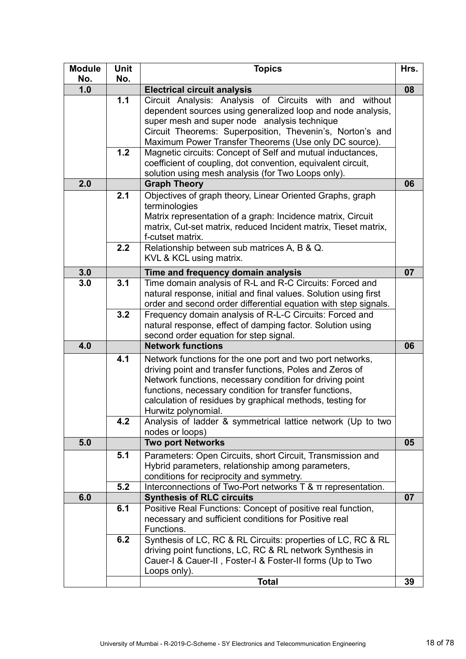| <b>Module</b> | <b>Unit</b> | <b>Topics</b>                                                                                                                                                                                                                                                                                                                                              | Hrs. |
|---------------|-------------|------------------------------------------------------------------------------------------------------------------------------------------------------------------------------------------------------------------------------------------------------------------------------------------------------------------------------------------------------------|------|
| No.<br>1.0    | No.         | <b>Electrical circuit analysis</b>                                                                                                                                                                                                                                                                                                                         | 08   |
|               | 1.1<br>1.2  | Circuit Analysis: Analysis of Circuits with and without<br>dependent sources using generalized loop and node analysis,<br>super mesh and super node analysis technique<br>Circuit Theorems: Superposition, Thevenin's, Norton's and<br>Maximum Power Transfer Theorems (Use only DC source).<br>Magnetic circuits: Concept of Self and mutual inductances, |      |
|               |             | coefficient of coupling, dot convention, equivalent circuit,<br>solution using mesh analysis (for Two Loops only).                                                                                                                                                                                                                                         |      |
| 2.0           |             | <b>Graph Theory</b>                                                                                                                                                                                                                                                                                                                                        | 06   |
|               | 2.1         | Objectives of graph theory, Linear Oriented Graphs, graph<br>terminologies<br>Matrix representation of a graph: Incidence matrix, Circuit<br>matrix, Cut-set matrix, reduced Incident matrix, Tieset matrix,<br>f-cutset matrix.                                                                                                                           |      |
|               | 2.2         | Relationship between sub matrices A, B & Q.<br>KVL & KCL using matrix.                                                                                                                                                                                                                                                                                     |      |
| 3.0           |             | Time and frequency domain analysis                                                                                                                                                                                                                                                                                                                         | 07   |
| 3.0           | 3.1         | Time domain analysis of R-L and R-C Circuits: Forced and<br>natural response, initial and final values. Solution using first<br>order and second order differential equation with step signals.                                                                                                                                                            |      |
|               | 3.2         | Frequency domain analysis of R-L-C Circuits: Forced and<br>natural response, effect of damping factor. Solution using<br>second order equation for step signal.                                                                                                                                                                                            |      |
| 4.0           |             | <b>Network functions</b>                                                                                                                                                                                                                                                                                                                                   | 06   |
|               | 4.1         | Network functions for the one port and two port networks,<br>driving point and transfer functions, Poles and Zeros of<br>Network functions, necessary condition for driving point<br>functions, necessary condition for transfer functions,<br>calculation of residues by graphical methods, testing for<br>Hurwitz polynomial.                            |      |
|               | 4.2         | Analysis of ladder & symmetrical lattice network (Up to two<br>nodes or loops)                                                                                                                                                                                                                                                                             |      |
| 5.0           |             | <b>Two port Networks</b>                                                                                                                                                                                                                                                                                                                                   | 05   |
|               | 5.1         | Parameters: Open Circuits, short Circuit, Transmission and<br>Hybrid parameters, relationship among parameters,<br>conditions for reciprocity and symmetry.                                                                                                                                                                                                |      |
|               | 5.2         | Interconnections of Two-Port networks T & $\pi$ representation.                                                                                                                                                                                                                                                                                            |      |
| 6.0           |             | <b>Synthesis of RLC circuits</b>                                                                                                                                                                                                                                                                                                                           | 07   |
|               | 6.1         | Positive Real Functions: Concept of positive real function,<br>necessary and sufficient conditions for Positive real<br>Functions.                                                                                                                                                                                                                         |      |
|               | 6.2         | Synthesis of LC, RC & RL Circuits: properties of LC, RC & RL<br>driving point functions, LC, RC & RL network Synthesis in<br>Cauer-I & Cauer-II, Foster-I & Foster-II forms (Up to Two<br>Loops only).<br><b>Total</b>                                                                                                                                     | 39   |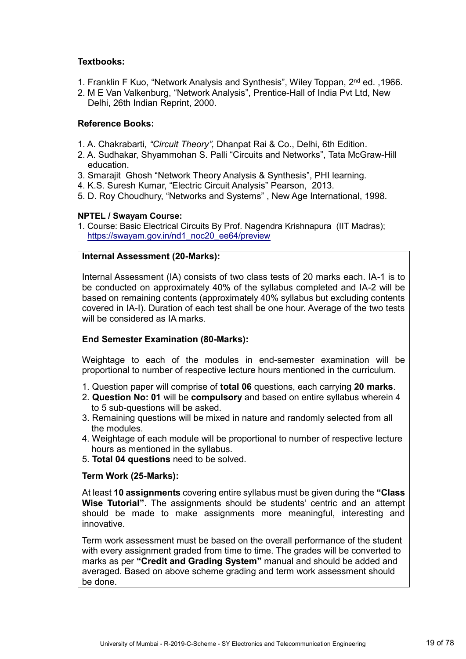#### **Textbooks:**

- 1. Franklin F Kuo, "Network Analysis and Synthesis", Wiley Toppan, 2<sup>nd</sup> ed., 1966.
- 2. M E Van Valkenburg, "Network Analysis", Prentice-Hall of India Pvt Ltd, New Delhi, 26th Indian Reprint, 2000.

#### **Reference Books:**

- 1. A. Chakrabarti*, "Circuit Theory",* Dhanpat Rai & Co., Delhi, 6th Edition.
- 2. A. Sudhakar, Shyammohan S. Palli "Circuits and Networks", Tata McGraw-Hill education.
- 3. Smarajit Ghosh "Network Theory Analysis & Synthesis", PHI learning.
- 4. K.S. Suresh Kumar, "Electric Circuit Analysis" Pearson, 2013.
- 5. D. Roy Choudhury, "Networks and Systems" , New Age International, 1998.

#### **NPTEL / Swayam Course:**

1. Course: Basic Electrical Circuits By Prof. Nagendra Krishnapura (IIT Madras); https://swayam.gov.in/nd1\_noc20\_ee64/preview

#### **Internal Assessment (20-Marks):**

Internal Assessment (IA) consists of two class tests of 20 marks each. IA-1 is to be conducted on approximately 40% of the syllabus completed and IA-2 will be based on remaining contents (approximately 40% syllabus but excluding contents covered in IA-I). Duration of each test shall be one hour. Average of the two tests will be considered as IA marks.

#### **End Semester Examination (80-Marks):**

Weightage to each of the modules in end-semester examination will be proportional to number of respective lecture hours mentioned in the curriculum.

- 1. Question paper will comprise of **total 06** questions, each carrying **20 marks**.
- 2. **Question No: 01** will be **compulsory** and based on entire syllabus wherein 4 to 5 sub-questions will be asked.
- 3. Remaining questions will be mixed in nature and randomly selected from all the modules.
- 4. Weightage of each module will be proportional to number of respective lecture hours as mentioned in the syllabus.
- 5. **Total 04 questions** need to be solved.

#### **Term Work (25-Marks):**

At least **10 assignments** covering entire syllabus must be given during the **"Class Wise Tutorial"**. The assignments should be students' centric and an attempt should be made to make assignments more meaningful, interesting and innovative.

Term work assessment must be based on the overall performance of the student with every assignment graded from time to time. The grades will be converted to marks as per **"Credit and Grading System"** manual and should be added and averaged. Based on above scheme grading and term work assessment should be done.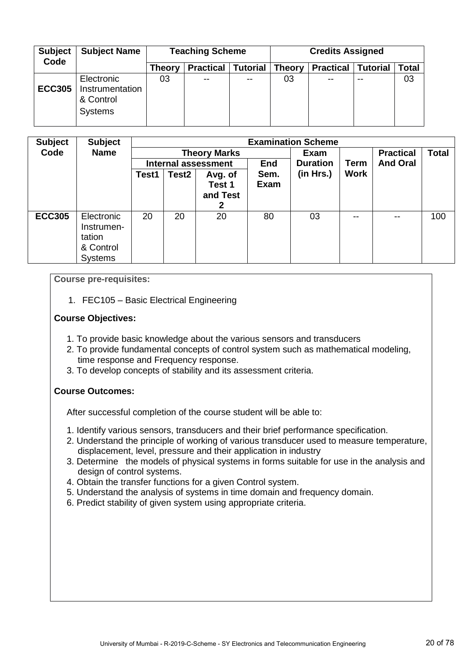| <b>Subject</b><br>Code | <b>Subject Name</b>                                          |        | <b>Teaching Scheme</b> |                 | <b>Credits Assigned</b> |                  |                 |              |  |
|------------------------|--------------------------------------------------------------|--------|------------------------|-----------------|-------------------------|------------------|-----------------|--------------|--|
|                        |                                                              | Theory | <b>Practical</b>       | <b>Tutorial</b> | <b>Theory</b>           | <b>Practical</b> | <b>Tutorial</b> | <b>Total</b> |  |
| <b>ECC305</b>          | Electronic<br>Instrumentation<br>& Control<br><b>Systems</b> | 03     | $- -$                  | $- -$           | 03                      | --               | --              | 03           |  |

| <b>Subject</b> | <b>Subject</b> |       |                     |              |             | <b>Examination Scheme</b> |             |                  |              |
|----------------|----------------|-------|---------------------|--------------|-------------|---------------------------|-------------|------------------|--------------|
| Code           | <b>Name</b>    |       | <b>Theory Marks</b> |              |             | Exam                      |             | <b>Practical</b> | <b>Total</b> |
|                |                |       | Internal assessment |              |             | <b>Duration</b>           | <b>Term</b> | <b>And Oral</b>  |              |
|                |                | Test1 | Test <sub>2</sub>   | Avg. of      | Sem.        | (in Hrs.)                 | <b>Work</b> |                  |              |
|                |                |       |                     | Test 1       | <b>Exam</b> |                           |             |                  |              |
|                |                |       |                     | and Test     |             |                           |             |                  |              |
|                |                |       |                     | $\mathbf{2}$ |             |                           |             |                  |              |
| <b>ECC305</b>  | Electronic     | 20    | 20                  | 20           | 80          | 03                        | --          | --               | 100          |
|                | Instrumen-     |       |                     |              |             |                           |             |                  |              |
|                | tation         |       |                     |              |             |                           |             |                  |              |
|                | & Control      |       |                     |              |             |                           |             |                  |              |
|                | <b>Systems</b> |       |                     |              |             |                           |             |                  |              |

**Course pre-requisites:**

1. FEC105 – Basic Electrical Engineering

#### **Course Objectives:**

- 1. To provide basic knowledge about the various sensors and transducers
- 2. To provide fundamental concepts of control system such as mathematical modeling, time response and Frequency response.
- 3. To develop concepts of stability and its assessment criteria.

#### **Course Outcomes:**

- 1. Identify various sensors, transducers and their brief performance specification.
- 2. Understand the principle of working of various transducer used to measure temperature, displacement, level, pressure and their application in industry
- 3. Determine the models of physical systems in forms suitable for use in the analysis and design of control systems.
- 4. Obtain the transfer functions for a given Control system.
- 5. Understand the analysis of systems in time domain and frequency domain.
- 6. Predict stability of given system using appropriate criteria.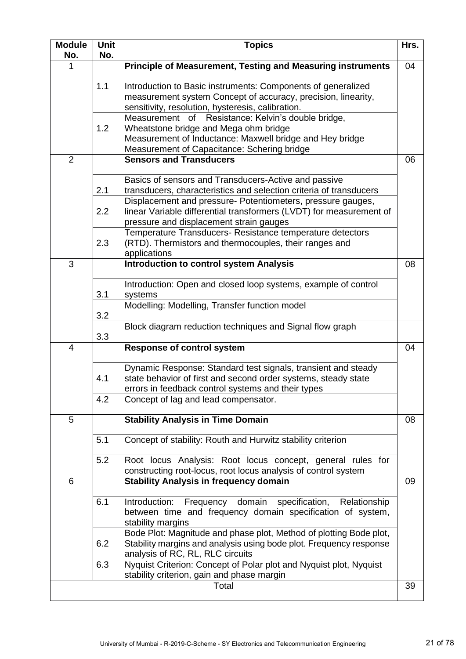| <b>Module</b><br>No. | Unit<br>No.      | <b>Topics</b>                                                                                                                                                                                                                            | Hrs. |
|----------------------|------------------|------------------------------------------------------------------------------------------------------------------------------------------------------------------------------------------------------------------------------------------|------|
| 1                    |                  | Principle of Measurement, Testing and Measuring instruments                                                                                                                                                                              | 04   |
|                      | 1.1              | Introduction to Basic instruments: Components of generalized<br>measurement system Concept of accuracy, precision, linearity,<br>sensitivity, resolution, hysteresis, calibration.<br>Measurement of Resistance: Kelvin's double bridge, |      |
|                      | 1.2              | Wheatstone bridge and Mega ohm bridge<br>Measurement of Inductance: Maxwell bridge and Hey bridge<br>Measurement of Capacitance: Schering bridge                                                                                         |      |
| $\overline{2}$       |                  | <b>Sensors and Transducers</b>                                                                                                                                                                                                           | 06   |
|                      | 2.1              | Basics of sensors and Transducers-Active and passive<br>transducers, characteristics and selection criteria of transducers<br>Displacement and pressure- Potentiometers, pressure gauges,                                                |      |
|                      | $2.2\phantom{0}$ | linear Variable differential transformers (LVDT) for measurement of<br>pressure and displacement strain gauges                                                                                                                           |      |
|                      | 2.3              | Temperature Transducers- Resistance temperature detectors<br>(RTD). Thermistors and thermocouples, their ranges and<br>applications                                                                                                      |      |
| 3                    |                  | <b>Introduction to control system Analysis</b>                                                                                                                                                                                           | 08   |
|                      | 3.1              | Introduction: Open and closed loop systems, example of control<br>systems                                                                                                                                                                |      |
|                      | 3.2              | Modelling: Modelling, Transfer function model                                                                                                                                                                                            |      |
|                      | 3.3              | Block diagram reduction techniques and Signal flow graph                                                                                                                                                                                 |      |
| 4                    |                  | <b>Response of control system</b>                                                                                                                                                                                                        | 04   |
|                      | 4.1              | Dynamic Response: Standard test signals, transient and steady<br>state behavior of first and second order systems, steady state<br>errors in feedback control systems and their types                                                    |      |
|                      | 4.2              | Concept of lag and lead compensator.                                                                                                                                                                                                     |      |
| 5                    |                  | <b>Stability Analysis in Time Domain</b>                                                                                                                                                                                                 | 08   |
|                      | 5.1              | Concept of stability: Routh and Hurwitz stability criterion                                                                                                                                                                              |      |
|                      | 5.2              | Root locus Analysis: Root locus concept, general rules for<br>constructing root-locus, root locus analysis of control system                                                                                                             |      |
| 6                    |                  | <b>Stability Analysis in frequency domain</b>                                                                                                                                                                                            | 09   |
|                      | 6.1              | Frequency domain<br>specification,<br>Introduction:<br>Relationship<br>between time and frequency domain specification of system,<br>stability margins                                                                                   |      |
|                      | 6.2              | Bode Plot: Magnitude and phase plot, Method of plotting Bode plot,<br>Stability margins and analysis using bode plot. Frequency response<br>analysis of RC, RL, RLC circuits                                                             |      |
|                      | 6.3              | Nyquist Criterion: Concept of Polar plot and Nyquist plot, Nyquist<br>stability criterion, gain and phase margin                                                                                                                         |      |
|                      |                  | Total                                                                                                                                                                                                                                    | 39   |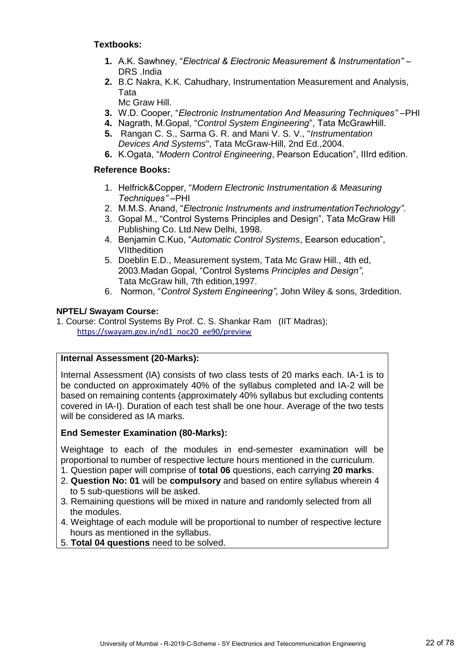#### **Textbooks:**

- **1.** A.K. Sawhney, "*Electrical & Electronic Measurement & Instrumentation"*  DRS .India
- **2.** B.C Nakra, K.K. Cahudhary, Instrumentation Measurement and Analysis, Tata

Mc Graw Hill.

- **3.** W.D. Cooper, "*Electronic Instrumentation And Measuring Techniques"* –PHI
- **4.** Nagrath, M.Gopal, "*Control System Engineering*", Tata McGrawHill.
- **5.** Rangan C. S., Sarma G. R. and Mani V. S. V., "*Instrumentation Devices And Systems*", Tata McGraw-Hill, 2nd Ed.,2004.
- **6.** K.Ogata, "*Modern Control Engineering*, Pearson Education", IIIrd edition.

#### **Reference Books:**

- 1. Helfrick&Copper, "*Modern Electronic Instrumentation & Measuring Techniques"* –PHI
- 2. M.M.S. Anand, "*Electronic Instruments and instrumentationTechnology"*.
- 3. Gopal M., "Control Systems Principles and Design", Tata McGraw Hill Publishing Co. Ltd.New Delhi, 1998.
- 4. Benjamin C.Kuo, "*Automatic Control Systems*, Eearson education", **VIIthedition**
- 5. Doeblin E.D., Measurement system, Tata Mc Graw Hill., 4th ed, 2003.Madan Gopal, "Control Systems *Principles and Design"*, Tata McGraw hill, 7th edition,1997.
- 6. Normon, "*Control System Engineering"*, John Wiley & sons, 3rdedition.

#### **NPTEL/ Swayam Course:**

1. Course: Control Systems By Prof. C. S. Shankar Ram (IIT Madras); [https://swayam.gov.in/nd1\\_noc20\\_ee90/preview](https://swayam.gov.in/nd1_noc20_ee90/preview)

#### **Internal Assessment (20-Marks):**

Internal Assessment (IA) consists of two class tests of 20 marks each. IA-1 is to be conducted on approximately 40% of the syllabus completed and IA-2 will be based on remaining contents (approximately 40% syllabus but excluding contents covered in IA-I). Duration of each test shall be one hour. Average of the two tests will be considered as IA marks.

#### **End Semester Examination (80-Marks):**

Weightage to each of the modules in end-semester examination will be proportional to number of respective lecture hours mentioned in the curriculum.

- 1. Question paper will comprise of **total 06** questions, each carrying **20 marks**.
- 2. **Question No: 01** will be **compulsory** and based on entire syllabus wherein 4 to 5 sub-questions will be asked.
- 3. Remaining questions will be mixed in nature and randomly selected from all the modules.
- 4. Weightage of each module will be proportional to number of respective lecture hours as mentioned in the syllabus.
- 5. **Total 04 questions** need to be solved.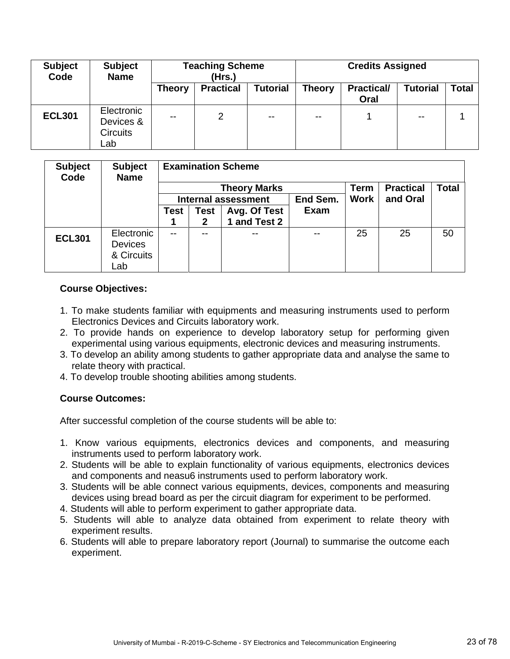| <b>Subject</b><br>Code | <b>Subject</b><br><b>Name</b>                     | <b>Teaching Scheme</b><br>(Hrs.) |                  |                 | <b>Credits Assigned</b> |                           |                 |              |
|------------------------|---------------------------------------------------|----------------------------------|------------------|-----------------|-------------------------|---------------------------|-----------------|--------------|
|                        |                                                   | <b>Theory</b>                    | <b>Practical</b> | <b>Tutorial</b> | <b>Theory</b>           | <b>Practical/</b><br>Oral | <b>Tutorial</b> | <b>Total</b> |
| <b>ECL301</b>          | Electronic<br>Devices &<br><b>Circuits</b><br>∟ab | $\sim$ $\sim$                    | 2                | $- -$           | $\sim$ $\sim$           |                           | $\sim$ $\sim$   |              |

| <b>Subject</b><br>Code | <b>Subject</b><br><b>Name</b> |               | <b>Examination Scheme</b> |                            |             |             |                  |              |  |  |  |
|------------------------|-------------------------------|---------------|---------------------------|----------------------------|-------------|-------------|------------------|--------------|--|--|--|
|                        |                               |               |                           | <b>Theory Marks</b>        |             | <b>Term</b> | <b>Practical</b> | <b>Total</b> |  |  |  |
|                        |                               |               |                           | <b>Internal assessment</b> | <b>Work</b> | and Oral    |                  |              |  |  |  |
|                        |                               | <b>Test</b>   | <b>Test</b>               | Avg. Of Test               | <b>Exam</b> |             |                  |              |  |  |  |
|                        |                               |               | 2                         | 1 and Test 2               |             |             |                  |              |  |  |  |
| <b>ECL301</b>          | Electronic                    | $\sim$ $\sim$ | --                        |                            | $\sim$ $-$  | 25          | 25               | 50           |  |  |  |
|                        | <b>Devices</b>                |               |                           |                            |             |             |                  |              |  |  |  |
|                        | & Circuits                    |               |                           |                            |             |             |                  |              |  |  |  |
|                        | _ab                           |               |                           |                            |             |             |                  |              |  |  |  |

#### **Course Objectives:**

- 1. To make students familiar with equipments and measuring instruments used to perform Electronics Devices and Circuits laboratory work.
- 2. To provide hands on experience to develop laboratory setup for performing given experimental using various equipments, electronic devices and measuring instruments.
- 3. To develop an ability among students to gather appropriate data and analyse the same to relate theory with practical.
- 4. To develop trouble shooting abilities among students.

#### **Course Outcomes:**

- 1. Know various equipments, electronics devices and components, and measuring instruments used to perform laboratory work.
- 2. Students will be able to explain functionality of various equipments, electronics devices and components and neasu6 instruments used to perform laboratory work.
- 3. Students will be able connect various equipments, devices, components and measuring devices using bread board as per the circuit diagram for experiment to be performed.
- 4. Students will able to perform experiment to gather appropriate data.
- 5. Students will able to analyze data obtained from experiment to relate theory with experiment results.
- 6. Students will able to prepare laboratory report (Journal) to summarise the outcome each experiment.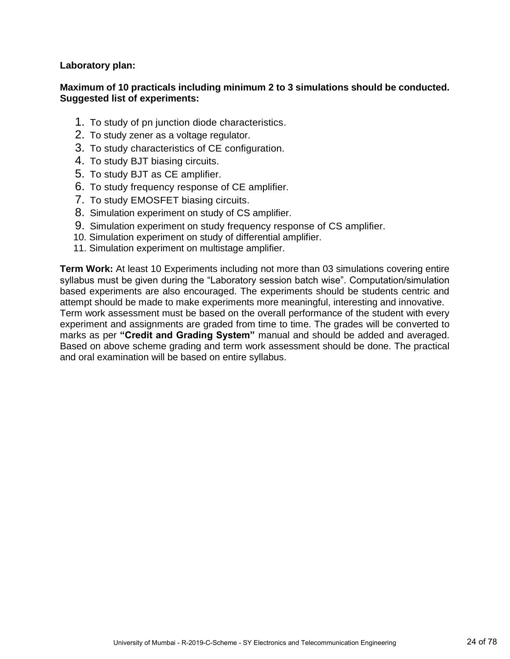**Laboratory plan:**

#### **Maximum of 10 practicals including minimum 2 to 3 simulations should be conducted. Suggested list of experiments:**

- 1. To study of pn junction diode characteristics.
- 2. To study zener as a voltage regulator.
- 3. To study characteristics of CE configuration.
- 4. To study BJT biasing circuits.
- 5. To study BJT as CE amplifier.
- 6. To study frequency response of CE amplifier.
- 7. To study EMOSFET biasing circuits.
- 8. Simulation experiment on study of CS amplifier.
- 9. Simulation experiment on study frequency response of CS amplifier.
- 10. Simulation experiment on study of differential amplifier.
- 11. Simulation experiment on multistage amplifier.

**Term Work:** At least 10 Experiments including not more than 03 simulations covering entire syllabus must be given during the "Laboratory session batch wise". Computation/simulation based experiments are also encouraged. The experiments should be students centric and attempt should be made to make experiments more meaningful, interesting and innovative. Term work assessment must be based on the overall performance of the student with every experiment and assignments are graded from time to time. The grades will be converted to marks as per **"Credit and Grading System"** manual and should be added and averaged. Based on above scheme grading and term work assessment should be done. The practical and oral examination will be based on entire syllabus.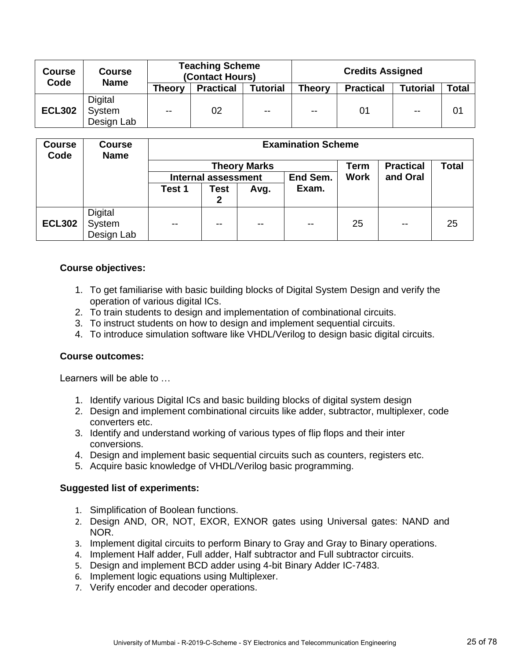| <b>Course</b><br>Code | <b>Course</b><br><b>Name</b> |               | <b>Teaching Scheme</b><br>(Contact Hours) |                 | <b>Credits Assigned</b> |                  |                 |       |
|-----------------------|------------------------------|---------------|-------------------------------------------|-----------------|-------------------------|------------------|-----------------|-------|
|                       |                              | <b>Theory</b> | <b>Practical</b>                          | <b>Tutorial</b> | <b>Theory</b>           | <b>Practical</b> | <b>Tutorial</b> | Total |
|                       | Digital                      |               |                                           |                 |                         |                  |                 |       |
| <b>ECL302</b>         | System                       | $\sim$ $\sim$ | 02                                        | $\sim$ $\sim$   | $\sim$ $\sim$           | 01               | $-$             | 01    |
|                       | Design Lab                   |               |                                           |                 |                         |                  |                 |       |

| <b>Course</b><br>Code | <b>Course</b><br><b>Name</b> | <b>Examination Scheme</b> |                            |               |          |             |                  |              |  |  |  |
|-----------------------|------------------------------|---------------------------|----------------------------|---------------|----------|-------------|------------------|--------------|--|--|--|
|                       |                              | <b>Theory Marks</b>       |                            |               |          |             | <b>Practical</b> | <b>Total</b> |  |  |  |
|                       |                              |                           | <b>Internal assessment</b> |               | End Sem. | <b>Work</b> | and Oral         |              |  |  |  |
|                       |                              | Test 1                    | Test                       | Avg.          | Exam.    |             |                  |              |  |  |  |
|                       |                              |                           | 2                          |               |          |             |                  |              |  |  |  |
|                       | Digital                      |                           |                            |               |          |             |                  |              |  |  |  |
| <b>ECL302</b>         | System                       | $-$                       | --                         | $\sim$ $\sim$ | $-$      | 25          | $-$              | 25           |  |  |  |
|                       | Design Lab                   |                           |                            |               |          |             |                  |              |  |  |  |

#### **Course objectives:**

- 1. To get familiarise with basic building blocks of Digital System Design and verify the operation of various digital ICs.
- 2. To train students to design and implementation of combinational circuits.
- 3. To instruct students on how to design and implement sequential circuits.
- 4. To introduce simulation software like VHDL/Verilog to design basic digital circuits.

#### **Course outcomes:**

Learners will be able to …

- 1. Identify various Digital ICs and basic building blocks of digital system design
- 2. Design and implement combinational circuits like adder, subtractor, multiplexer, code converters etc.
- 3. Identify and understand working of various types of flip flops and their inter conversions.
- 4. Design and implement basic sequential circuits such as counters, registers etc.
- 5. Acquire basic knowledge of VHDL/Verilog basic programming.

#### **Suggested list of experiments:**

- 1. Simplification of Boolean functions.
- 2. Design AND, OR, NOT, EXOR, EXNOR gates using Universal gates: NAND and NOR.
- 3. Implement digital circuits to perform Binary to Gray and Gray to Binary operations.
- 4. Implement Half adder, Full adder, Half subtractor and Full subtractor circuits.
- 5. Design and implement BCD adder using 4-bit Binary Adder IC-7483.
- 6. Implement logic equations using Multiplexer.
- 7. Verify encoder and decoder operations.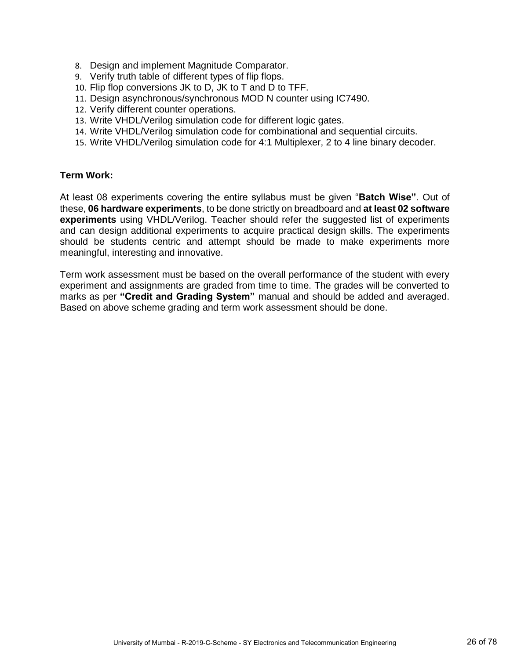- 8. Design and implement Magnitude Comparator.
- 9. Verify truth table of different types of flip flops.
- 10. Flip flop conversions JK to D, JK to T and D to TFF.
- 11. Design asynchronous/synchronous MOD N counter using IC7490.
- 12. Verify different counter operations.
- 13. Write VHDL/Verilog simulation code for different logic gates.
- 14. Write VHDL/Verilog simulation code for combinational and sequential circuits.
- 15. Write VHDL/Verilog simulation code for 4:1 Multiplexer, 2 to 4 line binary decoder.

#### **Term Work:**

At least 08 experiments covering the entire syllabus must be given "**Batch Wise"**. Out of these, **06 hardware experiments**, to be done strictly on breadboard and **at least 02 software experiments** using VHDL/Verilog. Teacher should refer the suggested list of experiments and can design additional experiments to acquire practical design skills. The experiments should be students centric and attempt should be made to make experiments more meaningful, interesting and innovative.

Term work assessment must be based on the overall performance of the student with every experiment and assignments are graded from time to time. The grades will be converted to marks as per **"Credit and Grading System"** manual and should be added and averaged. Based on above scheme grading and term work assessment should be done.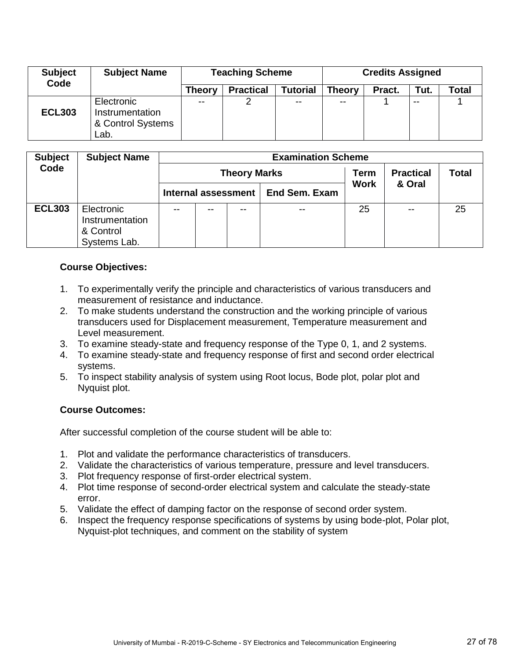| <b>Subject</b><br>Code | <b>Subject Name</b>                                        |               | <b>Teaching Scheme</b> | <b>Credits Assigned</b> |               |        |               |       |
|------------------------|------------------------------------------------------------|---------------|------------------------|-------------------------|---------------|--------|---------------|-------|
|                        |                                                            | Theory        | <b>Practical</b>       | <b>Tutorial</b>         | <b>Theory</b> | Pract. | Tut.          | Total |
| <b>ECL303</b>          | Electronic<br>Instrumentation<br>& Control Systems<br>Lab. | $\sim$ $\sim$ |                        | $\sim$ $\sim$           | $- -$         |        | $\sim$ $\sim$ |       |

| <b>Subject</b> | <b>Subject Name</b>                                        |               |    |                     | <b>Examination Scheme</b> |             |                  |              |
|----------------|------------------------------------------------------------|---------------|----|---------------------|---------------------------|-------------|------------------|--------------|
| Code           |                                                            |               |    | <b>Theory Marks</b> |                           | Term        | <b>Practical</b> | <b>Total</b> |
|                |                                                            |               |    | Internal assessment | <b>End Sem. Exam</b>      | <b>Work</b> | & Oral           |              |
| <b>ECL303</b>  | Electronic<br>Instrumentation<br>& Control<br>Systems Lab. | $\sim$ $\sim$ | -- | --                  | --                        | 25          | $-$              | 25           |

#### **Course Objectives:**

- 1. To experimentally verify the principle and characteristics of various transducers and measurement of resistance and inductance.
- 2. To make students understand the construction and the working principle of various transducers used for Displacement measurement, Temperature measurement and Level measurement.
- 3. To examine steady-state and frequency response of the Type 0, 1, and 2 systems.
- 4. To examine steady-state and frequency response of first and second order electrical systems.
- 5. To inspect stability analysis of system using Root locus, Bode plot, polar plot and Nyquist plot.

#### **Course Outcomes:**

- 1. Plot and validate the performance characteristics of transducers.
- 2. Validate the characteristics of various temperature, pressure and level transducers.
- 3. Plot frequency response of first-order electrical system.
- 4. Plot time response of second-order electrical system and calculate the steady-state error.
- 5. Validate the effect of damping factor on the response of second order system.
- 6. Inspect the frequency response specifications of systems by using bode-plot, Polar plot, Nyquist-plot techniques, and comment on the stability of system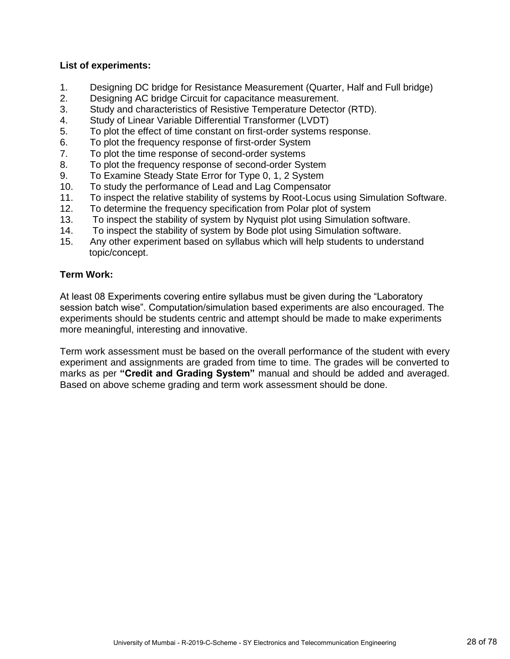#### **List of experiments:**

- 1. Designing DC bridge for Resistance Measurement (Quarter, Half and Full bridge)
- 2. Designing AC bridge Circuit for capacitance measurement.
- 3. Study and characteristics of Resistive Temperature Detector (RTD).
- 4. Study of Linear Variable Differential Transformer (LVDT)
- 5. To plot the effect of time constant on first-order systems response.
- 6. To plot the frequency response of first-order System
- 7. To plot the time response of second-order systems
- 8. To plot the frequency response of second-order System
- 9. To Examine Steady State Error for Type 0, 1, 2 System
- 10. To study the performance of Lead and Lag Compensator
- 11. To inspect the relative stability of systems by Root-Locus using Simulation Software.
- 12. To determine the frequency specification from Polar plot of system
- 13. To inspect the stability of system by Nyquist plot using Simulation software.
- 14. To inspect the stability of system by Bode plot using Simulation software.
- 15. Any other experiment based on syllabus which will help students to understand topic/concept.

#### **Term Work:**

At least 08 Experiments covering entire syllabus must be given during the "Laboratory session batch wise". Computation/simulation based experiments are also encouraged. The experiments should be students centric and attempt should be made to make experiments more meaningful, interesting and innovative.

Term work assessment must be based on the overall performance of the student with every experiment and assignments are graded from time to time. The grades will be converted to marks as per **"Credit and Grading System"** manual and should be added and averaged. Based on above scheme grading and term work assessment should be done.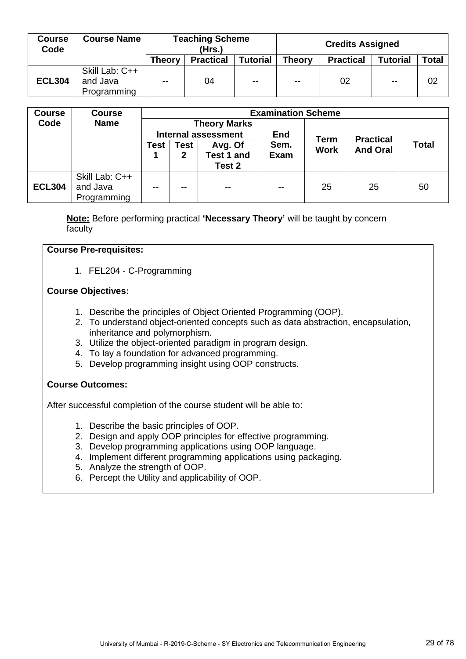| <b>Course</b><br>Code | <b>Course Name</b>                        |            | <b>Teaching Scheme</b><br>(Hrs.) |                 | <b>Credits Assigned</b> |                  |                 |       |  |
|-----------------------|-------------------------------------------|------------|----------------------------------|-----------------|-------------------------|------------------|-----------------|-------|--|
|                       |                                           | Theory     | <b>Practical</b>                 | <b>Tutorial</b> | <b>Theory</b>           | <b>Practical</b> | <b>Tutorial</b> | Total |  |
| <b>ECL304</b>         | Skill Lab: C++<br>and Java<br>Programming | $\sim$ $-$ | 04                               | $\sim$ $\sim$   | $\sim$ $\sim$           | 02               | $\sim$ $\sim$   | 02    |  |

| <b>Course</b> | <b>Course</b>  |                 |                                          |                     | <b>Examination Scheme</b> |             |                  |              |  |  |  |  |  |
|---------------|----------------|-----------------|------------------------------------------|---------------------|---------------------------|-------------|------------------|--------------|--|--|--|--|--|
| Code          | <b>Name</b>    |                 |                                          | <b>Theory Marks</b> |                           |             |                  |              |  |  |  |  |  |
|               |                |                 | <b>End</b><br><b>Internal assessment</b> |                     |                           | <b>Term</b> | <b>Practical</b> |              |  |  |  |  |  |
|               |                | Test            | Test                                     | Avg. Of             | Sem.                      | <b>Work</b> | <b>And Oral</b>  | <b>Total</b> |  |  |  |  |  |
|               |                | Test 1 and<br>2 |                                          | <b>Exam</b>         |                           |             |                  |              |  |  |  |  |  |
|               |                |                 |                                          | Test 2              |                           |             |                  |              |  |  |  |  |  |
|               | Skill Lab: C++ |                 |                                          |                     |                           |             |                  |              |  |  |  |  |  |
| <b>ECL304</b> | and Java       | $- -$           | $- -$                                    | $\sim$ $\sim$       | $\sim$ $\sim$             | 25          | 25               | 50           |  |  |  |  |  |
|               | Programming    |                 |                                          |                     |                           |             |                  |              |  |  |  |  |  |

**Note:** Before performing practical **'Necessary Theory'** will be taught by concern faculty

#### **Course Pre-requisites:**

1. FEL204 - C-Programming

#### **Course Objectives:**

- 1. Describe the principles of Object Oriented Programming (OOP).
- 2. To understand object-oriented concepts such as data abstraction, encapsulation, inheritance and polymorphism.
- 3. Utilize the object-oriented paradigm in program design.
- 4. To lay a foundation for advanced programming.
- 5. Develop programming insight using OOP constructs.

#### **Course Outcomes:**

- 1. Describe the basic principles of OOP.
- 2. Design and apply OOP principles for effective programming.
- 3. Develop programming applications using OOP language.
- 4. Implement different programming applications using packaging.
- 5. Analyze the strength of OOP.
- 6. Percept the Utility and applicability of OOP.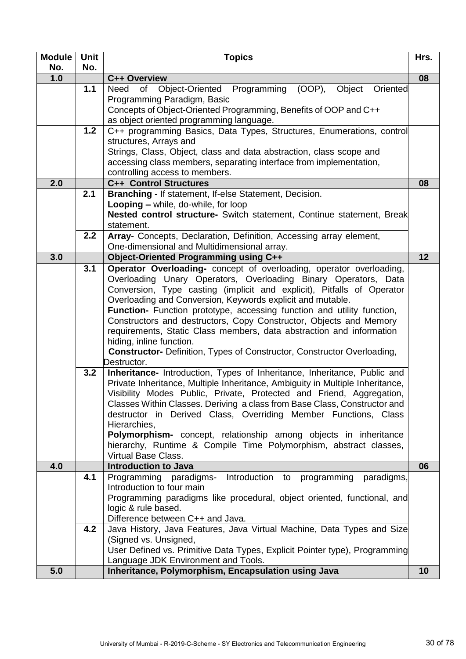| <b>Module</b> | <b>Unit</b> | <b>Topics</b>                                                                                                                              | Hrs. |  |  |  |  |  |  |  |  |
|---------------|-------------|--------------------------------------------------------------------------------------------------------------------------------------------|------|--|--|--|--|--|--|--|--|
| No.           | No.         |                                                                                                                                            |      |  |  |  |  |  |  |  |  |
| 1.0           |             | C++ Overview                                                                                                                               | 08   |  |  |  |  |  |  |  |  |
|               | 1.1         | Object-Oriented Programming (OOP),<br>Need<br>of<br>Object<br>Oriented                                                                     |      |  |  |  |  |  |  |  |  |
|               |             | Programming Paradigm, Basic                                                                                                                |      |  |  |  |  |  |  |  |  |
|               |             | Concepts of Object-Oriented Programming, Benefits of OOP and C++                                                                           |      |  |  |  |  |  |  |  |  |
|               | 1.2         | as object oriented programming language.<br>C++ programming Basics, Data Types, Structures, Enumerations, control                          |      |  |  |  |  |  |  |  |  |
|               |             | structures, Arrays and                                                                                                                     |      |  |  |  |  |  |  |  |  |
|               |             | Strings, Class, Object, class and data abstraction, class scope and                                                                        |      |  |  |  |  |  |  |  |  |
|               |             | accessing class members, separating interface from implementation,                                                                         |      |  |  |  |  |  |  |  |  |
|               |             | controlling access to members.                                                                                                             |      |  |  |  |  |  |  |  |  |
| 2.0           |             | <b>C++ Control Structures</b>                                                                                                              | 08   |  |  |  |  |  |  |  |  |
|               | 2.1         | Branching - If statement, If-else Statement, Decision.                                                                                     |      |  |  |  |  |  |  |  |  |
|               |             | Looping - while, do-while, for loop                                                                                                        |      |  |  |  |  |  |  |  |  |
|               |             | Nested control structure- Switch statement, Continue statement, Break                                                                      |      |  |  |  |  |  |  |  |  |
|               |             | statement.                                                                                                                                 |      |  |  |  |  |  |  |  |  |
|               | 2.2         | Array- Concepts, Declaration, Definition, Accessing array element,                                                                         |      |  |  |  |  |  |  |  |  |
|               |             | One-dimensional and Multidimensional array.                                                                                                |      |  |  |  |  |  |  |  |  |
| 3.0           |             | <b>Object-Oriented Programming using C++</b>                                                                                               | 12   |  |  |  |  |  |  |  |  |
|               | 3.1         | Operator Overloading- concept of overloading, operator overloading,                                                                        |      |  |  |  |  |  |  |  |  |
|               |             | Overloading Unary Operators, Overloading Binary Operators, Data                                                                            |      |  |  |  |  |  |  |  |  |
|               |             | Conversion, Type casting (implicit and explicit), Pitfalls of Operator                                                                     |      |  |  |  |  |  |  |  |  |
|               |             | Overloading and Conversion, Keywords explicit and mutable.                                                                                 |      |  |  |  |  |  |  |  |  |
|               |             | Function- Function prototype, accessing function and utility function,                                                                     |      |  |  |  |  |  |  |  |  |
|               |             | Constructors and destructors, Copy Constructor, Objects and Memory<br>requirements, Static Class members, data abstraction and information |      |  |  |  |  |  |  |  |  |
|               |             | hiding, inline function.                                                                                                                   |      |  |  |  |  |  |  |  |  |
|               |             | <b>Constructor-</b> Definition, Types of Constructor, Constructor Overloading,                                                             |      |  |  |  |  |  |  |  |  |
|               |             | Destructor.                                                                                                                                |      |  |  |  |  |  |  |  |  |
|               | 3.2         | Inheritance- Introduction, Types of Inheritance, Inheritance, Public and                                                                   |      |  |  |  |  |  |  |  |  |
|               |             | Private Inheritance, Multiple Inheritance, Ambiguity in Multiple Inheritance,                                                              |      |  |  |  |  |  |  |  |  |
|               |             | Visibility Modes Public, Private, Protected and Friend, Aggregation,                                                                       |      |  |  |  |  |  |  |  |  |
|               |             | Classes Within Classes. Deriving a class from Base Class, Constructor and                                                                  |      |  |  |  |  |  |  |  |  |
|               |             | destructor in Derived Class, Overriding Member Functions, Class                                                                            |      |  |  |  |  |  |  |  |  |
|               |             | Hierarchies,                                                                                                                               |      |  |  |  |  |  |  |  |  |
|               |             | Polymorphism- concept, relationship among objects in inheritance                                                                           |      |  |  |  |  |  |  |  |  |
|               |             | hierarchy, Runtime & Compile Time Polymorphism, abstract classes,                                                                          |      |  |  |  |  |  |  |  |  |
|               |             | <b>Virtual Base Class.</b><br><b>Introduction to Java</b>                                                                                  | 06   |  |  |  |  |  |  |  |  |
| 4.0           | 4.1         | Introduction to programming<br>Programming paradigms-<br>paradigms,                                                                        |      |  |  |  |  |  |  |  |  |
|               |             | Introduction to four main                                                                                                                  |      |  |  |  |  |  |  |  |  |
|               |             | Programming paradigms like procedural, object oriented, functional, and                                                                    |      |  |  |  |  |  |  |  |  |
|               |             | logic & rule based.                                                                                                                        |      |  |  |  |  |  |  |  |  |
|               |             | Difference between C++ and Java.                                                                                                           |      |  |  |  |  |  |  |  |  |
|               | 4.2         | Java History, Java Features, Java Virtual Machine, Data Types and Size                                                                     |      |  |  |  |  |  |  |  |  |
|               |             | (Signed vs. Unsigned,                                                                                                                      |      |  |  |  |  |  |  |  |  |
|               |             | User Defined vs. Primitive Data Types, Explicit Pointer type), Programming                                                                 |      |  |  |  |  |  |  |  |  |
|               |             | Language JDK Environment and Tools.                                                                                                        |      |  |  |  |  |  |  |  |  |
| 5.0           |             | Inheritance, Polymorphism, Encapsulation using Java                                                                                        | 10   |  |  |  |  |  |  |  |  |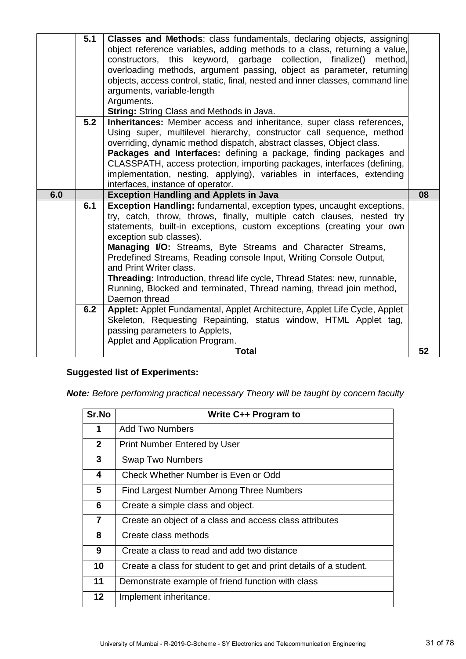|     | 5.1<br>5.2 | <b>Classes and Methods:</b> class fundamentals, declaring objects, assigning<br>object reference variables, adding methods to a class, returning a value,<br>this keyword, garbage collection,<br>constructors,<br>finalize()<br>method.<br>overloading methods, argument passing, object as parameter, returning<br>objects, access control, static, final, nested and inner classes, command line<br>arguments, variable-length<br>Arguments.<br><b>String: String Class and Methods in Java.</b><br>Inheritances: Member access and inheritance, super class references,<br>Using super, multilevel hierarchy, constructor call sequence, method<br>overriding, dynamic method dispatch, abstract classes, Object class.<br>Packages and Interfaces: defining a package, finding packages and<br>CLASSPATH, access protection, importing packages, interfaces (defining,<br>implementation, nesting, applying), variables in interfaces, extending<br>interfaces, instance of operator. |    |
|-----|------------|--------------------------------------------------------------------------------------------------------------------------------------------------------------------------------------------------------------------------------------------------------------------------------------------------------------------------------------------------------------------------------------------------------------------------------------------------------------------------------------------------------------------------------------------------------------------------------------------------------------------------------------------------------------------------------------------------------------------------------------------------------------------------------------------------------------------------------------------------------------------------------------------------------------------------------------------------------------------------------------------|----|
| 6.0 |            | <b>Exception Handling and Applets in Java</b>                                                                                                                                                                                                                                                                                                                                                                                                                                                                                                                                                                                                                                                                                                                                                                                                                                                                                                                                              | 08 |
|     | 6.1<br>6.2 | <b>Exception Handling:</b> fundamental, exception types, uncaught exceptions,<br>try, catch, throw, throws, finally, multiple catch clauses, nested try<br>statements, built-in exceptions, custom exceptions (creating your own<br>exception sub classes).<br><b>Managing I/O:</b> Streams, Byte Streams and Character Streams,<br>Predefined Streams, Reading console Input, Writing Console Output,<br>and Print Writer class.<br><b>Threading:</b> Introduction, thread life cycle, Thread States: new, runnable,<br>Running, Blocked and terminated, Thread naming, thread join method,<br>Daemon thread<br>Applet: Applet Fundamental, Applet Architecture, Applet Life Cycle, Applet<br>Skeleton, Requesting Repainting, status window, HTML Applet tag,<br>passing parameters to Applets,<br>Applet and Application Program.                                                                                                                                                       |    |
|     |            | Total                                                                                                                                                                                                                                                                                                                                                                                                                                                                                                                                                                                                                                                                                                                                                                                                                                                                                                                                                                                      | 52 |

#### **Suggested list of Experiments:**

*Note: Before performing practical necessary Theory will be taught by concern faculty*

| Sr.No          | Write C++ Program to                                              |
|----------------|-------------------------------------------------------------------|
| 1              | Add Two Numbers                                                   |
| $\mathbf{2}$   | <b>Print Number Entered by User</b>                               |
| 3              | <b>Swap Two Numbers</b>                                           |
| 4              | Check Whether Number is Even or Odd                               |
| 5              | <b>Find Largest Number Among Three Numbers</b>                    |
| 6              | Create a simple class and object.                                 |
| $\overline{7}$ | Create an object of a class and access class attributes           |
| 8              | Create class methods                                              |
| 9              | Create a class to read and add two distance                       |
| 10             | Create a class for student to get and print details of a student. |
| 11             | Demonstrate example of friend function with class                 |
| $12 \,$        | Implement inheritance.                                            |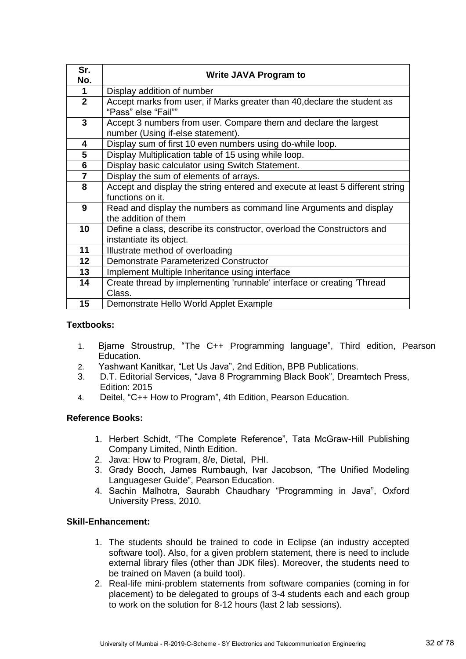| Sr.<br>No.     | <b>Write JAVA Program to</b>                                                                          |
|----------------|-------------------------------------------------------------------------------------------------------|
| 1              | Display addition of number                                                                            |
| $\overline{2}$ | Accept marks from user, if Marks greater than 40, declare the student as<br>"Pass" else "Fail""       |
| 3              | Accept 3 numbers from user. Compare them and declare the largest<br>number (Using if-else statement). |
| 4              | Display sum of first 10 even numbers using do-while loop.                                             |
| 5              | Display Multiplication table of 15 using while loop.                                                  |
| 6              | Display basic calculator using Switch Statement.                                                      |
| $\overline{7}$ | Display the sum of elements of arrays.                                                                |
| 8              | Accept and display the string entered and execute at least 5 different string                         |
|                | functions on it.                                                                                      |
| 9              | Read and display the numbers as command line Arguments and display<br>the addition of them            |
| 10             | Define a class, describe its constructor, overload the Constructors and                               |
|                | instantiate its object.                                                                               |
| 11             | Illustrate method of overloading                                                                      |
| 12             | Demonstrate Parameterized Constructor                                                                 |
| 13             | Implement Multiple Inheritance using interface                                                        |
| 14             | Create thread by implementing 'runnable' interface or creating 'Thread                                |
|                | Class.                                                                                                |
| 15             | Demonstrate Hello World Applet Example                                                                |

#### **Textbooks:**

- 1. Bjarne Stroustrup, "The C++ Programming language", Third edition, Pearson Education.
- 2. Yashwant Kanitkar, "Let Us Java", 2nd Edition, BPB Publications.
- 3. D.T. Editorial Services, "Java 8 Programming Black Book", Dreamtech Press, Edition: 2015
- 4. Deitel, "C++ How to Program", 4th Edition, Pearson Education.

#### **Reference Books:**

- 1. Herbert Schidt, "The Complete Reference", Tata McGraw-Hill Publishing Company Limited, Ninth Edition.
- 2. Java: How to Program, 8/e, Dietal, PHI.
- 3. Grady Booch, James Rumbaugh, Ivar Jacobson, "The Unified Modeling Languageser Guide", Pearson Education.
- 4. Sachin Malhotra, Saurabh Chaudhary "Programming in Java", Oxford University Press, 2010.

#### **Skill-Enhancement:**

- 1. The students should be trained to code in Eclipse (an industry accepted software tool). Also, for a given problem statement, there is need to include external library files (other than JDK files). Moreover, the students need to be trained on Maven (a build tool).
- 2. Real-life mini-problem statements from software companies (coming in for placement) to be delegated to groups of 3-4 students each and each group to work on the solution for 8-12 hours (last 2 lab sessions).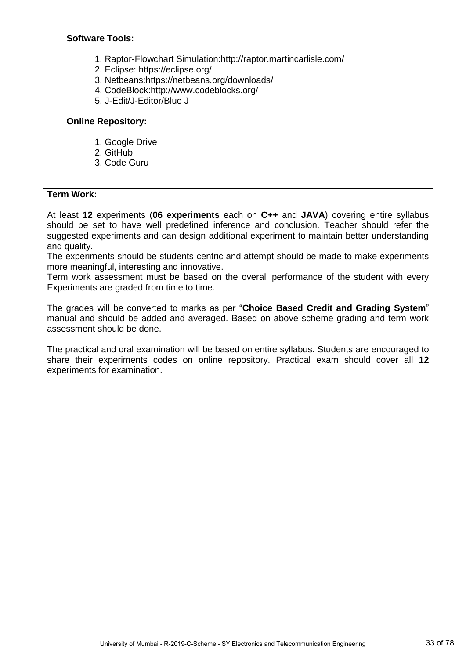#### **Software Tools:**

- 1. Raptor-Flowchart Simulation:http://raptor.martincarlisle.com/
- 2. Eclipse: https://eclipse.org/
- 3. Netbeans:https://netbeans.org/downloads/
- 4. CodeBlock:http://www.codeblocks.org/
- 5. J-Edit/J-Editor/Blue J

#### **Online Repository:**

- 1. Google Drive
- 2. GitHub
- 3. Code Guru

#### **Term Work:**

At least **12** experiments (**06 experiments** each on **C++** and **JAVA**) covering entire syllabus should be set to have well predefined inference and conclusion. Teacher should refer the suggested experiments and can design additional experiment to maintain better understanding and quality.

The experiments should be students centric and attempt should be made to make experiments more meaningful, interesting and innovative.

Term work assessment must be based on the overall performance of the student with every Experiments are graded from time to time.

The grades will be converted to marks as per "**Choice Based Credit and Grading System**" manual and should be added and averaged. Based on above scheme grading and term work assessment should be done.

The practical and oral examination will be based on entire syllabus. Students are encouraged to share their experiments codes on online repository. Practical exam should cover all **12** experiments for examination.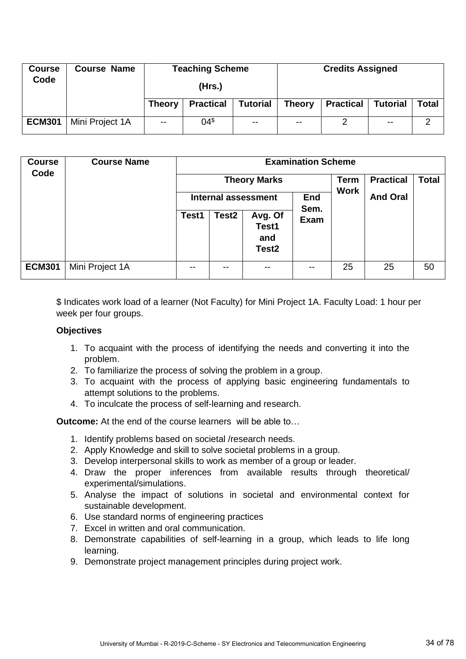| <b>Course</b><br>Code | <b>Course Name</b> |               | <b>Teaching Scheme</b> |                 | <b>Credits Assigned</b> |                  |                 |       |
|-----------------------|--------------------|---------------|------------------------|-----------------|-------------------------|------------------|-----------------|-------|
|                       |                    |               | (Hrs.)                 |                 |                         |                  |                 |       |
|                       |                    | <b>Theory</b> | <b>Practical</b>       | <b>Tutorial</b> | <b>Theory</b>           | <b>Practical</b> | <b>Tutorial</b> | Total |
| <b>ECM301</b>         | Mini Project 1A    | $-$           | 04 <sup>⁵</sup>        | $\sim$ $\sim$   | $\sim$ $\sim$           | っ                | $\sim$ $\sim$   | 2     |

| <b>Course</b><br>Code | <b>Course Name</b> | <b>Examination Scheme</b><br><b>Theory Marks</b><br><b>End</b><br>Internal assessment |                   |                                              |                     | <b>Term</b><br><b>Work</b> | <b>Practical</b><br><b>And Oral</b> | <b>Total</b> |
|-----------------------|--------------------|---------------------------------------------------------------------------------------|-------------------|----------------------------------------------|---------------------|----------------------------|-------------------------------------|--------------|
|                       |                    | Test1                                                                                 | Test <sub>2</sub> | Avg. Of<br>Test1<br>and<br>Test <sub>2</sub> | Sem.<br><b>Exam</b> |                            |                                     |              |
| <b>ECM301</b>         | Mini Project 1A    | --                                                                                    | --                | --                                           | --                  | 25                         | 25                                  | 50           |

\$ Indicates work load of a learner (Not Faculty) for Mini Project 1A. Faculty Load: 1 hour per week per four groups.

#### **Objectives**

- 1. To acquaint with the process of identifying the needs and converting it into the problem.
- 2. To familiarize the process of solving the problem in a group.
- 3. To acquaint with the process of applying basic engineering fundamentals to attempt solutions to the problems.
- 4. To inculcate the process of self-learning and research.

**Outcome:** At the end of the course learners will be able to…

- 1. Identify problems based on societal /research needs.
- 2. Apply Knowledge and skill to solve societal problems in a group.
- 3. Develop interpersonal skills to work as member of a group or leader.
- 4. Draw the proper inferences from available results through theoretical/ experimental/simulations.
- 5. Analyse the impact of solutions in societal and environmental context for sustainable development.
- 6. Use standard norms of engineering practices
- 7. Excel in written and oral communication.
- 8. Demonstrate capabilities of self-learning in a group, which leads to life long learning.
- 9. Demonstrate project management principles during project work.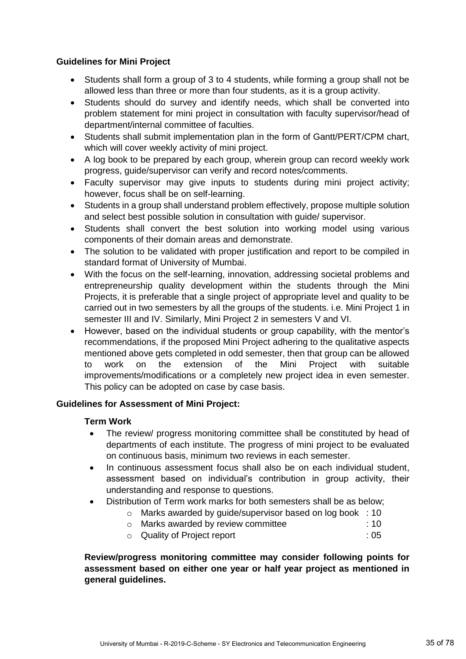#### **Guidelines for Mini Project**

- Students shall form a group of 3 to 4 students, while forming a group shall not be allowed less than three or more than four students, as it is a group activity.
- Students should do survey and identify needs, which shall be converted into problem statement for mini project in consultation with faculty supervisor/head of department/internal committee of faculties.
- Students shall submit implementation plan in the form of Gantt/PERT/CPM chart, which will cover weekly activity of mini project.
- A log book to be prepared by each group, wherein group can record weekly work progress, guide/supervisor can verify and record notes/comments.
- Faculty supervisor may give inputs to students during mini project activity; however, focus shall be on self-learning.
- Students in a group shall understand problem effectively, propose multiple solution and select best possible solution in consultation with guide/ supervisor.
- Students shall convert the best solution into working model using various components of their domain areas and demonstrate.
- The solution to be validated with proper justification and report to be compiled in standard format of University of Mumbai.
- With the focus on the self-learning, innovation, addressing societal problems and entrepreneurship quality development within the students through the Mini Projects, it is preferable that a single project of appropriate level and quality to be carried out in two semesters by all the groups of the students. i.e. Mini Project 1 in semester III and IV. Similarly, Mini Project 2 in semesters V and VI.
- However, based on the individual students or group capability, with the mentor's recommendations, if the proposed Mini Project adhering to the qualitative aspects mentioned above gets completed in odd semester, then that group can be allowed to work on the extension of the Mini Project with suitable improvements/modifications or a completely new project idea in even semester. This policy can be adopted on case by case basis.

#### **Guidelines for Assessment of Mini Project:**

#### **Term Work**

- The review/ progress monitoring committee shall be constituted by head of departments of each institute. The progress of mini project to be evaluated on continuous basis, minimum two reviews in each semester.
- In continuous assessment focus shall also be on each individual student, assessment based on individual's contribution in group activity, their understanding and response to questions.
- Distribution of Term work marks for both semesters shall be as below;
	- o Marks awarded by guide/supervisor based on log book : 10
	- o Marks awarded by review committee : 10
	- o Quality of Project report : 05

**Review/progress monitoring committee may consider following points for assessment based on either one year or half year project as mentioned in general guidelines.**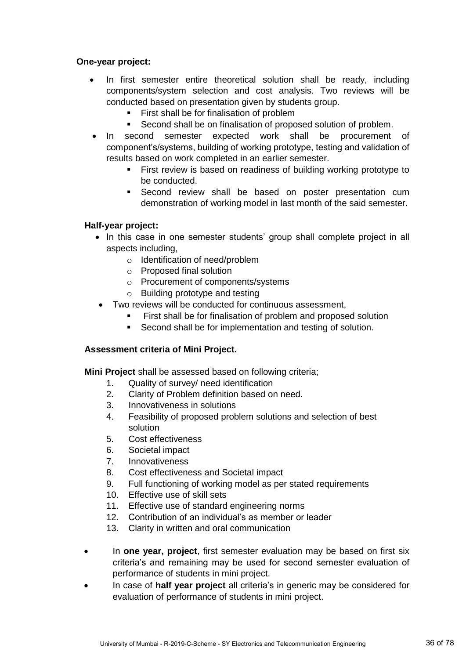#### **One-year project:**

- In first semester entire theoretical solution shall be ready, including components/system selection and cost analysis. Two reviews will be conducted based on presentation given by students group.
	- First shall be for finalisation of problem
	- Second shall be on finalisation of proposed solution of problem.
- In second semester expected work shall be procurement of component's/systems, building of working prototype, testing and validation of results based on work completed in an earlier semester.
	- First review is based on readiness of building working prototype to be conducted.
	- **Second review shall be based on poster presentation cum** demonstration of working model in last month of the said semester.

#### **Half-year project:**

- In this case in one semester students' group shall complete project in all aspects including,
	- o Identification of need/problem
	- o Proposed final solution
	- o Procurement of components/systems
	- o Building prototype and testing
- Two reviews will be conducted for continuous assessment,
	- **First shall be for finalisation of problem and proposed solution**
	- **Second shall be for implementation and testing of solution.**

#### **Assessment criteria of Mini Project.**

**Mini Project** shall be assessed based on following criteria;

- 1. Quality of survey/ need identification
- 2. Clarity of Problem definition based on need.
- 3. Innovativeness in solutions
- 4. Feasibility of proposed problem solutions and selection of best solution
- 5. Cost effectiveness
- 6. Societal impact
- 7. Innovativeness
- 8. Cost effectiveness and Societal impact
- 9. Full functioning of working model as per stated requirements
- 10. Effective use of skill sets
- 11. Effective use of standard engineering norms
- 12. Contribution of an individual's as member or leader
- 13. Clarity in written and oral communication
- In **one year, project**, first semester evaluation may be based on first six criteria's and remaining may be used for second semester evaluation of performance of students in mini project.
- In case of **half year project** all criteria's in generic may be considered for evaluation of performance of students in mini project.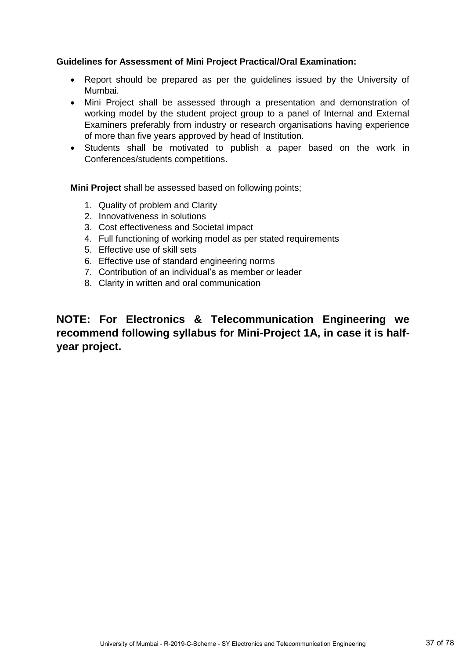## **Guidelines for Assessment of Mini Project Practical/Oral Examination:**

- Report should be prepared as per the guidelines issued by the University of Mumbai.
- Mini Project shall be assessed through a presentation and demonstration of working model by the student project group to a panel of Internal and External Examiners preferably from industry or research organisations having experience of more than five years approved by head of Institution.
- Students shall be motivated to publish a paper based on the work in Conferences/students competitions.

**Mini Project** shall be assessed based on following points;

- 1. Quality of problem and Clarity
- 2. Innovativeness in solutions
- 3. Cost effectiveness and Societal impact
- 4. Full functioning of working model as per stated requirements
- 5. Effective use of skill sets
- 6. Effective use of standard engineering norms
- 7. Contribution of an individual's as member or leader
- 8. Clarity in written and oral communication

**NOTE: For Electronics & Telecommunication Engineering we recommend following syllabus for Mini-Project 1A, in case it is halfyear project.**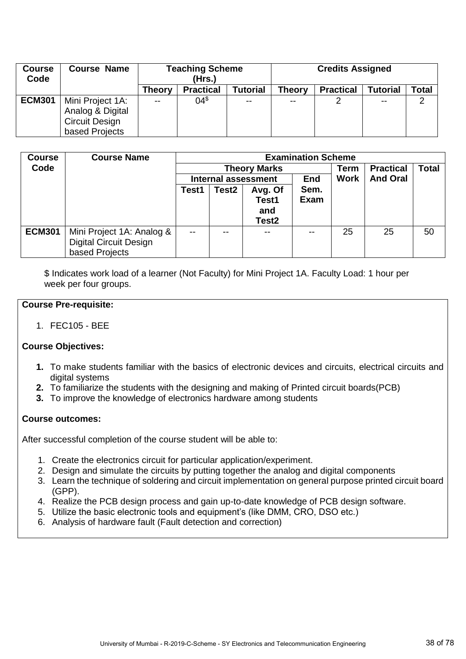| <b>Course</b><br>Code | <b>Course Name</b>                                                              | <b>Teaching Scheme</b><br>(Hrs.) |                  |          | <b>Credits Assigned</b> |                  |                 |       |  |
|-----------------------|---------------------------------------------------------------------------------|----------------------------------|------------------|----------|-------------------------|------------------|-----------------|-------|--|
|                       |                                                                                 | <b>Theory</b>                    | <b>Practical</b> | Tutorial | <b>Theory</b>           | <b>Practical</b> | <b>Tutorial</b> | Total |  |
| <b>ECM301</b>         | Mini Project 1A:<br>Analog & Digital<br><b>Circuit Design</b><br>based Projects | $\sim$ $\sim$                    | 04 <sup>⁵</sup>  |          | $- -$                   |                  | $\sim$ $\sim$   | າ     |  |

| <b>Course</b> | <b>Course Name</b>                                                           |               | <b>Examination Scheme</b> |                                              |              |             |                  |              |  |  |
|---------------|------------------------------------------------------------------------------|---------------|---------------------------|----------------------------------------------|--------------|-------------|------------------|--------------|--|--|
| Code          |                                                                              |               | <b>Theory Marks</b>       |                                              |              | Term        | <b>Practical</b> | <b>Total</b> |  |  |
|               |                                                                              |               |                           | <b>Internal assessment</b>                   | End          | <b>Work</b> | <b>And Oral</b>  |              |  |  |
|               |                                                                              | Test1         | Test <sub>2</sub>         | Avg. Of<br>Test1<br>and<br>Test <sub>2</sub> | Sem.<br>Exam |             |                  |              |  |  |
| <b>ECM301</b> | Mini Project 1A: Analog &<br><b>Digital Circuit Design</b><br>based Projects | $\sim$ $\sim$ | $\sim$ $\sim$             | $\sim$ $\sim$                                | --           | 25          | 25               | 50           |  |  |

\$ Indicates work load of a learner (Not Faculty) for Mini Project 1A. Faculty Load: 1 hour per week per four groups.

### **Course Pre-requisite:**

1. FEC105 - BEE

### **Course Objectives:**

- **1.** To make students familiar with the basics of electronic devices and circuits, electrical circuits and digital systems
- **2.** To familiarize the students with the designing and making of Printed circuit boards(PCB)
- **3.** To improve the knowledge of electronics hardware among students

### **Course outcomes:**

- 1. Create the electronics circuit for particular application/experiment.
- 2. Design and simulate the circuits by putting together the analog and digital components
- 3. Learn the technique of soldering and circuit implementation on general purpose printed circuit board (GPP).
- 4. Realize the PCB design process and gain up-to-date knowledge of PCB design software.
- 5. Utilize the basic electronic tools and equipment's (like DMM, CRO, DSO etc.)
- 6. Analysis of hardware fault (Fault detection and correction)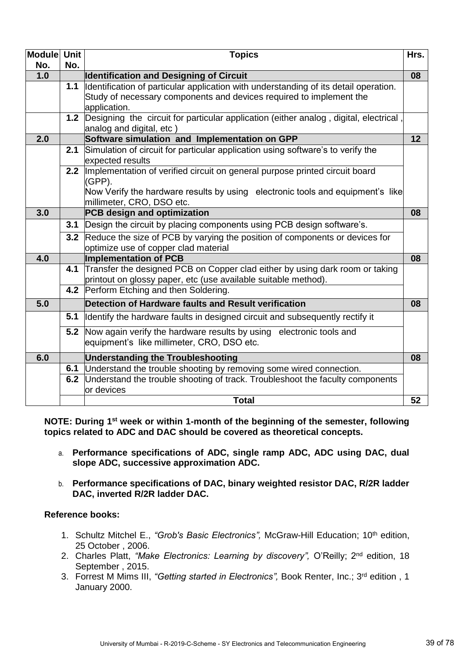| Module Unit |     | <b>Topics</b>                                                                                                                                      | Hrs. |
|-------------|-----|----------------------------------------------------------------------------------------------------------------------------------------------------|------|
| No.         | No. |                                                                                                                                                    |      |
| 1.0         |     | <b>Identification and Designing of Circuit</b>                                                                                                     | 08   |
|             |     | 1.1   Identification of particular application with understanding of its detail operation.                                                         |      |
|             |     | Study of necessary components and devices required to implement the                                                                                |      |
|             |     | application.                                                                                                                                       |      |
|             |     | 1.2 Designing the circuit for particular application (either analog, digital, electrical,                                                          |      |
|             |     | analog and digital, etc)                                                                                                                           |      |
| 2.0         |     | Software simulation and Implementation on GPP                                                                                                      | 12   |
|             |     | 2.1 Simulation of circuit for particular application using software's to verify the                                                                |      |
|             |     | expected results                                                                                                                                   |      |
|             |     | 2.2 Implementation of verified circuit on general purpose printed circuit board<br>(GPP).                                                          |      |
|             |     | Now Verify the hardware results by using electronic tools and equipment's like                                                                     |      |
|             |     | millimeter, CRO, DSO etc.                                                                                                                          |      |
| 3.0         |     | PCB design and optimization                                                                                                                        | 08   |
|             |     | 3.1 Design the circuit by placing components using PCB design software's.                                                                          |      |
|             |     | 3.2 Reduce the size of PCB by varying the position of components or devices for                                                                    |      |
|             |     | optimize use of copper clad material                                                                                                               |      |
| 4.0         |     | <b>Implementation of PCB</b>                                                                                                                       | 08   |
|             |     | 4.1 Transfer the designed PCB on Copper clad either by using dark room or taking<br>printout on glossy paper, etc (use available suitable method). |      |
|             |     | 4.2 Perform Etching and then Soldering.                                                                                                            |      |
| 5.0         |     | Detection of Hardware faults and Result verification                                                                                               | 08   |
|             |     | 5.1 Identify the hardware faults in designed circuit and subsequently rectify it                                                                   |      |
|             |     | 5.2 Now again verify the hardware results by using electronic tools and                                                                            |      |
|             |     | equipment's like millimeter, CRO, DSO etc.                                                                                                         |      |
| 6.0         |     | <b>Understanding the Troubleshooting</b>                                                                                                           | 08   |
|             |     | 6.1 Understand the trouble shooting by removing some wired connection.                                                                             |      |
|             |     | 6.2 Understand the trouble shooting of track. Troubleshoot the faculty components                                                                  |      |
|             |     | or devices                                                                                                                                         |      |
|             |     | <b>Total</b>                                                                                                                                       | 52   |

**NOTE: During 1st week or within 1-month of the beginning of the semester, following topics related to ADC and DAC should be covered as theoretical concepts.**

- a. **Performance specifications of ADC, single ramp ADC, ADC using DAC, dual slope ADC, successive approximation ADC.**
- b. **Performance specifications of DAC, binary weighted resistor DAC, R/2R ladder DAC, inverted R/2R ladder DAC.**

### **Reference books:**

- 1. Schultz Mitchel E., *"Grob's Basic Electronics",* McGraw-Hill Education; 10th edition, 25 October , 2006.
- 2. Charles Platt, "Make Electronics: Learning by discovery", O'Reilly; 2<sup>nd</sup> edition, 18 September , 2015.
- 3. Forrest M Mims III, *"Getting started in Electronics",* Book Renter, Inc.; 3rd edition , 1 January 2000.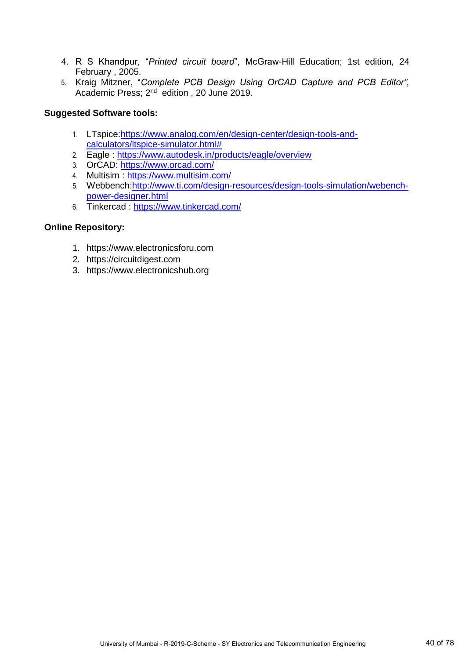- 4. R S Khandpur, "*Printed circuit board*", McGraw-Hill Education; 1st edition, 24 February , 2005.
- 5. K[raig Mitzner](https://www.amazon.in/Kraig-Mitzner/e/B001IOH7IK/ref=dp_byline_cont_ebooks_1), "*Complete PCB Design Using OrCAD Capture and PCB Editor",* Academic Press; 2<sup>nd</sup> edition, 20 June 2019.

### **Suggested Software tools:**

- 1. LTspice[:https://www.analog.com/en/design-center/design-tools-and](https://www.analog.com/en/design-center/design-tools-and-calculators/ltspice-simulator.html)[calculators/ltspice-simulator.html#](https://www.analog.com/en/design-center/design-tools-and-calculators/ltspice-simulator.html)
- 2. Eagle : <https://www.autodesk.in/products/eagle/overview>
- 3. OrCAD: <https://www.orcad.com/>
- 4. Multisim :<https://www.multisim.com/>
- 5. Webbench[:http://www.ti.com/design-resources/design-tools-simulation/webench](http://www.ti.com/design-resources/design-tools-simulation/webench-power-designer.html)[power-designer.html](http://www.ti.com/design-resources/design-tools-simulation/webench-power-designer.html)
- 6. Tinkercad :<https://www.tinkercad.com/>

## **Online Repository:**

- 1. https://www.electronicsforu.com
- 2. https://circuitdigest.com
- 3. https://www.electronicshub.org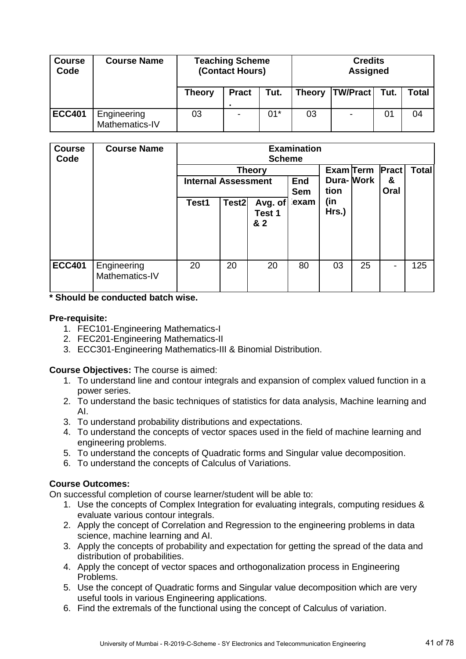| <b>Course</b><br>Code | <b>Course Name</b>            | <b>Teaching Scheme</b><br>(Contact Hours) |                |       | <b>Credits</b><br><b>Assigned</b> |                 |      |       |  |  |
|-----------------------|-------------------------------|-------------------------------------------|----------------|-------|-----------------------------------|-----------------|------|-------|--|--|
|                       |                               | Theory                                    | <b>Pract</b>   | Tut.  | <b>Theory</b>                     | <b>TW/Pract</b> | Tut. | Total |  |  |
| <b>ECC401</b>         | Engineering<br>Mathematics-IV | 03                                        | $\blacksquare$ | $01*$ | 03                                | ۰               | 01   | 04    |  |  |

| <b>Course</b><br>Code | <b>Course Name</b>            | <b>Examination</b><br><b>Scheme</b>         |                         |                          |                    |                      |              |      |     |  |  |
|-----------------------|-------------------------------|---------------------------------------------|-------------------------|--------------------------|--------------------|----------------------|--------------|------|-----|--|--|
|                       |                               | <b>Theory</b><br><b>Internal Assessment</b> | Dura-Work<br><b>End</b> |                          | Exam Term          | <b>Pract</b><br>&    | <b>Total</b> |      |     |  |  |
|                       |                               | Test1                                       | Test <sub>2</sub>       | Avg. of<br>Test 1<br>& 2 | <b>Sem</b><br>exam | tion<br>(in<br>Hrs.) |              | Oral |     |  |  |
| <b>ECC401</b>         |                               | 20                                          | 20                      | 20                       | 80                 | 03                   | 25           | -    | 125 |  |  |
|                       | Engineering<br>Mathematics-IV |                                             |                         |                          |                    |                      |              |      |     |  |  |

**\* Should be conducted batch wise.**

#### **Pre-requisite:**

- 1. FEC101-Engineering Mathematics-I
- 2. FEC201-Engineering Mathematics-II
- 3. ECC301-Engineering Mathematics-III & Binomial Distribution.

### **Course Objectives:** The course is aimed:

- 1. To understand line and contour integrals and expansion of complex valued function in a power series.
- 2. To understand the basic techniques of statistics for data analysis, Machine learning and AI.
- 3. To understand probability distributions and expectations.
- 4. To understand the concepts of vector spaces used in the field of machine learning and engineering problems.
- 5. To understand the concepts of Quadratic forms and Singular value decomposition.
- 6. To understand the concepts of Calculus of Variations.

## **Course Outcomes:**

On successful completion of course learner/student will be able to:

- 1. Use the concepts of Complex Integration for evaluating integrals, computing residues & evaluate various contour integrals.
- 2. Apply the concept of Correlation and Regression to the engineering problems in data science, machine learning and AI.
- 3. Apply the concepts of probability and expectation for getting the spread of the data and distribution of probabilities.
- 4. Apply the concept of vector spaces and orthogonalization process in Engineering Problems.
- 5. Use the concept of Quadratic forms and Singular value decomposition which are very useful tools in various Engineering applications.
- 6. Find the extremals of the functional using the concept of Calculus of variation.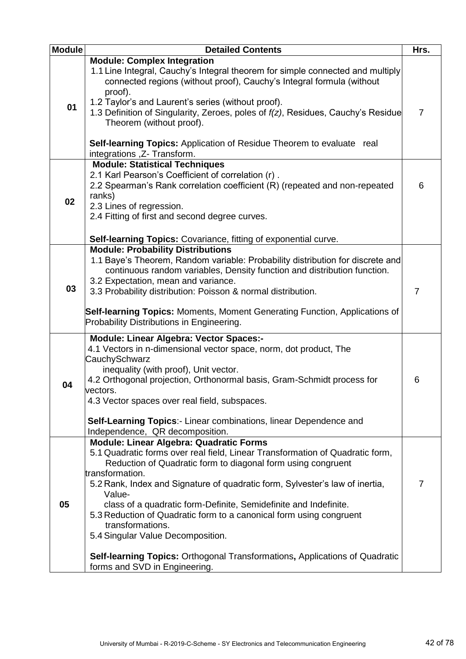| <b>Module</b> | <b>Detailed Contents</b>                                                                                                                                                                                                                                                                                                                                                                                                                                                                                                                                                                                                                | Hrs. |
|---------------|-----------------------------------------------------------------------------------------------------------------------------------------------------------------------------------------------------------------------------------------------------------------------------------------------------------------------------------------------------------------------------------------------------------------------------------------------------------------------------------------------------------------------------------------------------------------------------------------------------------------------------------------|------|
| 01            | <b>Module: Complex Integration</b><br>1.1 Line Integral, Cauchy's Integral theorem for simple connected and multiply<br>connected regions (without proof), Cauchy's Integral formula (without<br>proof).<br>1.2 Taylor's and Laurent's series (without proof).<br>1.3 Definition of Singularity, Zeroes, poles of f(z), Residues, Cauchy's Residue<br>Theorem (without proof).<br><b>Self-learning Topics:</b> Application of Residue Theorem to evaluate<br>real<br>integrations , Z- Transform.                                                                                                                                       | 7    |
| 02            | <b>Module: Statistical Techniques</b><br>2.1 Karl Pearson's Coefficient of correlation (r).<br>2.2 Spearman's Rank correlation coefficient (R) (repeated and non-repeated<br>ranks)<br>2.3 Lines of regression.<br>2.4 Fitting of first and second degree curves.<br>Self-learning Topics: Covariance, fitting of exponential curve.                                                                                                                                                                                                                                                                                                    | 6    |
| 03            | <b>Module: Probability Distributions</b><br>1.1 Baye's Theorem, Random variable: Probability distribution for discrete and<br>continuous random variables, Density function and distribution function.<br>3.2 Expectation, mean and variance.<br>3.3 Probability distribution: Poisson & normal distribution.<br><b>Self-learning Topics:</b> Moments, Moment Generating Function, Applications of<br>Probability Distributions in Engineering.                                                                                                                                                                                         | 7    |
| 04            | <b>Module: Linear Algebra: Vector Spaces:-</b><br>4.1 Vectors in n-dimensional vector space, norm, dot product, The<br>CauchySchwarz<br>inequality (with proof), Unit vector.<br>4.2 Orthogonal projection, Orthonormal basis, Gram-Schmidt process for<br>vectors.<br>4.3 Vector spaces over real field, subspaces.<br>Self-Learning Topics:- Linear combinations, linear Dependence and<br>Independence, QR decomposition.                                                                                                                                                                                                            | 6    |
| 05            | <b>Module: Linear Algebra: Quadratic Forms</b><br>5.1 Quadratic forms over real field, Linear Transformation of Quadratic form,<br>Reduction of Quadratic form to diagonal form using congruent<br>transformation.<br>5.2 Rank, Index and Signature of quadratic form, Sylvester's law of inertia,<br>Value-<br>class of a quadratic form-Definite, Semidefinite and Indefinite.<br>5.3 Reduction of Quadratic form to a canonical form using congruent<br>transformations.<br>5.4 Singular Value Decomposition.<br><b>Self-learning Topics: Orthogonal Transformations, Applications of Quadratic</b><br>forms and SVD in Engineering. | 7    |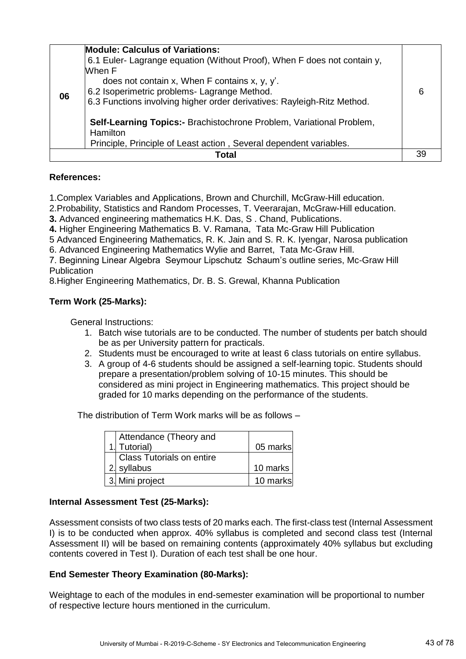| 06 | <b>Module: Calculus of Variations:</b><br>6.1 Euler- Lagrange equation (Without Proof), When F does not contain y,<br>When F<br>does not contain x, When F contains x, y, y'.<br>6.2 Isoperimetric problems- Lagrange Method.<br>6.3 Functions involving higher order derivatives: Rayleigh-Ritz Method. | 6 |
|----|----------------------------------------------------------------------------------------------------------------------------------------------------------------------------------------------------------------------------------------------------------------------------------------------------------|---|
|    | Self-Learning Topics:- Brachistochrone Problem, Variational Problem,<br><b>Hamilton</b>                                                                                                                                                                                                                  |   |
|    | Principle, Principle of Least action, Several dependent variables.                                                                                                                                                                                                                                       |   |
|    | Total                                                                                                                                                                                                                                                                                                    |   |

## **References:**

1.Complex Variables and Applications, Brown and Churchill, McGraw-Hill education.

2.Probability, Statistics and Random Processes, T. Veerarajan, McGraw-Hill education.

**3.** Advanced engineering mathematics H.K. Das, S . Chand, Publications.

**4.** Higher Engineering Mathematics B. V. Ramana, Tata Mc-Graw Hill Publication

5 Advanced Engineering Mathematics, R. K. Jain and S. R. K. Iyengar, Narosa publication

6. Advanced Engineering Mathematics Wylie and Barret, Tata Mc-Graw Hill.

7. Beginning Linear Algebra Seymour Lipschutz Schaum's outline series, Mc-Graw Hill **Publication** 

8.Higher Engineering Mathematics, Dr. B. S. Grewal, Khanna Publication

## **Term Work (25-Marks):**

General Instructions:

- 1. Batch wise tutorials are to be conducted. The number of students per batch should be as per University pattern for practicals.
- 2. Students must be encouraged to write at least 6 class tutorials on entire syllabus.
- 3. A group of 4-6 students should be assigned a self-learning topic. Students should prepare a presentation/problem solving of 10-15 minutes. This should be considered as mini project in Engineering mathematics. This project should be graded for 10 marks depending on the performance of the students.

The distribution of Term Work marks will be as follows –

| Attendance (Theory and    |          |
|---------------------------|----------|
| 1. Tutorial)              | 05 marks |
| Class Tutorials on entire |          |
| 2. syllabus               | 10 marks |
| 3. Mini project           | 10 marks |

### **Internal Assessment Test (25-Marks):**

Assessment consists of two class tests of 20 marks each. The first-class test (Internal Assessment I) is to be conducted when approx. 40% syllabus is completed and second class test (Internal Assessment II) will be based on remaining contents (approximately 40% syllabus but excluding contents covered in Test I). Duration of each test shall be one hour.

### **End Semester Theory Examination (80-Marks):**

Weightage to each of the modules in end-semester examination will be proportional to number of respective lecture hours mentioned in the curriculum.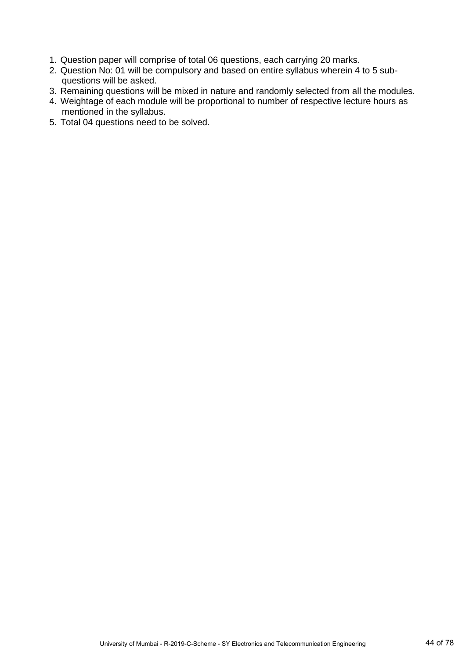- 1. Question paper will comprise of total 06 questions, each carrying 20 marks.
- 2. Question No: 01 will be compulsory and based on entire syllabus wherein 4 to 5 sub questions will be asked.
- 3. Remaining questions will be mixed in nature and randomly selected from all the modules.
- 4. Weightage of each module will be proportional to number of respective lecture hours as mentioned in the syllabus.
- 5. Total 04 questions need to be solved.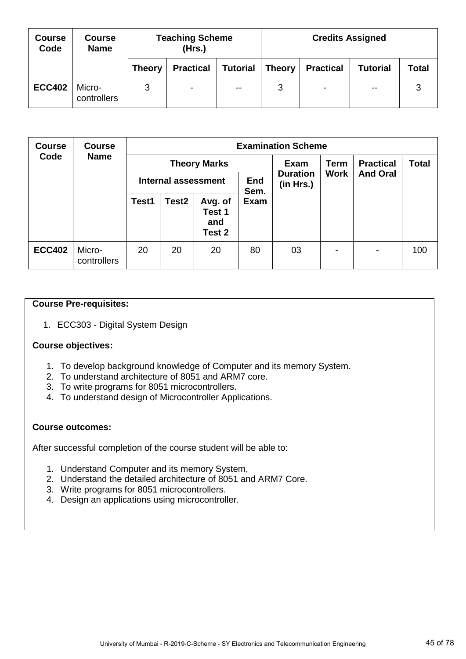| <b>Course</b><br>Code | <b>Course</b><br><b>Name</b> |               | <b>Teaching Scheme</b><br>(Hrs.) |                 | <b>Credits Assigned</b> |                  |                 |       |
|-----------------------|------------------------------|---------------|----------------------------------|-----------------|-------------------------|------------------|-----------------|-------|
|                       |                              | <b>Theory</b> | <b>Practical</b>                 | <b>Tutorial</b> | <b>Theory</b>           | <b>Practical</b> | <b>Tutorial</b> | Total |
| <b>ECC402</b>         | Micro-<br>controllers        | 3             | ۰                                | $\sim$ $-$      | 3                       | $\sim$           | $\sim$ $\sim$   | 3     |

| <b>Course</b> | <b>Course</b>         |       |                            |                                    |                    | <b>Examination Scheme</b>    |                  |                 |     |  |  |  |  |  |  |
|---------------|-----------------------|-------|----------------------------|------------------------------------|--------------------|------------------------------|------------------|-----------------|-----|--|--|--|--|--|--|
| Code          | <b>Name</b>           |       | <b>Theory Marks</b>        |                                    | Exam               | <b>Term</b>                  | <b>Practical</b> | <b>Total</b>    |     |  |  |  |  |  |  |
|               |                       |       | <b>Internal assessment</b> |                                    | <b>End</b><br>Sem. | <b>Duration</b><br>(in Hrs.) | <b>Work</b>      | <b>And Oral</b> |     |  |  |  |  |  |  |
|               |                       | Test1 | Test <sub>2</sub>          | Avg. of<br>Test 1<br>and<br>Test 2 | Exam               |                              |                  |                 |     |  |  |  |  |  |  |
| <b>ECC402</b> | Micro-<br>controllers | 20    | 20                         | 20                                 | 80                 | 03                           | $\blacksquare$   | ۰               | 100 |  |  |  |  |  |  |

## **Course Pre-requisites:**

1. ECC303 - Digital System Design

### **Course objectives:**

- 1. To develop background knowledge of Computer and its memory System.
- 2. To understand architecture of 8051 and ARM7 core.
- 3. To write programs for 8051 microcontrollers.
- 4. To understand design of Microcontroller Applications.

### **Course outcomes:**

- 1. Understand Computer and its memory System,
- 2. Understand the detailed architecture of 8051 and ARM7 Core.
- 3. Write programs for 8051 microcontrollers.
- 4. Design an applications using microcontroller.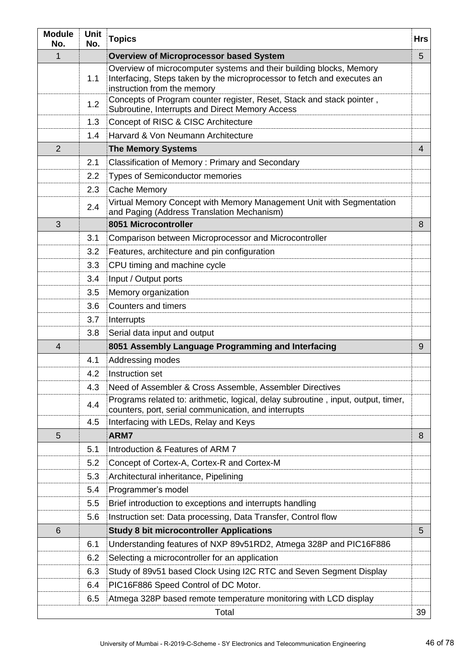| <b>Module</b><br>No. | <b>Unit</b><br>No. | <b>Topics</b>                                                                                                                                                                 | <b>Hrs</b>     |
|----------------------|--------------------|-------------------------------------------------------------------------------------------------------------------------------------------------------------------------------|----------------|
| 1                    |                    | <b>Overview of Microprocessor based System</b>                                                                                                                                | 5              |
|                      | 1.1                | Overview of microcomputer systems and their building blocks, Memory<br>Interfacing, Steps taken by the microprocessor to fetch and executes an<br>instruction from the memory |                |
|                      | 1.2                | Concepts of Program counter register, Reset, Stack and stack pointer,<br>Subroutine, Interrupts and Direct Memory Access                                                      |                |
|                      | 1.3                | Concept of RISC & CISC Architecture                                                                                                                                           |                |
|                      | 1.4                | Harvard & Von Neumann Architecture                                                                                                                                            |                |
| $\overline{2}$       |                    | <b>The Memory Systems</b>                                                                                                                                                     | $\overline{4}$ |
|                      | 2.1                | Classification of Memory: Primary and Secondary                                                                                                                               |                |
|                      | 2.2                | <b>Types of Semiconductor memories</b>                                                                                                                                        |                |
|                      | 2.3                | Cache Memory                                                                                                                                                                  |                |
|                      | 2.4                | Virtual Memory Concept with Memory Management Unit with Segmentation<br>and Paging (Address Translation Mechanism)                                                            |                |
| 3                    |                    | 8051 Microcontroller                                                                                                                                                          | 8              |
|                      | 3.1                | Comparison between Microprocessor and Microcontroller                                                                                                                         |                |
|                      | 3.2                | Features, architecture and pin configuration                                                                                                                                  |                |
|                      | 3.3                | CPU timing and machine cycle                                                                                                                                                  |                |
|                      | 3.4                | Input / Output ports                                                                                                                                                          |                |
|                      | 3.5                | Memory organization                                                                                                                                                           |                |
|                      | 3.6                | <b>Counters and timers</b>                                                                                                                                                    |                |
|                      | 3.7                | Interrupts                                                                                                                                                                    |                |
|                      | 3.8                | Serial data input and output                                                                                                                                                  |                |
| $\overline{4}$       |                    | 8051 Assembly Language Programming and Interfacing                                                                                                                            | 9              |
|                      | 4.1                | Addressing modes                                                                                                                                                              |                |
|                      | 4.2                | Instruction set                                                                                                                                                               |                |
|                      | 4.3                | Need of Assembler & Cross Assemble, Assembler Directives                                                                                                                      |                |
|                      | 4.4                | Programs related to: arithmetic, logical, delay subroutine, input, output, timer,<br>counters, port, serial communication, and interrupts                                     |                |
|                      | 4.5                | Interfacing with LEDs, Relay and Keys                                                                                                                                         |                |
| 5                    |                    | ARM7                                                                                                                                                                          | 8              |
|                      | 5.1                | Introduction & Features of ARM 7                                                                                                                                              |                |
|                      | 5.2                | Concept of Cortex-A, Cortex-R and Cortex-M                                                                                                                                    |                |
|                      | 5.3                | Architectural inheritance, Pipelining                                                                                                                                         |                |
|                      | 5.4                | Programmer's model                                                                                                                                                            |                |
|                      | 5.5                | Brief introduction to exceptions and interrupts handling                                                                                                                      |                |
|                      | 5.6                | Instruction set: Data processing, Data Transfer, Control flow                                                                                                                 |                |
| 6                    |                    | <b>Study 8 bit microcontroller Applications</b>                                                                                                                               | 5              |
|                      | 6.1                | Understanding features of NXP 89v51RD2, Atmega 328P and PIC16F886                                                                                                             |                |
|                      | 6.2                | Selecting a microcontroller for an application                                                                                                                                |                |
|                      | 6.3                | Study of 89v51 based Clock Using I2C RTC and Seven Segment Display                                                                                                            |                |
|                      | 6.4                | PIC16F886 Speed Control of DC Motor.                                                                                                                                          |                |
|                      | 6.5                | Atmega 328P based remote temperature monitoring with LCD display                                                                                                              |                |
|                      |                    | Total                                                                                                                                                                         | 39             |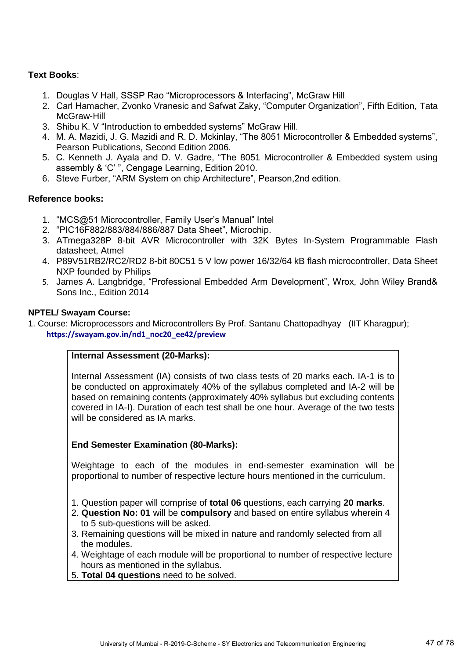# **Text Books**:

- 1. Douglas V Hall, SSSP Rao "Microprocessors & Interfacing", McGraw Hill
- 2. Carl Hamacher, Zvonko Vranesic and Safwat Zaky, "Computer Organization", Fifth Edition, Tata McGraw-Hill
- 3. Shibu K. V "Introduction to embedded systems" McGraw Hill.
- 4. M. A. Mazidi, J. G. Mazidi and R. D. Mckinlay, "The 8051 Microcontroller & Embedded systems", Pearson Publications, Second Edition 2006.
- 5. C. Kenneth J. Ayala and D. V. Gadre, "The 8051 Microcontroller & Embedded system using assembly & 'C' ", Cengage Learning, Edition 2010.
- 6. Steve Furber, "ARM System on chip Architecture", Pearson,2nd edition.

# **Reference books:**

- 1. "MCS@51 Microcontroller, Family User's Manual" Intel
- 2. "PIC16F882/883/884/886/887 Data Sheet", Microchip.
- 3. ATmega328P 8-bit AVR Microcontroller with 32K Bytes In-System Programmable Flash datasheet, Atmel
- 4. P89V51RB2/RC2/RD2 8-bit 80C51 5 V low power 16/32/64 kB flash microcontroller, Data Sheet NXP founded by Philips
- 5. James A. Langbridge, "Professional Embedded Arm Development", Wrox, John Wiley Brand& Sons Inc., Edition 2014

## **NPTEL/ Swayam Course:**

1. Course: Microprocessors and Microcontrollers By Prof. Santanu Chattopadhyay (IIT Kharagpur);  **[https://swayam.gov.in/nd1\\_noc20\\_ee42/preview](https://swayam.gov.in/nd1_noc20_ee42/preview)**

## **Internal Assessment (20-Marks):**

Internal Assessment (IA) consists of two class tests of 20 marks each. IA-1 is to be conducted on approximately 40% of the syllabus completed and IA-2 will be based on remaining contents (approximately 40% syllabus but excluding contents covered in IA-I). Duration of each test shall be one hour. Average of the two tests will be considered as IA marks.

# **End Semester Examination (80-Marks):**

Weightage to each of the modules in end-semester examination will be proportional to number of respective lecture hours mentioned in the curriculum.

- 1. Question paper will comprise of **total 06** questions, each carrying **20 marks**.
- 2. **Question No: 01** will be **compulsory** and based on entire syllabus wherein 4 to 5 sub-questions will be asked.
- 3. Remaining questions will be mixed in nature and randomly selected from all the modules.
- 4. Weightage of each module will be proportional to number of respective lecture hours as mentioned in the syllabus.
- 5. **Total 04 questions** need to be solved.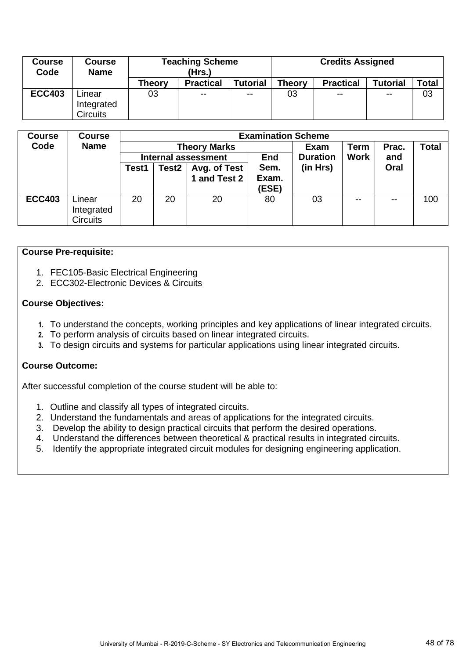| Course<br>Code | <b>Course</b><br><b>Name</b> | <b>Teaching Scheme</b><br>(Hrs.) |                  |                 |               | <b>Credits Assigned</b> |                 |       |  |
|----------------|------------------------------|----------------------------------|------------------|-----------------|---------------|-------------------------|-----------------|-------|--|
|                |                              | <b>Theory</b>                    | <b>Practical</b> | <b>Tutorial</b> | <b>Theory</b> | <b>Practical</b>        | <b>Tutorial</b> | Total |  |
| <b>ECC403</b>  | Linear                       | 03                               | $\sim$ $-$       | $\sim$ $\sim$   | 03            | $\sim$ $\sim$           | $\sim$ $\sim$   | 03    |  |
|                | Integrated                   |                                  |                  |                 |               |                         |                 |       |  |
|                | <b>Circuits</b>              |                                  |                  |                 |               |                         |                 |       |  |

| <b>Course</b> | <b>Course</b>   |       |       |                            | <b>Examination Scheme</b> |                 |               |       |              |  |  |
|---------------|-----------------|-------|-------|----------------------------|---------------------------|-----------------|---------------|-------|--------------|--|--|
| Code          | <b>Name</b>     |       |       | <b>Theory Marks</b>        |                           | Exam            | Term          | Prac. | <b>Total</b> |  |  |
|               |                 |       |       | <b>Internal assessment</b> | <b>End</b>                | <b>Duration</b> | <b>Work</b>   | and   |              |  |  |
|               |                 | Test1 | Test2 | Avg. of Test               | Sem.                      | (in Hrs)        |               | Oral  |              |  |  |
|               |                 |       |       | 1 and Test 2               | Exam.                     |                 |               |       |              |  |  |
|               |                 |       |       |                            | <b>(ESE)</b>              |                 |               |       |              |  |  |
| <b>ECC403</b> | Linear          | 20    | 20    | 20                         | 80                        | 03              | $\sim$ $\sim$ | $- -$ | 100          |  |  |
|               | Integrated      |       |       |                            |                           |                 |               |       |              |  |  |
|               | <b>Circuits</b> |       |       |                            |                           |                 |               |       |              |  |  |

#### **Course Pre-requisite:**

- 1. FEC105-Basic Electrical Engineering
- 2. ECC302-Electronic Devices & Circuits

#### **Course Objectives:**

- **1.** To understand the concepts, working principles and key applications of linear integrated circuits.
- **2.** To perform analysis of circuits based on linear integrated circuits.
- **3.** To design circuits and systems for particular applications using linear integrated circuits.

### **Course Outcome:**

- 1. Outline and classify all types of integrated circuits.
- 2. Understand the fundamentals and areas of applications for the integrated circuits.
- 3. Develop the ability to design practical circuits that perform the desired operations.
- 4. Understand the differences between theoretical & practical results in integrated circuits.
- 5. Identify the appropriate integrated circuit modules for designing engineering application.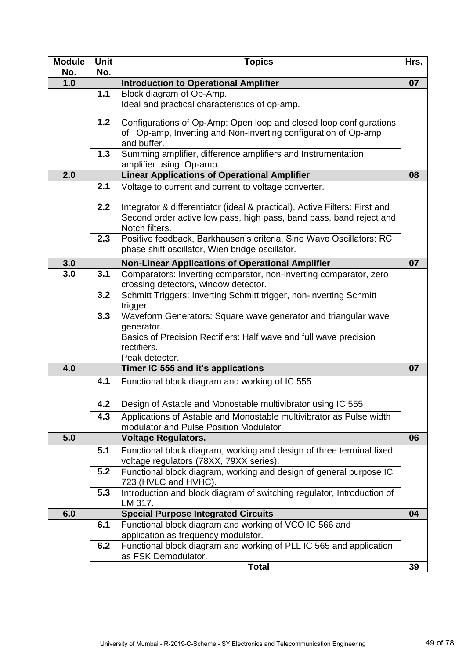| <b>Module</b><br>No. | <b>Unit</b><br>No. | <b>Topics</b>                                                                                                                                                                      | Hrs. |
|----------------------|--------------------|------------------------------------------------------------------------------------------------------------------------------------------------------------------------------------|------|
| 1.0                  |                    | <b>Introduction to Operational Amplifier</b>                                                                                                                                       | 07   |
|                      | 1.1                | Block diagram of Op-Amp.<br>Ideal and practical characteristics of op-amp.                                                                                                         |      |
|                      | 1.2                | Configurations of Op-Amp: Open loop and closed loop configurations<br>of Op-amp, Inverting and Non-inverting configuration of Op-amp<br>and buffer.                                |      |
|                      | 1.3                | Summing amplifier, difference amplifiers and Instrumentation<br>amplifier using Op-amp.                                                                                            |      |
| 2.0                  |                    | <b>Linear Applications of Operational Amplifier</b>                                                                                                                                | 08   |
|                      | 2.1                | Voltage to current and current to voltage converter.                                                                                                                               |      |
|                      | 2.2                | Integrator & differentiator (ideal & practical), Active Filters: First and<br>Second order active low pass, high pass, band pass, band reject and<br>Notch filters.                |      |
|                      | 2.3                | Positive feedback, Barkhausen's criteria, Sine Wave Oscillators: RC<br>phase shift oscillator, Wien bridge oscillator.                                                             |      |
| 3.0                  |                    | <b>Non-Linear Applications of Operational Amplifier</b>                                                                                                                            | 07   |
| 3.0                  | 3.1                | Comparators: Inverting comparator, non-inverting comparator, zero<br>crossing detectors, window detector.                                                                          |      |
|                      | 3.2                | Schmitt Triggers: Inverting Schmitt trigger, non-inverting Schmitt<br>trigger.                                                                                                     |      |
|                      | 3.3                | Waveform Generators: Square wave generator and triangular wave<br>generator.<br>Basics of Precision Rectifiers: Half wave and full wave precision<br>rectifiers.<br>Peak detector. |      |
| 4.0                  |                    | Timer IC 555 and it's applications                                                                                                                                                 | 07   |
|                      | 4.1                | Functional block diagram and working of IC 555                                                                                                                                     |      |
|                      | 4.2                | Design of Astable and Monostable multivibrator using IC 555                                                                                                                        |      |
|                      | 4.3                | Applications of Astable and Monostable multivibrator as Pulse width<br>modulator and Pulse Position Modulator.                                                                     |      |
| 5.0                  |                    | <b>Voltage Regulators.</b>                                                                                                                                                         | 06   |
|                      | 5.1                | Functional block diagram, working and design of three terminal fixed<br>voltage regulators (78XX, 79XX series).                                                                    |      |
|                      | 5.2                | Functional block diagram, working and design of general purpose IC<br>723 (HVLC and HVHC).                                                                                         |      |
|                      | 5.3                | Introduction and block diagram of switching regulator, Introduction of<br>LM 317.                                                                                                  |      |
| 6.0                  |                    | <b>Special Purpose Integrated Circuits</b>                                                                                                                                         | 04   |
|                      | 6.1                | Functional block diagram and working of VCO IC 566 and<br>application as frequency modulator.                                                                                      |      |
|                      | 6.2                | Functional block diagram and working of PLL IC 565 and application<br>as FSK Demodulator.                                                                                          |      |
|                      |                    | <b>Total</b>                                                                                                                                                                       | 39   |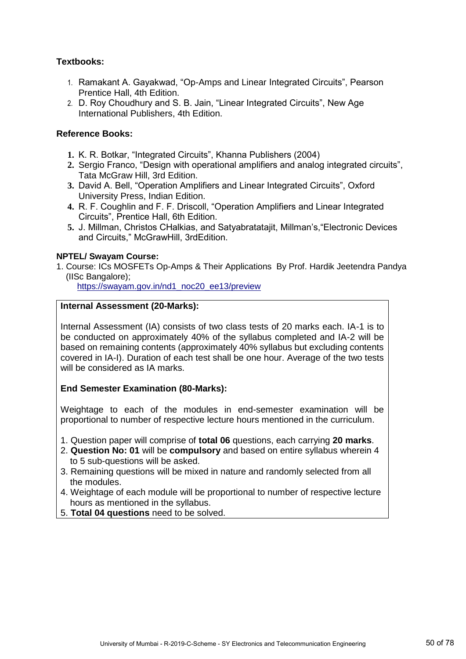## **Textbooks:**

- 1. Ramakant A. Gayakwad, "Op-Amps and Linear Integrated Circuits", Pearson Prentice Hall, 4th Edition.
- 2. D. Roy Choudhury and S. B. Jain, "Linear Integrated Circuits", New Age International Publishers, 4th Edition.

## **Reference Books:**

- **1.** K. R. Botkar, "Integrated Circuits", Khanna Publishers (2004)
- **2.** Sergio Franco, "Design with operational amplifiers and analog integrated circuits", Tata McGraw Hill, 3rd Edition.
- **3.** David A. Bell, "Operation Amplifiers and Linear Integrated Circuits", Oxford University Press, Indian Edition.
- **4.** R. F. Coughlin and F. F. Driscoll, "Operation Amplifiers and Linear Integrated Circuits", Prentice Hall, 6th Edition.
- **5.** J. Millman, Christos CHalkias, and Satyabratatajit, Millman's,"Electronic Devices and Circuits," McGrawHill, 3rdEdition.

### **NPTEL/ Swayam Course:**

1. Course: ICs MOSFETs Op-Amps & Their Applications By Prof. Hardik Jeetendra Pandya (IISc Bangalore);

[https://swayam.gov.in/nd1\\_noc20\\_ee13/preview](https://swayam.gov.in/nd1_noc20_ee13/preview)

### **Internal Assessment (20-Marks):**

Internal Assessment (IA) consists of two class tests of 20 marks each. IA-1 is to be conducted on approximately 40% of the syllabus completed and IA-2 will be based on remaining contents (approximately 40% syllabus but excluding contents covered in IA-I). Duration of each test shall be one hour. Average of the two tests will be considered as IA marks.

# **End Semester Examination (80-Marks):**

Weightage to each of the modules in end-semester examination will be proportional to number of respective lecture hours mentioned in the curriculum.

- 1. Question paper will comprise of **total 06** questions, each carrying **20 marks**.
- 2. **Question No: 01** will be **compulsory** and based on entire syllabus wherein 4 to 5 sub-questions will be asked.
- 3. Remaining questions will be mixed in nature and randomly selected from all the modules.
- 4. Weightage of each module will be proportional to number of respective lecture hours as mentioned in the syllabus.
- 5. **Total 04 questions** need to be solved.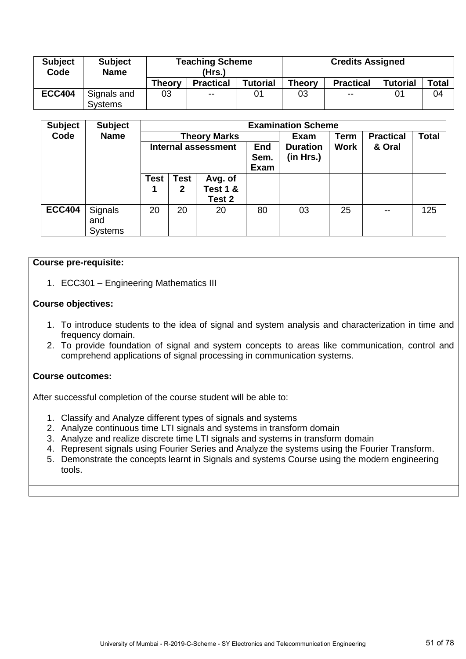| <b>Subject</b><br>Code | <b>Subject</b><br><b>Name</b> |               | <b>Teaching Scheme</b><br>(Hrs.) |                 | <b>Credits Assigned</b> |                  |                 |       |  |
|------------------------|-------------------------------|---------------|----------------------------------|-----------------|-------------------------|------------------|-----------------|-------|--|
|                        |                               | <b>Theory</b> | <b>Practical</b>                 | <b>Tutorial</b> | <b>Theory</b>           | <b>Practical</b> | <b>Tutorial</b> | Total |  |
| <b>ECC404</b>          | Signals and                   | 03            | $\sim$ $\sim$                    | 01              | 03                      | $\sim$ $-$       | 01              | 04    |  |
|                        | <b>Systems</b>                |               |                                  |                 |                         |                  |                 |       |  |

| <b>Subject</b> | <b>Subject</b>                   |                            |                             |                                          |                                   | <b>Examination Scheme</b>    |             |                  |       |
|----------------|----------------------------------|----------------------------|-----------------------------|------------------------------------------|-----------------------------------|------------------------------|-------------|------------------|-------|
| Code           | <b>Name</b>                      |                            |                             | <b>Theory Marks</b>                      |                                   | Exam                         | Term        | <b>Practical</b> | Total |
|                |                                  | <b>Internal assessment</b> |                             |                                          | <b>End</b><br>Sem.<br><b>Exam</b> | <b>Duration</b><br>(in Hrs.) | <b>Work</b> | & Oral           |       |
|                |                                  | <b>Test</b>                | <b>Test</b><br>$\mathbf{2}$ | Avg. of<br><b>Test 1 &amp;</b><br>Test 2 |                                   |                              |             |                  |       |
| <b>ECC404</b>  | Signals<br>and<br><b>Systems</b> | 20                         | 20                          | 20                                       | 80                                | 03                           | 25          | $\sim$ $\sim$    | 125   |

### **Course pre-requisite:**

1. ECC301 – Engineering Mathematics III

## **Course objectives:**

- 1. To introduce students to the idea of signal and system analysis and characterization in time and frequency domain.
- 2. To provide foundation of signal and system concepts to areas like communication, control and comprehend applications of signal processing in communication systems.

### **Course outcomes:**

- 1. Classify and Analyze different types of signals and systems
- 2. Analyze continuous time LTI signals and systems in transform domain
- 3. Analyze and realize discrete time LTI signals and systems in transform domain
- 4. Represent signals using Fourier Series and Analyze the systems using the Fourier Transform.
- 5. Demonstrate the concepts learnt in Signals and systems Course using the modern engineering tools.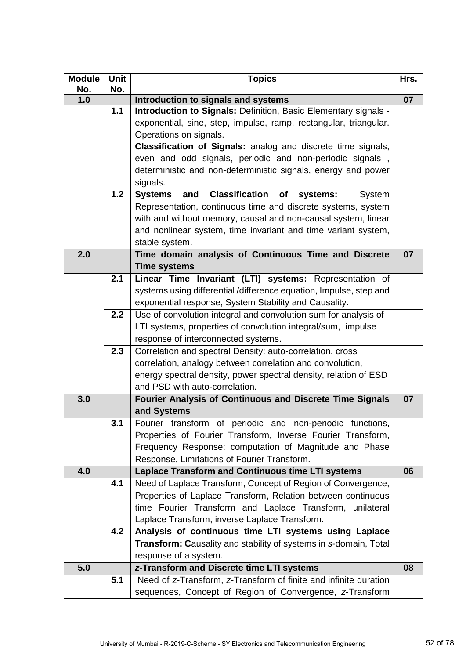| <b>Module</b><br>No. | <b>Unit</b><br>No. | <b>Topics</b>                                                              | Hrs. |
|----------------------|--------------------|----------------------------------------------------------------------------|------|
| 1.0                  |                    | Introduction to signals and systems                                        | 07   |
|                      | $1.1$              | Introduction to Signals: Definition, Basic Elementary signals -            |      |
|                      |                    | exponential, sine, step, impulse, ramp, rectangular, triangular.           |      |
|                      |                    | Operations on signals.                                                     |      |
|                      |                    | <b>Classification of Signals:</b> analog and discrete time signals,        |      |
|                      |                    | even and odd signals, periodic and non-periodic signals,                   |      |
|                      |                    | deterministic and non-deterministic signals, energy and power              |      |
|                      |                    | signals.                                                                   |      |
|                      | 1.2                | <b>Classification</b><br><b>Systems</b><br>and<br>of<br>systems:<br>System |      |
|                      |                    | Representation, continuous time and discrete systems, system               |      |
|                      |                    | with and without memory, causal and non-causal system, linear              |      |
|                      |                    | and nonlinear system, time invariant and time variant system,              |      |
|                      |                    | stable system.                                                             |      |
| 2.0                  |                    | Time domain analysis of Continuous Time and Discrete                       | 07   |
|                      |                    | <b>Time systems</b>                                                        |      |
|                      | 2.1                | Linear Time Invariant (LTI) systems: Representation of                     |      |
|                      |                    | systems using differential /difference equation, Impulse, step and         |      |
|                      |                    | exponential response, System Stability and Causality.                      |      |
|                      | 2.2                | Use of convolution integral and convolution sum for analysis of            |      |
|                      |                    | LTI systems, properties of convolution integral/sum, impulse               |      |
|                      |                    | response of interconnected systems.                                        |      |
|                      | 2.3                | Correlation and spectral Density: auto-correlation, cross                  |      |
|                      |                    | correlation, analogy between correlation and convolution,                  |      |
|                      |                    | energy spectral density, power spectral density, relation of ESD           |      |
|                      |                    | and PSD with auto-correlation.                                             |      |
| 3.0                  |                    | Fourier Analysis of Continuous and Discrete Time Signals                   | 07   |
|                      |                    | and Systems                                                                |      |
|                      | 3.1                | Fourier transform of periodic and non-periodic functions,                  |      |
|                      |                    | Properties of Fourier Transform, Inverse Fourier Transform,                |      |
|                      |                    | Frequency Response: computation of Magnitude and Phase                     |      |
|                      |                    | Response, Limitations of Fourier Transform.                                |      |
| 4.0                  |                    | <b>Laplace Transform and Continuous time LTI systems</b>                   | 06   |
|                      | 4.1                | Need of Laplace Transform, Concept of Region of Convergence,               |      |
|                      |                    | Properties of Laplace Transform, Relation between continuous               |      |
|                      |                    | time Fourier Transform and Laplace Transform, unilateral                   |      |
|                      |                    | Laplace Transform, inverse Laplace Transform.                              |      |
|                      | 4.2                | Analysis of continuous time LTI systems using Laplace                      |      |
|                      |                    | Transform: Causality and stability of systems in s-domain, Total           |      |
|                      |                    | response of a system.                                                      |      |
| 5.0                  |                    | z-Transform and Discrete time LTI systems                                  | 08   |
|                      | 5.1                | Need of z-Transform, z-Transform of finite and infinite duration           |      |
|                      |                    | sequences, Concept of Region of Convergence, z-Transform                   |      |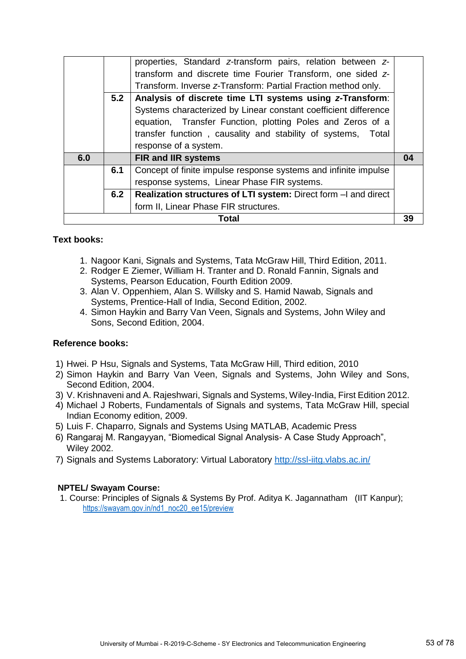|     | 5.2 | properties, Standard z-transform pairs, relation between z-<br>transform and discrete time Fourier Transform, one sided z-<br>Transform. Inverse z-Transform: Partial Fraction method only.<br>Analysis of discrete time LTI systems using z-Transform:<br>Systems characterized by Linear constant coefficient difference<br>equation, Transfer Function, plotting Poles and Zeros of a<br>transfer function, causality and stability of systems, Total |    |
|-----|-----|----------------------------------------------------------------------------------------------------------------------------------------------------------------------------------------------------------------------------------------------------------------------------------------------------------------------------------------------------------------------------------------------------------------------------------------------------------|----|
|     |     | response of a system.                                                                                                                                                                                                                                                                                                                                                                                                                                    |    |
| 6.0 |     | <b>FIR and IIR systems</b>                                                                                                                                                                                                                                                                                                                                                                                                                               | 04 |
|     | 6.1 | Concept of finite impulse response systems and infinite impulse                                                                                                                                                                                                                                                                                                                                                                                          |    |
|     |     | response systems, Linear Phase FIR systems.                                                                                                                                                                                                                                                                                                                                                                                                              |    |
|     | 6.2 | Realization structures of LTI system: Direct form - and direct                                                                                                                                                                                                                                                                                                                                                                                           |    |
|     |     | form II, Linear Phase FIR structures.                                                                                                                                                                                                                                                                                                                                                                                                                    |    |
|     |     | Total                                                                                                                                                                                                                                                                                                                                                                                                                                                    | 39 |

## **Text books:**

- 1. Nagoor Kani, Signals and Systems, Tata McGraw Hill, Third Edition, 2011.
- 2. Rodger E Ziemer, William H. Tranter and D. Ronald Fannin, Signals and Systems, Pearson Education, Fourth Edition 2009.
- 3. Alan V. Oppenhiem, Alan S. Willsky and S. Hamid Nawab, Signals and Systems, Prentice-Hall of India, Second Edition, 2002.
- 4. Simon Haykin and Barry Van Veen, Signals and Systems, John Wiley and Sons, Second Edition, 2004.

### **Reference books:**

- 1) Hwei. P Hsu, Signals and Systems, Tata McGraw Hill, Third edition, 2010
- 2) Simon Haykin and Barry Van Veen, Signals and Systems, John Wiley and Sons, Second Edition, 2004.
- 3) V. Krishnaveni and A. Rajeshwari, Signals and Systems, Wiley-India, First Edition 2012.
- 4) Michael J Roberts, Fundamentals of Signals and systems, Tata McGraw Hill, special Indian Economy edition, 2009.
- 5) Luis F. Chaparro, Signals and Systems Using MATLAB, Academic Press
- 6) Rangaraj M. Rangayyan, "Biomedical Signal Analysis- A Case Study Approach", Wiley 2002.
- 7) Signals and Systems Laboratory: Virtual Laboratory<http://ssl-iitg.vlabs.ac.in/>

### **NPTEL/ Swayam Course:**

1. Course: Principles of Signals & Systems By Prof. Aditya K. Jagannatham (IIT Kanpur); [https://swayam.gov.in/nd1\\_noc20\\_ee15/preview](https://swayam.gov.in/nd1_noc20_ee15/preview)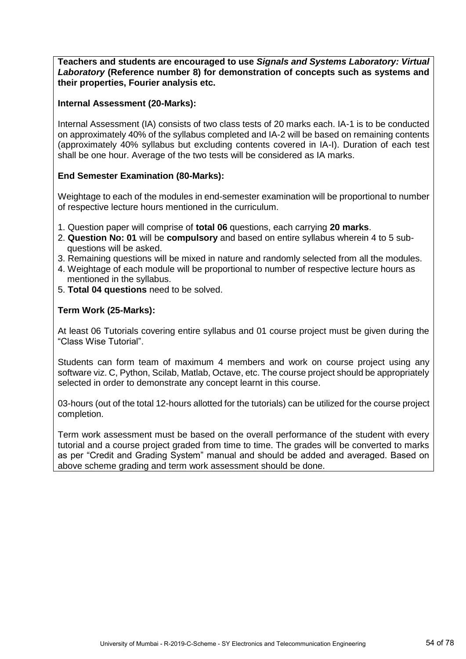**Teachers and students are encouraged to use** *Signals and Systems Laboratory: Virtual Laboratory* **(Reference number 8) for demonstration of concepts such as systems and their properties, Fourier analysis etc.**

## **Internal Assessment (20-Marks):**

Internal Assessment (IA) consists of two class tests of 20 marks each. IA-1 is to be conducted on approximately 40% of the syllabus completed and IA-2 will be based on remaining contents (approximately 40% syllabus but excluding contents covered in IA-I). Duration of each test shall be one hour. Average of the two tests will be considered as IA marks.

# **End Semester Examination (80-Marks):**

Weightage to each of the modules in end-semester examination will be proportional to number of respective lecture hours mentioned in the curriculum.

- 1. Question paper will comprise of **total 06** questions, each carrying **20 marks**.
- 2. **Question No: 01** will be **compulsory** and based on entire syllabus wherein 4 to 5 subquestions will be asked.
- 3. Remaining questions will be mixed in nature and randomly selected from all the modules.
- 4. Weightage of each module will be proportional to number of respective lecture hours as mentioned in the syllabus.
- 5. **Total 04 questions** need to be solved.

## **Term Work (25-Marks):**

At least 06 Tutorials covering entire syllabus and 01 course project must be given during the "Class Wise Tutorial".

Students can form team of maximum 4 members and work on course project using any software viz. C, Python, Scilab, Matlab, Octave, etc. The course project should be appropriately selected in order to demonstrate any concept learnt in this course.

03-hours (out of the total 12-hours allotted for the tutorials) can be utilized for the course project completion.

Term work assessment must be based on the overall performance of the student with every tutorial and a course project graded from time to time. The grades will be converted to marks as per "Credit and Grading System" manual and should be added and averaged. Based on above scheme grading and term work assessment should be done.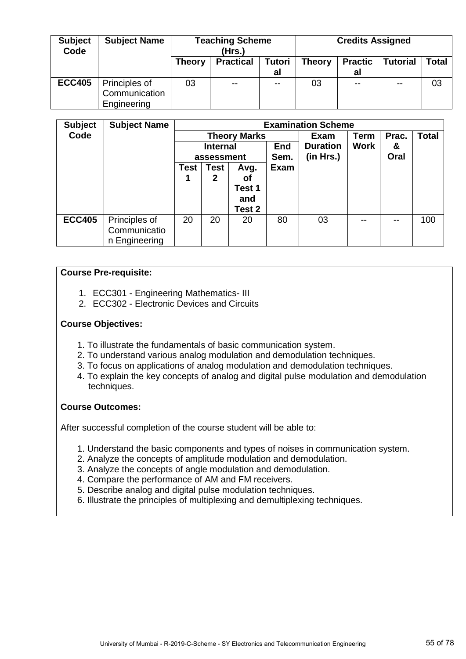| <b>Subject</b><br>Code | <b>Subject Name</b> | <b>Teaching Scheme</b><br>(Hrs.) |                  |               | <b>Credits Assigned</b> |                |          |       |
|------------------------|---------------------|----------------------------------|------------------|---------------|-------------------------|----------------|----------|-------|
|                        |                     | <b>Theory</b>                    | <b>Practical</b> | <b>Tutori</b> | <b>Theory</b>           | <b>Practic</b> | Tutorial | Total |
|                        |                     |                                  |                  | al            |                         | al             |          |       |
| <b>ECC405</b>          | Principles of       | 03                               | $- -$            | --            | 03                      | --             | $- -$    | 03    |
|                        | Communication       |                                  |                  |               |                         |                |          |       |
|                        | Engineering         |                                  |                  |               |                         |                |          |       |

| <b>Subject</b> | <b>Subject Name</b> |      |                 |                     |             | <b>Examination Scheme</b> |             |       |              |  |  |
|----------------|---------------------|------|-----------------|---------------------|-------------|---------------------------|-------------|-------|--------------|--|--|
| Code           |                     |      |                 | <b>Theory Marks</b> |             | <b>Exam</b>               | Term        | Prac. | <b>Total</b> |  |  |
|                |                     |      | <b>Internal</b> |                     | <b>End</b>  | <b>Duration</b>           | <b>Work</b> | &     |              |  |  |
|                |                     |      | assessment      |                     | Sem.        | (in Hrs.)                 |             | Oral  |              |  |  |
|                |                     | Test | <b>Test</b>     |                     | <b>Exam</b> |                           |             |       |              |  |  |
|                |                     |      | 2               |                     |             |                           |             |       |              |  |  |
|                |                     |      |                 | Test 1              |             |                           |             |       |              |  |  |
|                |                     |      |                 | and                 |             |                           |             |       |              |  |  |
|                |                     |      |                 | Test 2              |             |                           |             |       |              |  |  |
| <b>ECC405</b>  | Principles of       | 20   | 20              | 20                  | 80          | 03                        | --          | --    | 100          |  |  |
|                | Communicatio        |      |                 |                     |             |                           |             |       |              |  |  |
|                | n Engineering       |      |                 |                     |             |                           |             |       |              |  |  |

## **Course Pre-requisite:**

- 1. ECC301 Engineering Mathematics- III
- 2. ECC302 Electronic Devices and Circuits

## **Course Objectives:**

- 1. To illustrate the fundamentals of basic communication system.
- 2. To understand various analog modulation and demodulation techniques.
- 3. To focus on applications of analog modulation and demodulation techniques.
- 4. To explain the key concepts of analog and digital pulse modulation and demodulation techniques.

### **Course Outcomes:**

- 1. Understand the basic components and types of noises in communication system.
- 2. Analyze the concepts of amplitude modulation and demodulation.
- 3. Analyze the concepts of angle modulation and demodulation.
- 4. Compare the performance of AM and FM receivers.
- 5. Describe analog and digital pulse modulation techniques.
- 6. Illustrate the principles of multiplexing and demultiplexing techniques.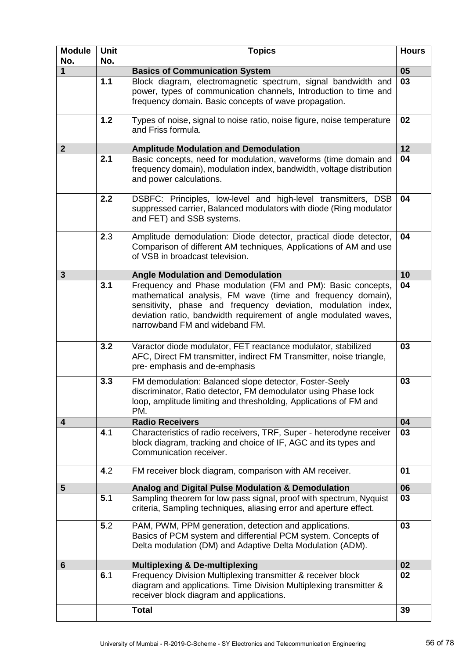| <b>Module</b><br>No. | <b>Unit</b><br>No. | <b>Topics</b>                                                                                                                                                                                                                                                                                     | <b>Hours</b>    |
|----------------------|--------------------|---------------------------------------------------------------------------------------------------------------------------------------------------------------------------------------------------------------------------------------------------------------------------------------------------|-----------------|
| $\mathbf{1}$         |                    | <b>Basics of Communication System</b>                                                                                                                                                                                                                                                             | $\overline{05}$ |
|                      | 1.1                | Block diagram, electromagnetic spectrum, signal bandwidth and<br>power, types of communication channels, Introduction to time and<br>frequency domain. Basic concepts of wave propagation.                                                                                                        | 03              |
|                      | $1.2$              | Types of noise, signal to noise ratio, noise figure, noise temperature<br>and Friss formula.                                                                                                                                                                                                      | 02              |
| $\mathbf{2}$         |                    | <b>Amplitude Modulation and Demodulation</b>                                                                                                                                                                                                                                                      | 12              |
|                      | 2.1                | Basic concepts, need for modulation, waveforms (time domain and<br>frequency domain), modulation index, bandwidth, voltage distribution<br>and power calculations.                                                                                                                                | 04              |
|                      | 2.2                | DSBFC: Principles, low-level and high-level transmitters, DSB<br>suppressed carrier, Balanced modulators with diode (Ring modulator<br>and FET) and SSB systems.                                                                                                                                  | 04              |
|                      | 2.3                | Amplitude demodulation: Diode detector, practical diode detector,<br>Comparison of different AM techniques, Applications of AM and use<br>of VSB in broadcast television.                                                                                                                         | 04              |
| 3                    |                    | <b>Angle Modulation and Demodulation</b>                                                                                                                                                                                                                                                          | 10              |
|                      | 3.1                | Frequency and Phase modulation (FM and PM): Basic concepts,<br>mathematical analysis, FM wave (time and frequency domain),<br>sensitivity, phase and frequency deviation, modulation index,<br>deviation ratio, bandwidth requirement of angle modulated waves,<br>narrowband FM and wideband FM. | 04              |
|                      | 3.2                | Varactor diode modulator, FET reactance modulator, stabilized<br>AFC, Direct FM transmitter, indirect FM Transmitter, noise triangle,<br>pre- emphasis and de-emphasis                                                                                                                            | 03              |
|                      | 3.3                | FM demodulation: Balanced slope detector, Foster-Seely<br>discriminator, Ratio detector, FM demodulator using Phase lock<br>loop, amplitude limiting and thresholding, Applications of FM and<br>PM.                                                                                              | 03              |
| 4                    |                    | <b>Radio Receivers</b>                                                                                                                                                                                                                                                                            | 04              |
|                      | 4.1                | Characteristics of radio receivers, TRF, Super - heterodyne receiver<br>block diagram, tracking and choice of IF, AGC and its types and<br>Communication receiver.                                                                                                                                | 03              |
|                      | 4.2                | FM receiver block diagram, comparison with AM receiver.                                                                                                                                                                                                                                           | 01              |
| 5                    |                    | Analog and Digital Pulse Modulation & Demodulation                                                                                                                                                                                                                                                | 06              |
|                      | 5.1                | Sampling theorem for low pass signal, proof with spectrum, Nyquist<br>criteria, Sampling techniques, aliasing error and aperture effect.                                                                                                                                                          | 03              |
|                      | 5.2                | PAM, PWM, PPM generation, detection and applications.<br>Basics of PCM system and differential PCM system. Concepts of<br>Delta modulation (DM) and Adaptive Delta Modulation (ADM).                                                                                                              | 03              |
| 6                    |                    | <b>Multiplexing &amp; De-multiplexing</b>                                                                                                                                                                                                                                                         | 02              |
|                      | 6.1                | Frequency Division Multiplexing transmitter & receiver block<br>diagram and applications. Time Division Multiplexing transmitter &<br>receiver block diagram and applications.                                                                                                                    | 02              |
|                      |                    | <b>Total</b>                                                                                                                                                                                                                                                                                      | 39              |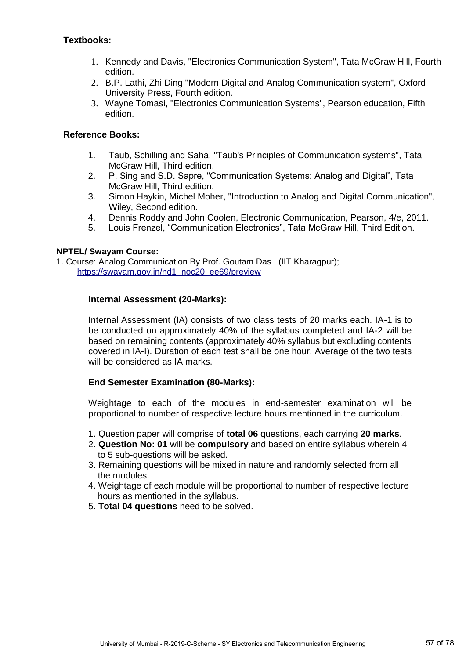# **Textbooks:**

- 1. Kennedy and Davis, "Electronics Communication System", Tata McGraw Hill, Fourth edition.
- 2. B.P. Lathi, Zhi Ding "Modern Digital and Analog Communication system", Oxford University Press, Fourth edition.
- 3. Wayne Tomasi, "Electronics Communication Systems", Pearson education, Fifth edition.

# **Reference Books:**

- 1. Taub, Schilling and Saha, "Taub's Principles of Communication systems", Tata McGraw Hill, Third edition.
- 2. P. Sing and S.D. Sapre, "Communication Systems: Analog and Digital", Tata McGraw Hill, Third edition.
- 3. Simon Haykin, Michel Moher, "Introduction to Analog and Digital Communication", Wiley, Second edition.
- 4. Dennis Roddy and John Coolen, Electronic Communication, Pearson, 4/e, 2011.
- 5. Louis Frenzel, "Communication Electronics", Tata McGraw Hill, Third Edition.

## **NPTEL/ Swayam Course:**

1. Course: Analog Communication By Prof. Goutam Das (IIT Kharagpur); [https://swayam.gov.in/nd1\\_noc20\\_ee69/preview](https://swayam.gov.in/nd1_noc20_ee69/preview)

## **Internal Assessment (20-Marks):**

Internal Assessment (IA) consists of two class tests of 20 marks each. IA-1 is to be conducted on approximately 40% of the syllabus completed and IA-2 will be based on remaining contents (approximately 40% syllabus but excluding contents covered in IA-I). Duration of each test shall be one hour. Average of the two tests will be considered as IA marks.

# **End Semester Examination (80-Marks):**

Weightage to each of the modules in end-semester examination will be proportional to number of respective lecture hours mentioned in the curriculum.

- 1. Question paper will comprise of **total 06** questions, each carrying **20 marks**.
- 2. **Question No: 01** will be **compulsory** and based on entire syllabus wherein 4 to 5 sub-questions will be asked.
- 3. Remaining questions will be mixed in nature and randomly selected from all the modules.
- 4. Weightage of each module will be proportional to number of respective lecture hours as mentioned in the syllabus.
- 5. **Total 04 questions** need to be solved.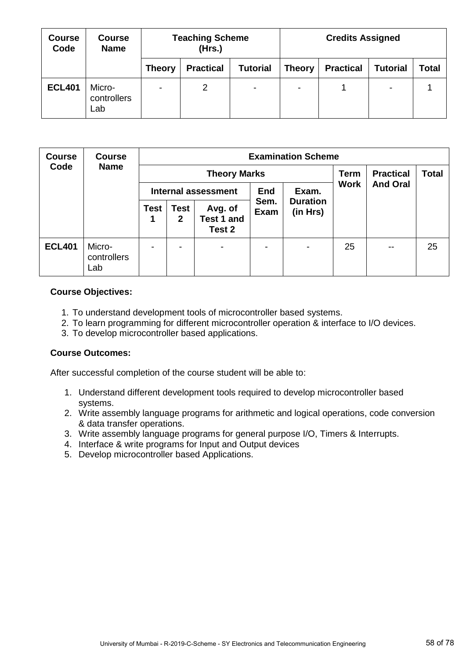| <b>Course</b><br>Code | <b>Course</b><br><b>Name</b> |               | <b>Teaching Scheme</b><br>(Hrs.) |                 | <b>Credits Assigned</b> |                  |                 |       |  |
|-----------------------|------------------------------|---------------|----------------------------------|-----------------|-------------------------|------------------|-----------------|-------|--|
|                       |                              | <b>Theory</b> | <b>Practical</b>                 | <b>Tutorial</b> | <b>Theory</b>           | <b>Practical</b> | <b>Tutorial</b> | Total |  |
| <b>ECL401</b>         | Micro-<br>controllers<br>Lab | -             | 2                                | $\sim$          | $\blacksquare$          |                  | $\blacksquare$  |       |  |

| <b>Course</b> | <b>Course</b><br><b>Name</b> | <b>Examination Scheme</b>  |                      |                                        |                     |                             |             |                  |              |  |  |
|---------------|------------------------------|----------------------------|----------------------|----------------------------------------|---------------------|-----------------------------|-------------|------------------|--------------|--|--|
| Code          |                              |                            |                      | <b>Theory Marks</b>                    |                     |                             | <b>Term</b> | <b>Practical</b> | <b>Total</b> |  |  |
|               |                              | <b>Internal assessment</b> |                      |                                        | <b>End</b>          | Exam.                       | <b>Work</b> | <b>And Oral</b>  |              |  |  |
|               |                              | <b>Test</b><br>1           | Test<br>$\mathbf{2}$ | Avg. of<br><b>Test 1 and</b><br>Test 2 | Sem.<br><b>Exam</b> | <b>Duration</b><br>(in Hrs) |             |                  |              |  |  |
| <b>ECL401</b> | Micro-<br>controllers<br>Lab |                            |                      | $\blacksquare$                         | ۰                   |                             | 25          | --               | 25           |  |  |

### **Course Objectives:**

- 1. To understand development tools of microcontroller based systems.
- 2. To learn programming for different microcontroller operation & interface to I/O devices.
- 3. To develop microcontroller based applications.

### **Course Outcomes:**

- 1. Understand different development tools required to develop microcontroller based systems.
- 2. Write assembly language programs for arithmetic and logical operations, code conversion & data transfer operations.
- 3. Write assembly language programs for general purpose I/O, Timers & Interrupts.
- 4. Interface & write programs for Input and Output devices
- 5. Develop microcontroller based Applications.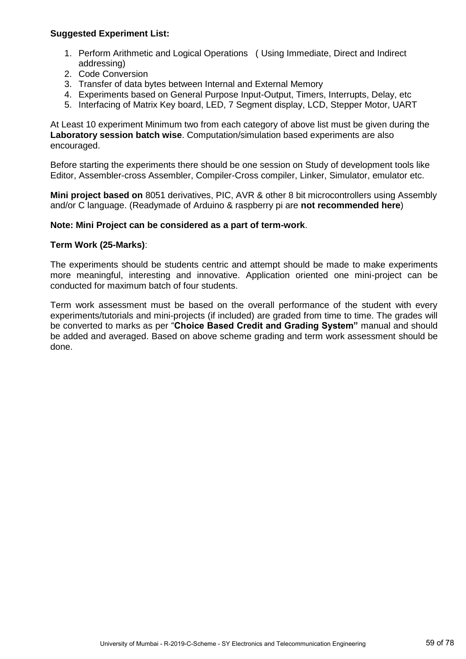## **Suggested Experiment List:**

- 1. Perform Arithmetic and Logical Operations ( Using Immediate, Direct and Indirect addressing)
- 2. Code Conversion
- 3. Transfer of data bytes between Internal and External Memory
- 4. Experiments based on General Purpose Input-Output, Timers, Interrupts, Delay, etc
- 5. Interfacing of Matrix Key board, LED, 7 Segment display, LCD, Stepper Motor, UART

At Least 10 experiment Minimum two from each category of above list must be given during the **Laboratory session batch wise**. Computation/simulation based experiments are also encouraged.

Before starting the experiments there should be one session on Study of development tools like Editor, Assembler-cross Assembler, Compiler-Cross compiler, Linker, Simulator, emulator etc.

**Mini project based on** 8051 derivatives, PIC, AVR & other 8 bit microcontrollers using Assembly and/or C language. (Readymade of Arduino & raspberry pi are **not recommended here**)

#### **Note: Mini Project can be considered as a part of term-work**.

#### **Term Work (25-Marks)**:

The experiments should be students centric and attempt should be made to make experiments more meaningful, interesting and innovative. Application oriented one mini-project can be conducted for maximum batch of four students.

Term work assessment must be based on the overall performance of the student with every experiments/tutorials and mini-projects (if included) are graded from time to time. The grades will be converted to marks as per "**Choice Based Credit and Grading System"** manual and should be added and averaged. Based on above scheme grading and term work assessment should be done.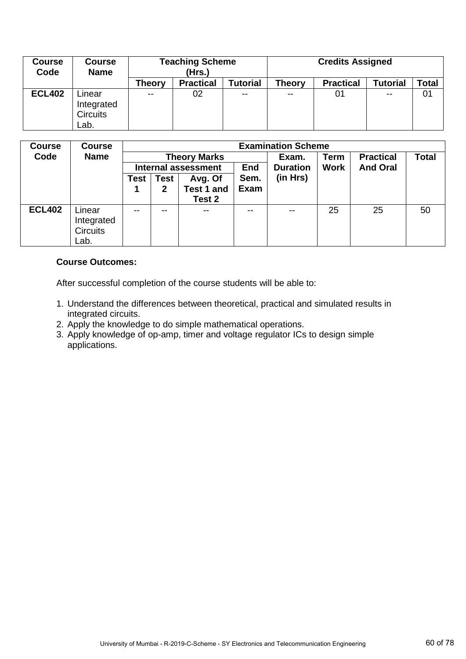| <b>Course</b><br>Code | <b>Course</b><br><b>Name</b>                    | <b>Teaching Scheme</b><br>(Hrs.) |                  |                 | <b>Credits Assigned</b> |                  |                 |       |  |
|-----------------------|-------------------------------------------------|----------------------------------|------------------|-----------------|-------------------------|------------------|-----------------|-------|--|
|                       |                                                 | Theory                           | <b>Practical</b> | <b>Tutorial</b> | <b>Theory</b>           | <b>Practical</b> | <b>Tutorial</b> | Total |  |
| <b>ECL402</b>         | _inear<br>Integrated<br><b>Circuits</b><br>Lab. | $\sim$ $\sim$                    | 02               | $\sim$ $\sim$   | $\sim$ $\sim$           | 01               | $- -$           | 01    |  |

| <b>Course</b> | <b>Course</b>           |                     |                            |            |               | <b>Examination Scheme</b> |             |                  |              |  |  |
|---------------|-------------------------|---------------------|----------------------------|------------|---------------|---------------------------|-------------|------------------|--------------|--|--|
| Code          | <b>Name</b>             | <b>Theory Marks</b> |                            |            |               | Exam.                     | Term        | <b>Practical</b> | <b>Total</b> |  |  |
|               |                         |                     | <b>Internal assessment</b> |            | End           | <b>Duration</b>           | <b>Work</b> | <b>And Oral</b>  |              |  |  |
|               | Test<br>Avg. Of<br>Test |                     | Sem.                       | (in Hrs)   |               |                           |             |                  |              |  |  |
|               |                         |                     | 2                          | Test 1 and | <b>Exam</b>   |                           |             |                  |              |  |  |
|               |                         |                     |                            | Test 2     |               |                           |             |                  |              |  |  |
| <b>ECL402</b> | Linear                  | $\sim$ $\sim$       | $- -$                      | $\sim$ $-$ | $\sim$ $\sim$ | $\sim$ $\sim$             | 25          | 25               | 50           |  |  |
|               | Integrated              |                     |                            |            |               |                           |             |                  |              |  |  |
|               | <b>Circuits</b>         |                     |                            |            |               |                           |             |                  |              |  |  |
|               | Lab.                    |                     |                            |            |               |                           |             |                  |              |  |  |

## **Course Outcomes:**

- 1. Understand the differences between theoretical, practical and simulated results in integrated circuits.
- 2. Apply the knowledge to do simple mathematical operations.
- 3. Apply knowledge of op-amp, timer and voltage regulator ICs to design simple applications.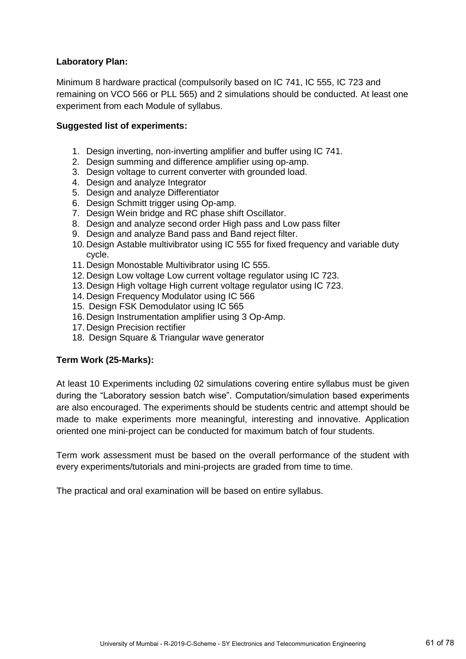## **Laboratory Plan:**

Minimum 8 hardware practical (compulsorily based on IC 741, IC 555, IC 723 and remaining on VCO 566 or PLL 565) and 2 simulations should be conducted. At least one experiment from each Module of syllabus.

## **Suggested list of experiments:**

- 1. Design inverting, non-inverting amplifier and buffer using IC 741.
- 2. Design summing and difference amplifier using op-amp.
- 3. Design voltage to current converter with grounded load.
- 4. Design and analyze Integrator
- 5. Design and analyze Differentiator
- 6. Design Schmitt trigger using Op-amp.
- 7. Design Wein bridge and RC phase shift Oscillator.
- 8. Design and analyze second order High pass and Low pass filter
- 9. Design and analyze Band pass and Band reject filter.
- 10. Design Astable multivibrator using IC 555 for fixed frequency and variable duty cycle.
- 11. Design Monostable Multivibrator using IC 555.
- 12. Design Low voltage Low current voltage regulator using IC 723.
- 13. Design High voltage High current voltage regulator using IC 723.
- 14. Design Frequency Modulator using IC 566
- 15. Design FSK Demodulator using IC 565
- 16. Design Instrumentation amplifier using 3 Op-Amp.
- 17. Design Precision rectifier
- 18. Design Square & Triangular wave generator

# **Term Work (25-Marks):**

At least 10 Experiments including 02 simulations covering entire syllabus must be given during the "Laboratory session batch wise". Computation/simulation based experiments are also encouraged. The experiments should be students centric and attempt should be made to make experiments more meaningful, interesting and innovative. Application oriented one mini-project can be conducted for maximum batch of four students.

Term work assessment must be based on the overall performance of the student with every experiments/tutorials and mini-projects are graded from time to time.

The practical and oral examination will be based on entire syllabus.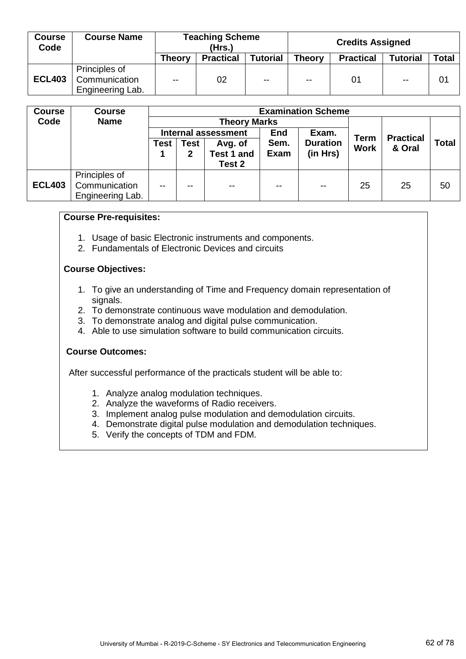| <b>Course</b><br>Code | <b>Course Name</b>                                 | <b>Teaching Scheme</b><br>(Hrs.) |                  |                 | <b>Credits Assigned</b> |                  |                 |              |
|-----------------------|----------------------------------------------------|----------------------------------|------------------|-----------------|-------------------------|------------------|-----------------|--------------|
|                       |                                                    | <b>Theory</b>                    | <b>Practical</b> | <b>Tutorial</b> | <b>Theory</b>           | <b>Practical</b> | <b>Tutorial</b> | <b>Total</b> |
| <b>ECL403</b>         | Principles of<br>Communication<br>Engineering Lab. | $\sim$ $\sim$                    | 02               | $\sim$ $\sim$   | $\sim$ $\sim$           | 01               | $\sim$ $\sim$   | 01           |

| <b>Course</b> | <b>Course</b>    | <b>Examination Scheme</b>       |                            |                     |               |               |              |                  |    |
|---------------|------------------|---------------------------------|----------------------------|---------------------|---------------|---------------|--------------|------------------|----|
| Code          | <b>Name</b>      |                                 |                            | <b>Theory Marks</b> |               |               |              |                  |    |
|               |                  |                                 | <b>Internal assessment</b> |                     |               | Exam.         | <b>Term</b>  | <b>Practical</b> |    |
|               |                  | Sem.<br>Test<br>Avg. of<br>Test |                            | <b>Duration</b>     | <b>Work</b>   | & Oral        | <b>Total</b> |                  |    |
|               |                  |                                 | 2                          | <b>Test 1 and</b>   | Exam          | (in Hrs)      |              |                  |    |
|               |                  |                                 |                            | Test 2              |               |               |              |                  |    |
|               | Principles of    |                                 |                            |                     |               |               |              |                  |    |
| <b>ECL403</b> | Communication    | $\sim$ $\sim$                   | --                         | $- -$               | $\sim$ $\sim$ | $\sim$ $\sim$ | 25           | 25               | 50 |
|               | Engineering Lab. |                                 |                            |                     |               |               |              |                  |    |

#### **Course Pre-requisites:**

- 1. Usage of basic Electronic instruments and components.
- 2. Fundamentals of Electronic Devices and circuits

#### **Course Objectives:**

- 1. To give an understanding of Time and Frequency domain representation of signals.
- 2. To demonstrate continuous wave modulation and demodulation.
- 3. To demonstrate analog and digital pulse communication.
- 4. Able to use simulation software to build communication circuits.

#### **Course Outcomes:**

After successful performance of the practicals student will be able to:

- 1. Analyze analog modulation techniques.
- 2. Analyze the waveforms of Radio receivers.
- 3. Implement analog pulse modulation and demodulation circuits.
- 4. Demonstrate digital pulse modulation and demodulation techniques.
- 5. Verify the concepts of TDM and FDM.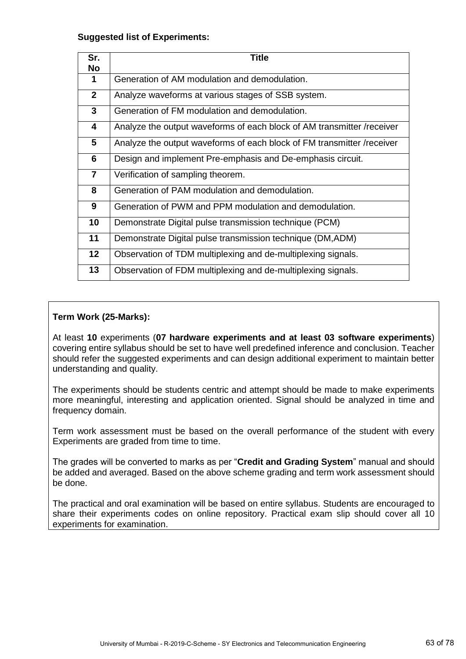### **Suggested list of Experiments:**

| Sr.<br>No               | <b>Title</b>                                                           |
|-------------------------|------------------------------------------------------------------------|
| 1                       | Generation of AM modulation and demodulation.                          |
| $\mathbf{2}$            | Analyze waveforms at various stages of SSB system.                     |
| 3                       | Generation of FM modulation and demodulation.                          |
| 4                       | Analyze the output waveforms of each block of AM transmitter /receiver |
| 5                       | Analyze the output waveforms of each block of FM transmitter /receiver |
| 6                       | Design and implement Pre-emphasis and De-emphasis circuit.             |
| $\overline{\mathbf{r}}$ | Verification of sampling theorem.                                      |
| 8                       | Generation of PAM modulation and demodulation.                         |
| 9                       | Generation of PWM and PPM modulation and demodulation.                 |
| 10                      | Demonstrate Digital pulse transmission technique (PCM)                 |
| 11                      | Demonstrate Digital pulse transmission technique (DM, ADM)             |
| 12 <sub>2</sub>         | Observation of TDM multiplexing and de-multiplexing signals.           |
| 13                      | Observation of FDM multiplexing and de-multiplexing signals.           |

## **Term Work (25-Marks):**

At least **10** experiments (**07 hardware experiments and at least 03 software experiments**) covering entire syllabus should be set to have well predefined inference and conclusion. Teacher should refer the suggested experiments and can design additional experiment to maintain better understanding and quality.

The experiments should be students centric and attempt should be made to make experiments more meaningful, interesting and application oriented. Signal should be analyzed in time and frequency domain.

Term work assessment must be based on the overall performance of the student with every Experiments are graded from time to time.

The grades will be converted to marks as per "**Credit and Grading System**" manual and should be added and averaged. Based on the above scheme grading and term work assessment should be done.

The practical and oral examination will be based on entire syllabus. Students are encouraged to share their experiments codes on online repository. Practical exam slip should cover all 10 experiments for examination.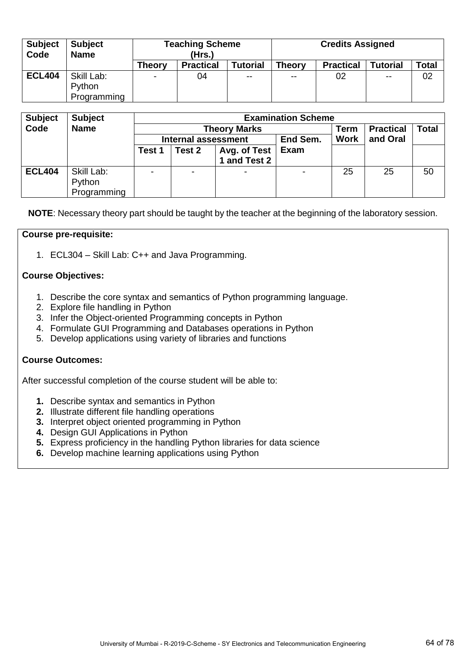| <b>Subject</b><br>Code | <b>Subject</b><br><b>Name</b> | <b>Teaching Scheme</b><br>(Hrs.) |                  |                 | <b>Credits Assigned</b> |                  |                 |              |  |
|------------------------|-------------------------------|----------------------------------|------------------|-----------------|-------------------------|------------------|-----------------|--------------|--|
|                        |                               | <b>Theory</b>                    | <b>Practical</b> | <b>Tutorial</b> | <b>Theory</b>           | <b>Practical</b> | <b>Tutorial</b> | <b>Total</b> |  |
| <b>ECL404</b>          | Skill Lab:                    | $\sim$                           | 04               | $- -$           | $- -$                   | 02               | $\sim$ $\sim$   | 02           |  |
|                        | Python                        |                                  |                  |                 |                         |                  |                 |              |  |
|                        | Programming                   |                                  |                  |                 |                         |                  |                 |              |  |

| <b>Subject</b> | <b>Subject</b> | <b>Examination Scheme</b> |                            |                     |          |             |                  |       |  |
|----------------|----------------|---------------------------|----------------------------|---------------------|----------|-------------|------------------|-------|--|
| Code           | <b>Name</b>    |                           |                            | <b>Theory Marks</b> |          | Term        | <b>Practical</b> | Total |  |
|                |                |                           | <b>Internal assessment</b> |                     | End Sem. | <b>Work</b> | and Oral         |       |  |
|                |                | Test 1                    | Test 2                     | Avg. of Test        | Exam     |             |                  |       |  |
|                |                |                           |                            | 1 and Test 2        |          |             |                  |       |  |
| <b>ECL404</b>  | Skill Lab:     |                           | ۰                          | $\blacksquare$      |          | 25          | 25               | 50    |  |
|                | Python         |                           |                            |                     |          |             |                  |       |  |
|                | Programming    |                           |                            |                     |          |             |                  |       |  |

**NOTE**: Necessary theory part should be taught by the teacher at the beginning of the laboratory session.

### **Course pre-requisite:**

1. ECL304 – Skill Lab: C++ and Java Programming.

### **Course Objectives:**

- 1. Describe the core syntax and semantics of Python programming language.
- 2. Explore file handling in Python
- 3. Infer the Object-oriented Programming concepts in Python
- 4. Formulate GUI Programming and Databases operations in Python
- 5. Develop applications using variety of libraries and functions

# **Course Outcomes:**

- **1.** Describe syntax and semantics in Python
- **2.** Illustrate different file handling operations
- **3.** Interpret object oriented programming in Python
- **4.** Design GUI Applications in Python
- **5.** Express proficiency in the handling Python libraries for data science
- **6.** Develop machine learning applications using Python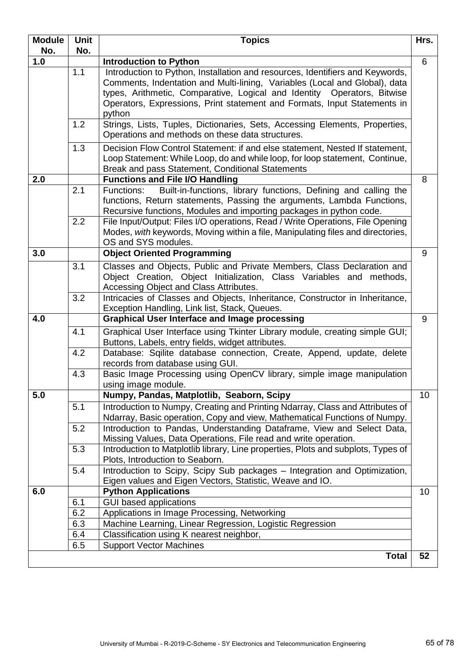| <b>Module</b> | Unit       | <b>Topics</b>                                                                                                                                                                                                                                                                                                                | Hrs. |
|---------------|------------|------------------------------------------------------------------------------------------------------------------------------------------------------------------------------------------------------------------------------------------------------------------------------------------------------------------------------|------|
| No.           | No.        |                                                                                                                                                                                                                                                                                                                              |      |
| 1.0           |            | <b>Introduction to Python</b>                                                                                                                                                                                                                                                                                                | 6    |
|               | 1.1        | Introduction to Python, Installation and resources, Identifiers and Keywords,<br>Comments, Indentation and Multi-lining, Variables (Local and Global), data<br>types, Arithmetic, Comparative, Logical and Identity Operators, Bitwise<br>Operators, Expressions, Print statement and Formats, Input Statements in<br>python |      |
|               | 1.2        | Strings, Lists, Tuples, Dictionaries, Sets, Accessing Elements, Properties,<br>Operations and methods on these data structures.                                                                                                                                                                                              |      |
|               | 1.3        | Decision Flow Control Statement: if and else statement, Nested If statement,<br>Loop Statement: While Loop, do and while loop, for loop statement, Continue,<br>Break and pass Statement, Conditional Statements                                                                                                             |      |
| 2.0           |            | <b>Functions and File I/O Handling</b>                                                                                                                                                                                                                                                                                       | 8    |
|               | 2.1<br>2.2 | Built-in-functions, library functions, Defining and calling the<br>Functions:<br>functions, Return statements, Passing the arguments, Lambda Functions,<br>Recursive functions, Modules and importing packages in python code.<br>File Input/Output: Files I/O operations, Read / Write Operations, File Opening             |      |
|               |            | Modes, with keywords, Moving within a file, Manipulating files and directories,<br>OS and SYS modules.                                                                                                                                                                                                                       |      |
| 3.0           |            | <b>Object Oriented Programming</b>                                                                                                                                                                                                                                                                                           | 9    |
|               | 3.1        | Classes and Objects, Public and Private Members, Class Declaration and<br>Object Creation, Object Initialization, Class Variables and methods,<br>Accessing Object and Class Attributes.                                                                                                                                     |      |
|               | 3.2        | Intricacies of Classes and Objects, Inheritance, Constructor in Inheritance,<br>Exception Handling, Link list, Stack, Queues.                                                                                                                                                                                                |      |
| 4.0           |            | <b>Graphical User Interface and Image processing</b>                                                                                                                                                                                                                                                                         | 9    |
|               | 4.1        | Graphical User Interface using Tkinter Library module, creating simple GUI;<br>Buttons, Labels, entry fields, widget attributes.                                                                                                                                                                                             |      |
|               | 4.2        | Database: Sqilite database connection, Create, Append, update, delete<br>records from database using GUI.                                                                                                                                                                                                                    |      |
|               | 4.3        | Basic Image Processing using OpenCV library, simple image manipulation<br>using image module.                                                                                                                                                                                                                                |      |
| 5.0           |            | Numpy, Pandas, Matplotlib, Seaborn, Scipy                                                                                                                                                                                                                                                                                    | 10   |
|               | 5.1        | Introduction to Numpy, Creating and Printing Ndarray, Class and Attributes of<br>Ndarray, Basic operation, Copy and view, Mathematical Functions of Numpy.                                                                                                                                                                   |      |
|               | 5.2        | Introduction to Pandas, Understanding Dataframe, View and Select Data,<br>Missing Values, Data Operations, File read and write operation.                                                                                                                                                                                    |      |
|               | 5.3        | Introduction to Matplotlib library, Line properties, Plots and subplots, Types of<br>Plots, Introduction to Seaborn.                                                                                                                                                                                                         |      |
|               | 5.4        | Introduction to Scipy, Scipy Sub packages - Integration and Optimization,<br>Eigen values and Eigen Vectors, Statistic, Weave and IO.                                                                                                                                                                                        |      |
| 6.0           |            | <b>Python Applications</b>                                                                                                                                                                                                                                                                                                   | 10   |
|               | 6.1        | <b>GUI based applications</b>                                                                                                                                                                                                                                                                                                |      |
|               | 6.2        | Applications in Image Processing, Networking                                                                                                                                                                                                                                                                                 |      |
|               | 6.3        | Machine Learning, Linear Regression, Logistic Regression                                                                                                                                                                                                                                                                     |      |
|               | 6.4        | Classification using K nearest neighbor,                                                                                                                                                                                                                                                                                     |      |
|               | 6.5        | <b>Support Vector Machines</b>                                                                                                                                                                                                                                                                                               |      |
|               |            | <b>Total</b>                                                                                                                                                                                                                                                                                                                 | 52   |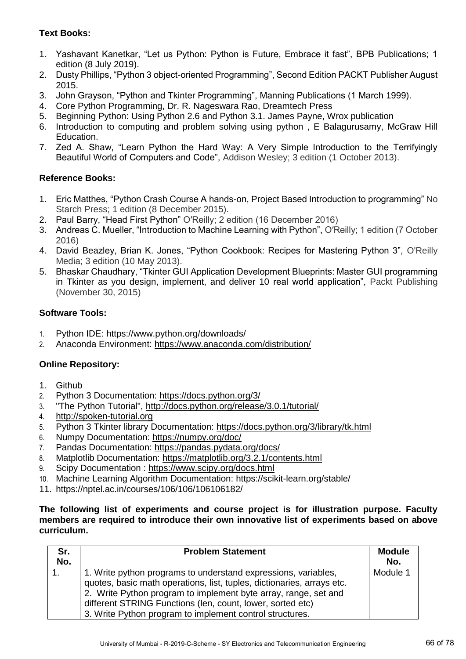# **Text Books:**

- 1. Yashavant Kanetkar, "Let us Python: Python is Future, Embrace it fast", BPB Publications; 1 edition (8 July 2019).
- 2. Dusty Phillips, "Python 3 object-oriented Programming", Second Edition PACKT Publisher August 2015.
- 3. John Grayson, "Python and Tkinter Programming", Manning Publications (1 March 1999).
- 4. Core Python Programming, Dr. R. Nageswara Rao, Dreamtech Press
- 5. Beginning Python: Using Python 2.6 and Python 3.1. James Payne, Wrox publication
- 6. Introduction to computing and problem solving using python , E Balagurusamy, McGraw Hill Education.
- 7. Zed A. Shaw, "Learn Python the Hard Way: A Very Simple Introduction to the Terrifyingly Beautiful World of Computers and Code", Addison Wesley; 3 edition (1 October 2013).

# **Reference Books:**

- 1. Eric Matthes, "Python Crash Course A hands-on, Project Based Introduction to programming" No Starch Press; 1 edition (8 December 2015).
- 2. Paul Barry, "Head First Python" O′Reilly; 2 edition (16 December 2016)
- 3. Andreas C. Mueller, "Introduction to Machine Learning with Python", O′Reilly; 1 edition (7 October 2016)
- 4. David Beazley, Brian K. Jones, "Python Cookbook: Recipes for Mastering Python 3", O'Reilly Media; 3 edition (10 May 2013).
- 5. Bhaskar Chaudhary, "Tkinter GUI Application Development Blueprints: Master GUI programming in Tkinter as you design, implement, and deliver 10 real world application", Packt Publishing (November 30, 2015)

# **Software Tools:**

- 1. Python IDE:<https://www.python.org/downloads/>
- 2. Anaconda Environment:<https://www.anaconda.com/distribution/>

# **Online Repository:**

- 1. Github
- 2. Python 3 Documentation:<https://docs.python.org/3/>
- 3. "The Python Tutorial",<http://docs.python.org/release/3.0.1/tutorial/>
- 4. [http://spoken-tutorial.org](http://spoken-tutorial.org/)
- 5. Python 3 Tkinter library Documentation:<https://docs.python.org/3/library/tk.html>
- 6. Numpy Documentation:<https://numpy.org/doc/>
- 7. Pandas Documentation:<https://pandas.pydata.org/docs/>
- 8. Matplotlib Documentation:<https://matplotlib.org/3.2.1/contents.html>
- 9. Scipy Documentation :<https://www.scipy.org/docs.html>
- 10. Machine Learning Algorithm Documentation:<https://scikit-learn.org/stable/>
- 11. https://nptel.ac.in/courses/106/106/106106182/

### **The following list of experiments and course project is for illustration purpose. Faculty members are required to introduce their own innovative list of experiments based on above curriculum.**

| Sr.<br>No. | <b>Problem Statement</b>                                                                                                                                                                                                                                                                                                              | <b>Module</b><br>No. |
|------------|---------------------------------------------------------------------------------------------------------------------------------------------------------------------------------------------------------------------------------------------------------------------------------------------------------------------------------------|----------------------|
| 1.         | 1. Write python programs to understand expressions, variables,<br>quotes, basic math operations, list, tuples, dictionaries, arrays etc.<br>2. Write Python program to implement byte array, range, set and<br>different STRING Functions (len, count, lower, sorted etc)<br>3. Write Python program to implement control structures. | Module 1             |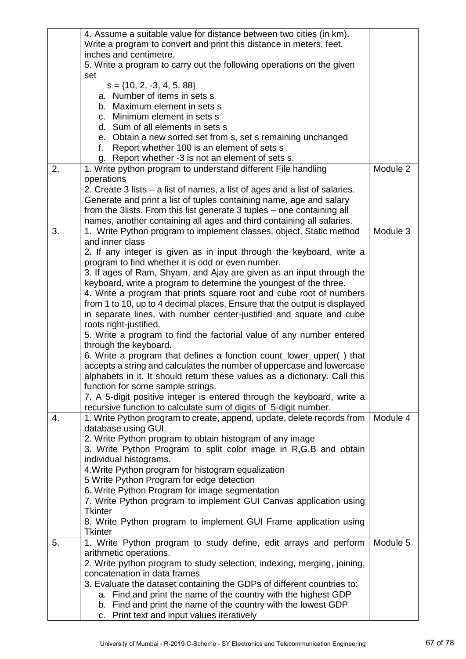|                  | 4. Assume a suitable value for distance between two cities (in km).                                                          |          |
|------------------|------------------------------------------------------------------------------------------------------------------------------|----------|
|                  | Write a program to convert and print this distance in meters, feet,                                                          |          |
|                  | inches and centimetre.                                                                                                       |          |
|                  | 5. Write a program to carry out the following operations on the given                                                        |          |
|                  | set                                                                                                                          |          |
|                  | $s = \{10, 2, -3, 4, 5, 88\}$                                                                                                |          |
|                  | a. Number of items in sets s                                                                                                 |          |
|                  | b. Maximum element in sets s                                                                                                 |          |
|                  | c. Minimum element in sets s                                                                                                 |          |
|                  | d. Sum of all elements in sets s                                                                                             |          |
|                  | e. Obtain a new sorted set from s, set s remaining unchanged                                                                 |          |
|                  | Report whether 100 is an element of sets s<br>f.                                                                             |          |
| 2.               | g. Report whether -3 is not an element of sets s.                                                                            | Module 2 |
|                  | 1. Write python program to understand different File handling                                                                |          |
|                  | operations<br>2. Create 3 lists – a list of names, a list of ages and a list of salaries.                                    |          |
|                  | Generate and print a list of tuples containing name, age and salary                                                          |          |
|                  | from the 3lists. From this list generate 3 tuples - one containing all                                                       |          |
|                  | names, another containing all ages and third containing all salaries.                                                        |          |
| 3.               | 1. Write Python program to implement classes, object, Static method                                                          | Module 3 |
|                  | and inner class                                                                                                              |          |
|                  | 2. If any integer is given as in input through the keyboard, write a                                                         |          |
|                  | program to find whether it is odd or even number.                                                                            |          |
|                  | 3. If ages of Ram, Shyam, and Ajay are given as an input through the                                                         |          |
|                  | keyboard, write a program to determine the youngest of the three.                                                            |          |
|                  | 4. Write a program that prints square root and cube root of numbers                                                          |          |
|                  | from 1 to 10, up to 4 decimal places. Ensure that the output is displayed                                                    |          |
|                  | in separate lines, with number center-justified and square and cube                                                          |          |
|                  | roots right-justified.                                                                                                       |          |
|                  | 5. Write a program to find the factorial value of any number entered                                                         |          |
|                  | through the keyboard.                                                                                                        |          |
|                  | 6. Write a program that defines a function count_lower_upper() that                                                          |          |
|                  | accepts a string and calculates the number of uppercase and lowercase                                                        |          |
|                  | alphabets in it. It should return these values as a dictionary. Call this                                                    |          |
|                  | function for some sample strings.                                                                                            |          |
|                  | 7. A 5-digit positive integer is entered through the keyboard, write a                                                       |          |
|                  | recursive function to calculate sum of digits of 5-digit number.                                                             |          |
| $\overline{4}$ . | 1. Write Python program to create, append, update, delete records from                                                       | Module 4 |
|                  | database using GUI.                                                                                                          |          |
|                  | 2. Write Python program to obtain histogram of any image<br>3. Write Python Program to split color image in R,G,B and obtain |          |
|                  | individual histograms.                                                                                                       |          |
|                  | 4. Write Python program for histogram equalization                                                                           |          |
|                  | 5 Write Python Program for edge detection                                                                                    |          |
|                  | 6. Write Python Program for image segmentation                                                                               |          |
|                  | 7. Write Python program to implement GUI Canvas application using                                                            |          |
|                  | <b>Tkinter</b>                                                                                                               |          |
|                  | 8. Write Python program to implement GUI Frame application using                                                             |          |
|                  | <b>Tkinter</b>                                                                                                               |          |
| 5.               | 1. Write Python program to study define, edit arrays and perform                                                             | Module 5 |
|                  | arithmetic operations.                                                                                                       |          |
|                  | 2. Write python program to study selection, indexing, merging, joining,                                                      |          |
|                  | concatenation in data frames                                                                                                 |          |
|                  | 3. Evaluate the dataset containing the GDPs of different countries to:                                                       |          |
|                  | a. Find and print the name of the country with the highest GDP                                                               |          |
|                  | b. Find and print the name of the country with the lowest GDP                                                                |          |
|                  | c. Print text and input values iteratively                                                                                   |          |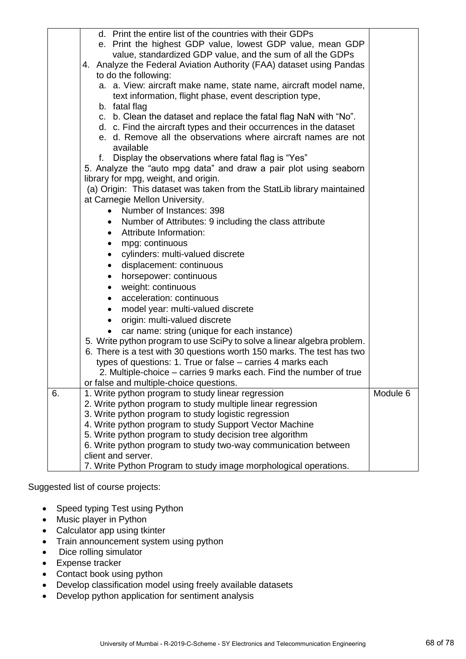|    | d. Print the entire list of the countries with their GDPs                                                                  |          |
|----|----------------------------------------------------------------------------------------------------------------------------|----------|
|    | e. Print the highest GDP value, lowest GDP value, mean GDP                                                                 |          |
|    | value, standardized GDP value, and the sum of all the GDPs                                                                 |          |
|    | 4. Analyze the Federal Aviation Authority (FAA) dataset using Pandas                                                       |          |
|    | to do the following:                                                                                                       |          |
|    | a. a. View: aircraft make name, state name, aircraft model name,                                                           |          |
|    | text information, flight phase, event description type,                                                                    |          |
|    | b. fatal flag                                                                                                              |          |
|    | c. b. Clean the dataset and replace the fatal flag NaN with "No".                                                          |          |
|    | d. c. Find the aircraft types and their occurrences in the dataset                                                         |          |
|    | e. d. Remove all the observations where aircraft names are not                                                             |          |
|    | available                                                                                                                  |          |
|    | Display the observations where fatal flag is "Yes"<br>f.                                                                   |          |
|    | 5. Analyze the "auto mpg data" and draw a pair plot using seaborn                                                          |          |
|    | library for mpg, weight, and origin.                                                                                       |          |
|    | (a) Origin: This dataset was taken from the StatLib library maintained                                                     |          |
|    | at Carnegie Mellon University.                                                                                             |          |
|    | Number of Instances: 398                                                                                                   |          |
|    | Number of Attributes: 9 including the class attribute                                                                      |          |
|    | Attribute Information:<br>$\bullet$                                                                                        |          |
|    | mpg: continuous                                                                                                            |          |
|    | cylinders: multi-valued discrete                                                                                           |          |
|    | displacement: continuous                                                                                                   |          |
|    | horsepower: continuous                                                                                                     |          |
|    | weight: continuous                                                                                                         |          |
|    | acceleration: continuous                                                                                                   |          |
|    | model year: multi-valued discrete                                                                                          |          |
|    | origin: multi-valued discrete                                                                                              |          |
|    | car name: string (unique for each instance)                                                                                |          |
|    | 5. Write python program to use SciPy to solve a linear algebra problem.                                                    |          |
|    | 6. There is a test with 30 questions worth 150 marks. The test has two                                                     |          |
|    | types of questions: 1. True or false – carries 4 marks each                                                                |          |
|    | 2. Multiple-choice – carries 9 marks each. Find the number of true                                                         |          |
|    | or false and multiple-choice questions.                                                                                    |          |
| 6. | 1. Write python program to study linear regression                                                                         | Module 6 |
|    | 2. Write python program to study multiple linear regression                                                                |          |
|    | 3. Write python program to study logistic regression                                                                       |          |
|    | 4. Write python program to study Support Vector Machine                                                                    |          |
|    | 5. Write python program to study decision tree algorithm<br>6. Write python program to study two-way communication between |          |
|    | client and server.                                                                                                         |          |
|    |                                                                                                                            |          |
|    | 7. Write Python Program to study image morphological operations.                                                           |          |

Suggested list of course projects:

- Speed typing Test using Python
- Music player in Python
- Calculator app using tkinter
- Train announcement system using python
- Dice rolling simulator
- Expense tracker
- Contact book using python
- Develop classification model using freely available datasets
- Develop python application for sentiment analysis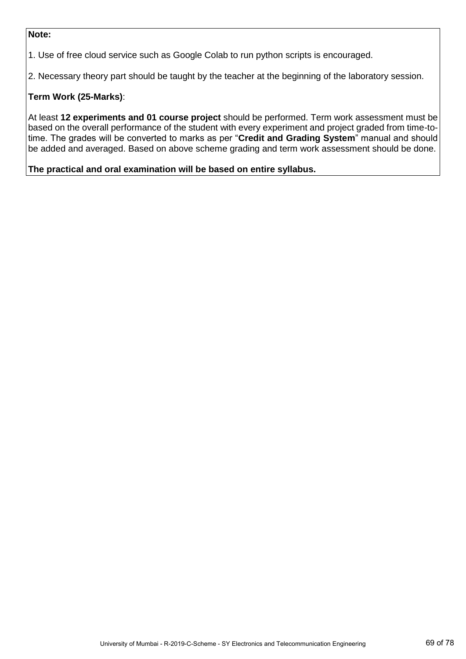### **Note:**

1. Use of free cloud service such as Google Colab to run python scripts is encouraged.

2. Necessary theory part should be taught by the teacher at the beginning of the laboratory session.

# **Term Work (25-Marks)**:

At least **12 experiments and 01 course project** should be performed. Term work assessment must be based on the overall performance of the student with every experiment and project graded from time-totime. The grades will be converted to marks as per "**Credit and Grading System**" manual and should be added and averaged. Based on above scheme grading and term work assessment should be done.

**The practical and oral examination will be based on entire syllabus.**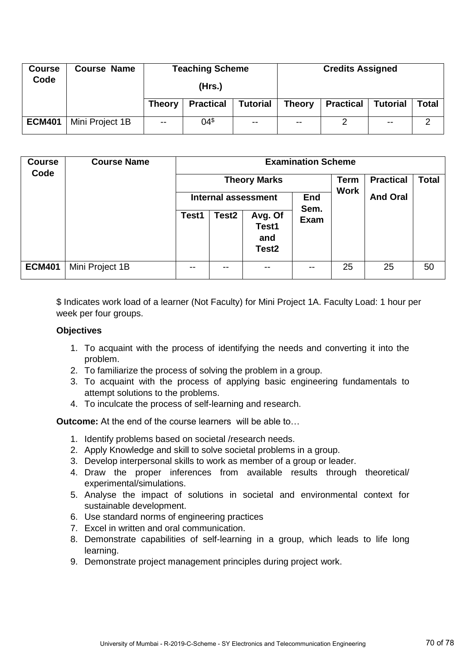| <b>Course</b><br>Code             | <b>Course Name</b> |               | <b>Teaching Scheme</b> |                 | <b>Credits Assigned</b> |                  |                 |       |
|-----------------------------------|--------------------|---------------|------------------------|-----------------|-------------------------|------------------|-----------------|-------|
|                                   |                    |               | (Hrs.)                 |                 |                         |                  |                 |       |
| <b>Practical</b><br><b>Theory</b> |                    |               |                        | <b>Tutorial</b> | <b>Theory</b>           | <b>Practical</b> | <b>Tutorial</b> | Total |
| <b>ECM401</b>                     | Mini Project 1B    | $\sim$ $\sim$ | 04 <sup>⁵</sup>        | $\sim$ $\sim$   | $\sim$ $\sim$           |                  | $\sim$ $\sim$   | ◠     |

| <b>Course</b><br>Code | <b>Course Name</b> |       |                            | <b>Theory Marks</b>                          | <b>Examination Scheme</b> | <b>Term</b><br><b>Work</b> | <b>Practical</b> | <b>Total</b> |
|-----------------------|--------------------|-------|----------------------------|----------------------------------------------|---------------------------|----------------------------|------------------|--------------|
|                       |                    |       | <b>Internal assessment</b> |                                              |                           |                            | <b>And Oral</b>  |              |
|                       |                    | Test1 | Test <sub>2</sub>          | Avg. Of<br>Test1<br>and<br>Test <sub>2</sub> | Sem.<br><b>Exam</b>       |                            |                  |              |
| <b>ECM401</b>         | Mini Project 1B    | --    |                            | $ -$                                         | --                        | 25                         | 25               | 50           |

\$ Indicates work load of a learner (Not Faculty) for Mini Project 1A. Faculty Load: 1 hour per week per four groups.

## **Objectives**

- 1. To acquaint with the process of identifying the needs and converting it into the problem.
- 2. To familiarize the process of solving the problem in a group.
- 3. To acquaint with the process of applying basic engineering fundamentals to attempt solutions to the problems.
- 4. To inculcate the process of self-learning and research.

**Outcome:** At the end of the course learners will be able to…

- 1. Identify problems based on societal /research needs.
- 2. Apply Knowledge and skill to solve societal problems in a group.
- 3. Develop interpersonal skills to work as member of a group or leader.
- 4. Draw the proper inferences from available results through theoretical/ experimental/simulations.
- 5. Analyse the impact of solutions in societal and environmental context for sustainable development.
- 6. Use standard norms of engineering practices
- 7. Excel in written and oral communication.
- 8. Demonstrate capabilities of self-learning in a group, which leads to life long learning.
- 9. Demonstrate project management principles during project work.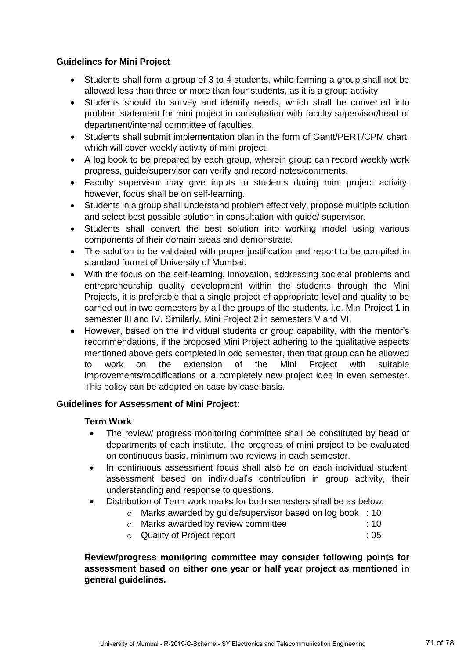## **Guidelines for Mini Project**

- Students shall form a group of 3 to 4 students, while forming a group shall not be allowed less than three or more than four students, as it is a group activity.
- Students should do survey and identify needs, which shall be converted into problem statement for mini project in consultation with faculty supervisor/head of department/internal committee of faculties.
- Students shall submit implementation plan in the form of Gantt/PERT/CPM chart, which will cover weekly activity of mini project.
- A log book to be prepared by each group, wherein group can record weekly work progress, guide/supervisor can verify and record notes/comments.
- Faculty supervisor may give inputs to students during mini project activity; however, focus shall be on self-learning.
- Students in a group shall understand problem effectively, propose multiple solution and select best possible solution in consultation with guide/ supervisor.
- Students shall convert the best solution into working model using various components of their domain areas and demonstrate.
- The solution to be validated with proper justification and report to be compiled in standard format of University of Mumbai.
- With the focus on the self-learning, innovation, addressing societal problems and entrepreneurship quality development within the students through the Mini Projects, it is preferable that a single project of appropriate level and quality to be carried out in two semesters by all the groups of the students. i.e. Mini Project 1 in semester III and IV. Similarly, Mini Project 2 in semesters V and VI.
- However, based on the individual students or group capability, with the mentor's recommendations, if the proposed Mini Project adhering to the qualitative aspects mentioned above gets completed in odd semester, then that group can be allowed to work on the extension of the Mini Project with suitable improvements/modifications or a completely new project idea in even semester. This policy can be adopted on case by case basis.

# **Guidelines for Assessment of Mini Project:**

### **Term Work**

- The review/ progress monitoring committee shall be constituted by head of departments of each institute. The progress of mini project to be evaluated on continuous basis, minimum two reviews in each semester.
- In continuous assessment focus shall also be on each individual student, assessment based on individual's contribution in group activity, their understanding and response to questions.
- Distribution of Term work marks for both semesters shall be as below;
	- o Marks awarded by guide/supervisor based on log book : 10
		- o Marks awarded by review committee : 10
		- o Quality of Project report : 05

**Review/progress monitoring committee may consider following points for assessment based on either one year or half year project as mentioned in general guidelines.**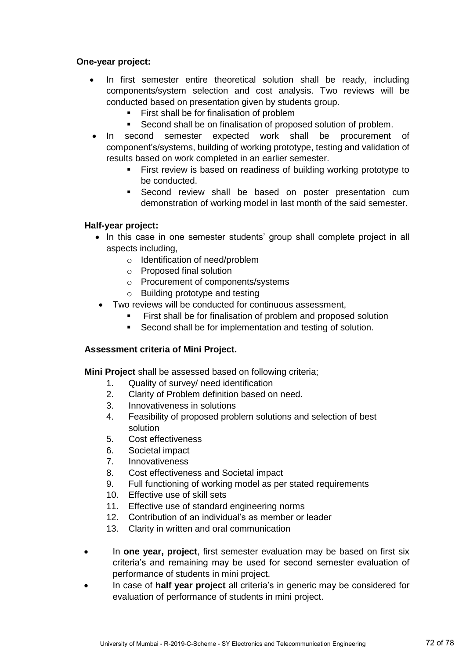## **One-year project:**

- In first semester entire theoretical solution shall be ready, including components/system selection and cost analysis. Two reviews will be conducted based on presentation given by students group.
	- First shall be for finalisation of problem
	- Second shall be on finalisation of proposed solution of problem.
- In second semester expected work shall be procurement of component's/systems, building of working prototype, testing and validation of results based on work completed in an earlier semester.
	- First review is based on readiness of building working prototype to be conducted.
	- **Second review shall be based on poster presentation cum** demonstration of working model in last month of the said semester.

## **Half-year project:**

- In this case in one semester students' group shall complete project in all aspects including,
	- o Identification of need/problem
	- o Proposed final solution
	- o Procurement of components/systems
	- o Building prototype and testing
- Two reviews will be conducted for continuous assessment,
	- **First shall be for finalisation of problem and proposed solution**
	- **Second shall be for implementation and testing of solution.**

### **Assessment criteria of Mini Project.**

**Mini Project** shall be assessed based on following criteria;

- 1. Quality of survey/ need identification
- 2. Clarity of Problem definition based on need.
- 3. Innovativeness in solutions
- 4. Feasibility of proposed problem solutions and selection of best solution
- 5. Cost effectiveness
- 6. Societal impact
- 7. Innovativeness
- 8. Cost effectiveness and Societal impact
- 9. Full functioning of working model as per stated requirements
- 10. Effective use of skill sets
- 11. Effective use of standard engineering norms
- 12. Contribution of an individual's as member or leader
- 13. Clarity in written and oral communication
- In **one year, project**, first semester evaluation may be based on first six criteria's and remaining may be used for second semester evaluation of performance of students in mini project.
- In case of **half year project** all criteria's in generic may be considered for evaluation of performance of students in mini project.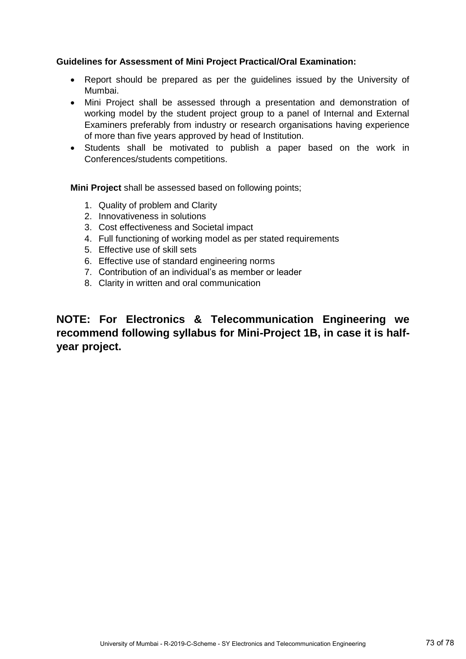### **Guidelines for Assessment of Mini Project Practical/Oral Examination:**

- Report should be prepared as per the guidelines issued by the University of Mumbai.
- Mini Project shall be assessed through a presentation and demonstration of working model by the student project group to a panel of Internal and External Examiners preferably from industry or research organisations having experience of more than five years approved by head of Institution.
- Students shall be motivated to publish a paper based on the work in Conferences/students competitions.

**Mini Project** shall be assessed based on following points;

- 1. Quality of problem and Clarity
- 2. Innovativeness in solutions
- 3. Cost effectiveness and Societal impact
- 4. Full functioning of working model as per stated requirements
- 5. Effective use of skill sets
- 6. Effective use of standard engineering norms
- 7. Contribution of an individual's as member or leader
- 8. Clarity in written and oral communication

**NOTE: For Electronics & Telecommunication Engineering we recommend following syllabus for Mini-Project 1B, in case it is halfyear project.**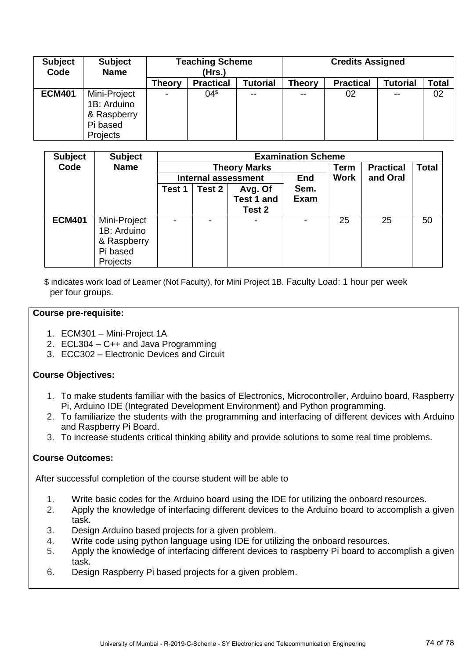| <b>Subject</b><br>Code | <b>Subject</b><br><b>Name</b> | <b>Teaching Scheme</b><br>(Hrs.) |                  |          | <b>Credits Assigned</b> |                  |                 |              |
|------------------------|-------------------------------|----------------------------------|------------------|----------|-------------------------|------------------|-----------------|--------------|
|                        |                               | <b>Theory</b>                    | <b>Practical</b> | Tutorial | <b>Theory</b>           | <b>Practical</b> | <b>Tutorial</b> | <b>Total</b> |
| <b>ECM401</b>          | Mini-Project                  |                                  | 04 <sup></sup>   | --       | --                      | 02               | $- -$           | 02           |
|                        | 1B: Arduino                   |                                  |                  |          |                         |                  |                 |              |
|                        | & Raspberry                   |                                  |                  |          |                         |                  |                 |              |
|                        | Pi based                      |                                  |                  |          |                         |                  |                 |              |
|                        | Projects                      |                                  |                  |          |                         |                  |                 |              |

| <b>Subject</b> | <b>Subject</b> | <b>Examination Scheme</b>  |        |                   |             |             |                  |              |  |
|----------------|----------------|----------------------------|--------|-------------------|-------------|-------------|------------------|--------------|--|
| Code           | <b>Name</b>    | <b>Theory Marks</b>        |        |                   |             | Term        | <b>Practical</b> | <b>Total</b> |  |
|                |                | <b>Internal assessment</b> |        |                   | <b>End</b>  | <b>Work</b> | and Oral         |              |  |
|                |                | Test 1                     | Test 2 | Avg. Of           | Sem.        |             |                  |              |  |
|                |                |                            |        | <b>Test 1 and</b> | <b>Exam</b> |             |                  |              |  |
|                |                |                            |        | Test 2            |             |             |                  |              |  |
| <b>ECM401</b>  | Mini-Project   | $\blacksquare$             |        | ۰                 |             | 25          | 25               | 50           |  |
|                | 1B: Arduino    |                            |        |                   |             |             |                  |              |  |
|                | & Raspberry    |                            |        |                   |             |             |                  |              |  |
|                | Pi based       |                            |        |                   |             |             |                  |              |  |
|                | Projects       |                            |        |                   |             |             |                  |              |  |

\$ indicates work load of Learner (Not Faculty), for Mini Project 1B. Faculty Load: 1 hour per week per four groups.

#### **Course pre-requisite:**

- 1. ECM301 Mini-Project 1A
- 2. ECL304 C++ and Java Programming
- 3. ECC302 Electronic Devices and Circuit

#### **Course Objectives:**

- 1. To make students familiar with the basics of Electronics, Microcontroller, Arduino board, Raspberry Pi, Arduino IDE (Integrated Development Environment) and Python programming.
- 2. To familiarize the students with the programming and interfacing of different devices with Arduino and Raspberry Pi Board.
- 3. To increase students critical thinking ability and provide solutions to some real time problems.

# **Course Outcomes:**

After successful completion of the course student will be able to

- 1. Write basic codes for the Arduino board using the IDE for utilizing the onboard resources.
- 2. Apply the knowledge of interfacing different devices to the Arduino board to accomplish a given task.
- 3. Design Arduino based projects for a given problem.
- 4. Write code using python language using IDE for utilizing the onboard resources.
- 5. Apply the knowledge of interfacing different devices to raspberry Pi board to accomplish a given task.
- 6. Design Raspberry Pi based projects for a given problem.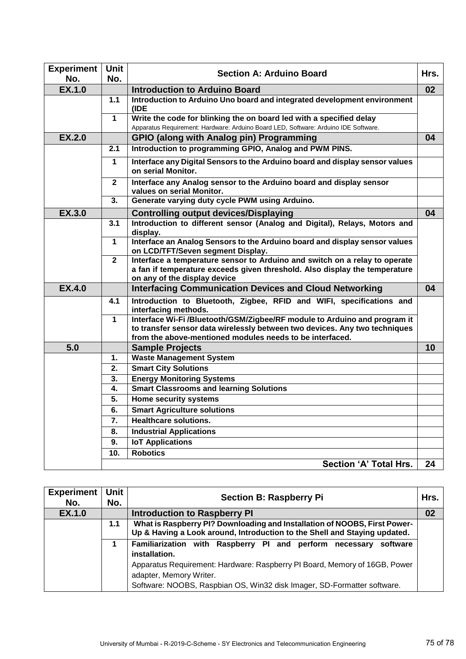| <b>Experiment</b>    | Unit           | <b>Section A: Arduino Board</b><br>Hrs.                                                                                                                                                                             |    |  |  |
|----------------------|----------------|---------------------------------------------------------------------------------------------------------------------------------------------------------------------------------------------------------------------|----|--|--|
| No.<br><b>EX.1.0</b> | No.            | <b>Introduction to Arduino Board</b>                                                                                                                                                                                | 02 |  |  |
|                      | 1.1            | Introduction to Arduino Uno board and integrated development environment                                                                                                                                            |    |  |  |
|                      |                | (IDE                                                                                                                                                                                                                |    |  |  |
|                      | $\mathbf{1}$   | Write the code for blinking the on board led with a specified delay                                                                                                                                                 |    |  |  |
|                      |                | Apparatus Requirement: Hardware: Arduino Board LED, Software: Arduino IDE Software.                                                                                                                                 |    |  |  |
| <b>EX.2.0</b>        |                | <b>GPIO (along with Analog pin) Programming</b>                                                                                                                                                                     | 04 |  |  |
|                      | 2.1            | Introduction to programming GPIO, Analog and PWM PINS.                                                                                                                                                              |    |  |  |
|                      | $\mathbf 1$    | Interface any Digital Sensors to the Arduino board and display sensor values<br>on serial Monitor.                                                                                                                  |    |  |  |
|                      | $\mathbf{2}$   | Interface any Analog sensor to the Arduino board and display sensor<br>values on serial Monitor.                                                                                                                    |    |  |  |
|                      | 3.             | Generate varying duty cycle PWM using Arduino.                                                                                                                                                                      |    |  |  |
| <b>EX.3.0</b>        |                | <b>Controlling output devices/Displaying</b>                                                                                                                                                                        | 04 |  |  |
|                      | 3.1            | Introduction to different sensor (Analog and Digital), Relays, Motors and<br>display.                                                                                                                               |    |  |  |
|                      | $\mathbf 1$    | Interface an Analog Sensors to the Arduino board and display sensor values<br>on LCD/TFT/Seven segment Display.                                                                                                     |    |  |  |
|                      | $\overline{2}$ | Interface a temperature sensor to Arduino and switch on a relay to operate<br>a fan if temperature exceeds given threshold. Also display the temperature<br>on any of the display device                            |    |  |  |
| <b>EX.4.0</b>        |                | <b>Interfacing Communication Devices and Cloud Networking</b>                                                                                                                                                       | 04 |  |  |
|                      | 4.1            | Introduction to Bluetooth, Zigbee, RFID and WIFI, specifications and<br>interfacing methods.                                                                                                                        |    |  |  |
|                      | $\mathbf{1}$   | Interface Wi-Fi /Bluetooth/GSM/Zigbee/RF module to Arduino and program it<br>to transfer sensor data wirelessly between two devices. Any two techniques<br>from the above-mentioned modules needs to be interfaced. |    |  |  |
| 5.0                  |                | <b>Sample Projects</b>                                                                                                                                                                                              | 10 |  |  |
|                      | 1.             | <b>Waste Management System</b>                                                                                                                                                                                      |    |  |  |
|                      | 2.             | <b>Smart City Solutions</b>                                                                                                                                                                                         |    |  |  |
|                      | 3.             | <b>Energy Monitoring Systems</b>                                                                                                                                                                                    |    |  |  |
|                      | 4.             | <b>Smart Classrooms and learning Solutions</b>                                                                                                                                                                      |    |  |  |
|                      | 5.             | <b>Home security systems</b>                                                                                                                                                                                        |    |  |  |
|                      | 6.             | <b>Smart Agriculture solutions</b>                                                                                                                                                                                  |    |  |  |
|                      | 7.             | <b>Healthcare solutions.</b>                                                                                                                                                                                        |    |  |  |
|                      | 8.             | <b>Industrial Applications</b>                                                                                                                                                                                      |    |  |  |
|                      | 9.             | <b>IoT Applications</b>                                                                                                                                                                                             |    |  |  |
|                      | 10.            | <b>Robotics</b>                                                                                                                                                                                                     |    |  |  |
|                      |                | Section 'A' Total Hrs.                                                                                                                                                                                              | 24 |  |  |

| <b>Experiment</b><br>No. | Unit<br>No. | Hrs.<br><b>Section B: Raspberry Pi</b>                                                                                                                                                                                                                                |    |  |  |  |
|--------------------------|-------------|-----------------------------------------------------------------------------------------------------------------------------------------------------------------------------------------------------------------------------------------------------------------------|----|--|--|--|
| <b>EX.1.0</b>            |             | <b>Introduction to Raspberry PI</b>                                                                                                                                                                                                                                   | 02 |  |  |  |
|                          | 1.1         | What is Raspberry PI? Downloading and Installation of NOOBS, First Power-<br>Up & Having a Look around, Introduction to the Shell and Staying updated.                                                                                                                |    |  |  |  |
|                          | 1           | Familiarization with Raspberry PI and perform necessary software<br>installation.<br>Apparatus Requirement: Hardware: Raspberry PI Board, Memory of 16GB, Power<br>adapter, Memory Writer.<br>Software: NOOBS, Raspbian OS, Win32 disk Imager, SD-Formatter software. |    |  |  |  |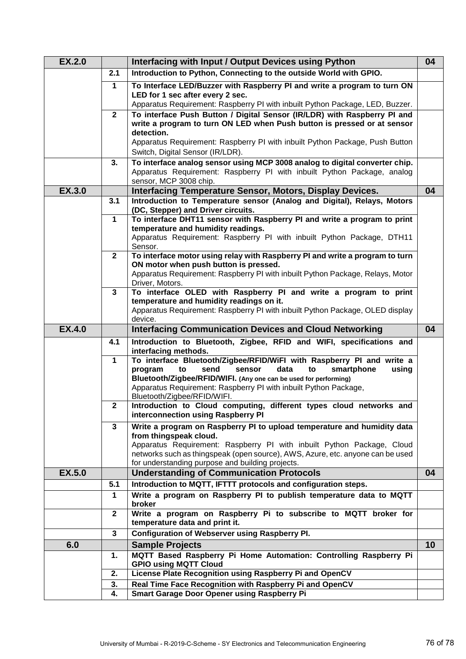| <b>EX.2.0</b> |                | Interfacing with Input / Output Devices using Python                                                                                 | 04 |
|---------------|----------------|--------------------------------------------------------------------------------------------------------------------------------------|----|
|               | 2.1            | Introduction to Python, Connecting to the outside World with GPIO.                                                                   |    |
|               | $\mathbf 1$    | To Interface LED/Buzzer with Raspberry PI and write a program to turn ON                                                             |    |
|               |                | LED for 1 sec after every 2 sec.<br>Apparatus Requirement: Raspberry PI with inbuilt Python Package, LED, Buzzer.                    |    |
|               | $\mathbf{2}$   | To interface Push Button / Digital Sensor (IR/LDR) with Raspberry PI and                                                             |    |
|               |                | write a program to turn ON LED when Push button is pressed or at sensor                                                              |    |
|               |                | detection.                                                                                                                           |    |
|               |                | Apparatus Requirement: Raspberry PI with inbuilt Python Package, Push Button<br>Switch, Digital Sensor (IR/LDR).                     |    |
|               | 3.             | To interface analog sensor using MCP 3008 analog to digital converter chip.                                                          |    |
|               |                | Apparatus Requirement: Raspberry PI with inbuilt Python Package, analog                                                              |    |
|               |                | sensor, MCP 3008 chip.                                                                                                               |    |
| <b>EX.3.0</b> |                | <b>Interfacing Temperature Sensor, Motors, Display Devices.</b>                                                                      | 04 |
|               | 3.1            | Introduction to Temperature sensor (Analog and Digital), Relays, Motors<br>(DC, Stepper) and Driver circuits.                        |    |
|               | $\mathbf 1$    | To interface DHT11 sensor with Raspberry PI and write a program to print                                                             |    |
|               |                | temperature and humidity readings.                                                                                                   |    |
|               |                | Apparatus Requirement: Raspberry PI with inbuilt Python Package, DTH11                                                               |    |
|               | $\overline{2}$ | Sensor.<br>To interface motor using relay with Raspberry PI and write a program to turn                                              |    |
|               |                | ON motor when push button is pressed.                                                                                                |    |
|               |                | Apparatus Requirement: Raspberry PI with inbuilt Python Package, Relays, Motor                                                       |    |
|               |                | Driver, Motors.                                                                                                                      |    |
|               | 3              | To interface OLED with Raspberry PI and write a program to print<br>temperature and humidity readings on it.                         |    |
|               |                | Apparatus Requirement: Raspberry PI with inbuilt Python Package, OLED display                                                        |    |
|               |                | device.                                                                                                                              |    |
| <b>EX.4.0</b> |                | <b>Interfacing Communication Devices and Cloud Networking</b>                                                                        | 04 |
|               | 4.1            | Introduction to Bluetooth, Zigbee, RFID and WIFI, specifications and<br>interfacing methods.                                         |    |
|               | $\mathbf{1}$   | To interface Bluetooth/Zigbee/RFID/WiFI with Raspberry PI and write a                                                                |    |
|               |                | data<br>program<br>to<br>send<br>sensor<br>to<br>smartphone<br>using                                                                 |    |
|               |                | Bluetooth/Zigbee/RFID/WIFI. (Any one can be used for performing)<br>Apparatus Requirement: Raspberry PI with inbuilt Python Package, |    |
|               |                | Bluetooth/Zigbee/RFID/WIFI.                                                                                                          |    |
|               | $\mathbf 2$    | Introduction to Cloud computing, different types cloud networks and                                                                  |    |
|               |                | interconnection using Raspberry PI                                                                                                   |    |
|               | 3              | Write a program on Raspberry PI to upload temperature and humidity data<br>from thingspeak cloud.                                    |    |
|               |                | Apparatus Requirement: Raspberry PI with inbuilt Python Package, Cloud                                                               |    |
|               |                | networks such as thingspeak (open source), AWS, Azure, etc. anyone can be used                                                       |    |
|               |                | for understanding purpose and building projects.                                                                                     |    |
| <b>EX.5.0</b> | 5.1            | <b>Understanding of Communication Protocols</b><br>Introduction to MQTT, IFTTT protocols and configuration steps.                    | 04 |
|               | $\mathbf{1}$   | Write a program on Raspberry PI to publish temperature data to MQTT                                                                  |    |
|               |                | broker                                                                                                                               |    |
|               | $\mathbf{2}$   | Write a program on Raspberry Pi to subscribe to MQTT broker for<br>temperature data and print it.                                    |    |
|               | 3              | <b>Configuration of Webserver using Raspberry PI.</b>                                                                                |    |
| 6.0           |                | <b>Sample Projects</b>                                                                                                               | 10 |
|               | 1.             | MQTT Based Raspberry Pi Home Automation: Controlling Raspberry Pi                                                                    |    |
|               |                | <b>GPIO using MQTT Cloud</b>                                                                                                         |    |
|               | 2.<br>3.       | License Plate Recognition using Raspberry Pi and OpenCV<br>Real Time Face Recognition with Raspberry Pi and OpenCV                   |    |
|               | 4.             | <b>Smart Garage Door Opener using Raspberry Pi</b>                                                                                   |    |
|               |                |                                                                                                                                      |    |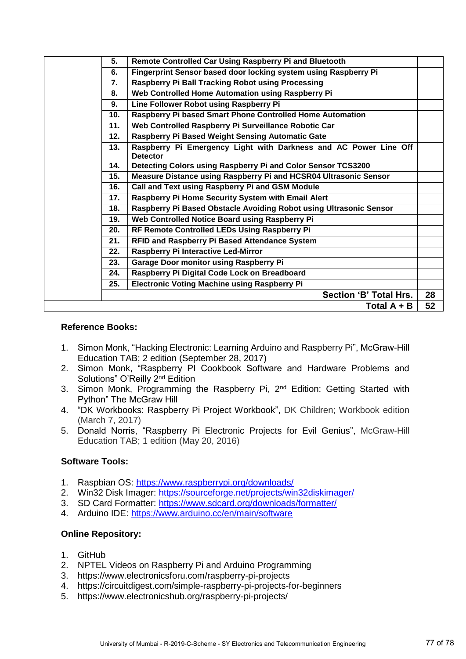| 5.  | Remote Controlled Car Using Raspberry Pi and Bluetooth                              |    |
|-----|-------------------------------------------------------------------------------------|----|
| 6.  | Fingerprint Sensor based door locking system using Raspberry Pi                     |    |
| 7.  | Raspberry Pi Ball Tracking Robot using Processing                                   |    |
| 8.  | Web Controlled Home Automation using Raspberry Pi                                   |    |
| 9.  | Line Follower Robot using Raspberry Pi                                              |    |
| 10. | Raspberry Pi based Smart Phone Controlled Home Automation                           |    |
| 11. | Web Controlled Raspberry Pi Surveillance Robotic Car                                |    |
| 12. | Raspberry Pi Based Weight Sensing Automatic Gate                                    |    |
| 13. | Raspberry Pi Emergency Light with Darkness and AC Power Line Off<br><b>Detector</b> |    |
| 14. | Detecting Colors using Raspberry Pi and Color Sensor TCS3200                        |    |
| 15. | Measure Distance using Raspberry Pi and HCSR04 Ultrasonic Sensor                    |    |
| 16. | Call and Text using Raspberry Pi and GSM Module                                     |    |
| 17. | Raspberry Pi Home Security System with Email Alert                                  |    |
| 18. | Raspberry Pi Based Obstacle Avoiding Robot using Ultrasonic Sensor                  |    |
| 19. | Web Controlled Notice Board using Raspberry Pi                                      |    |
| 20. | RF Remote Controlled LEDs Using Raspberry Pi                                        |    |
| 21. | <b>RFID and Raspberry Pi Based Attendance System</b>                                |    |
| 22. | Raspberry Pi Interactive Led-Mirror                                                 |    |
| 23. | <b>Garage Door monitor using Raspberry Pi</b>                                       |    |
| 24. | Raspberry Pi Digital Code Lock on Breadboard                                        |    |
| 25. | <b>Electronic Voting Machine using Raspberry Pi</b>                                 |    |
|     | Section 'B' Total Hrs.                                                              | 28 |
|     | Total $A + B$                                                                       | 52 |
|     |                                                                                     |    |

### **Reference Books:**

- 1. Simon Monk, "[Hacking Electronic: Learning Arduino and Raspberry Pi](http://amzn.to/2m0Ni53)", McGraw-Hill Education TAB; 2 edition (September 28, 2017)
- 2. Simon Monk, "Raspberry PI Cookbook Software and Hardware Problems and Solutions" O'Reilly 2<sup>nd</sup> Edition
- 3. Simon Monk, Programming the Raspberry Pi, 2nd Edition: Getting Started with Python" The McGraw Hill
- 4. "DK Workbooks: Raspberry Pi Project Workbook", DK Children; Workbook edition (March 7, 2017)
- 5. Donald Norris, "[Raspberry Pi Electronic Projects for Evil Genius](http://amzn.to/2CZX4g2)", McGraw-Hill Education TAB; 1 edition (May 20, 2016)

# **Software Tools:**

- 1. Raspbian OS:<https://www.raspberrypi.org/downloads/>
- 2. Win32 Disk Imager:<https://sourceforge.net/projects/win32diskimager/>
- 3. SD Card Formatter:<https://www.sdcard.org/downloads/formatter/>
- 4. Arduino IDE:<https://www.arduino.cc/en/main/software>

# **Online Repository:**

- 1. GitHub
- 2. NPTEL Videos on Raspberry Pi and Arduino Programming
- 3. https://www.electronicsforu.com/raspberry-pi-projects
- 4. https://circuitdigest.com/simple-raspberry-pi-projects-for-beginners
- 5. https://www.electronicshub.org/raspberry-pi-projects/